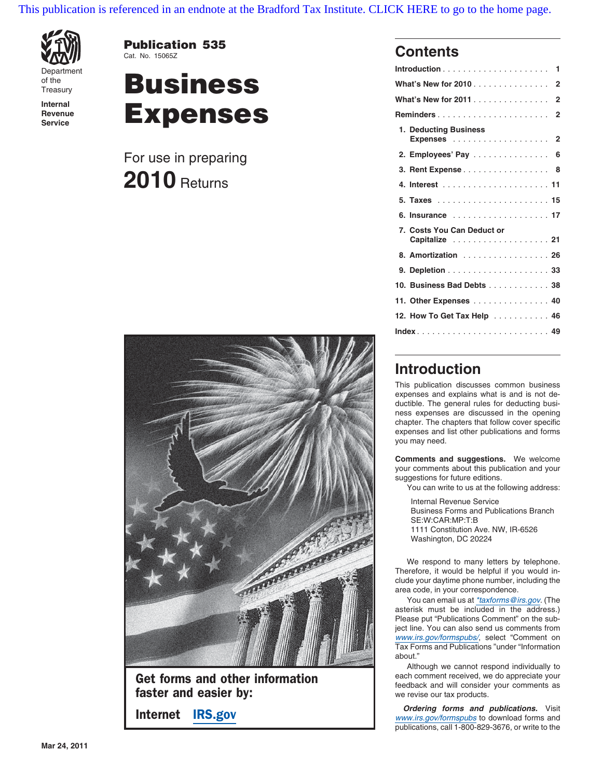[This publication is referenced in an endnote at the Bradford Tax Institute. CLICK HERE to go to the home page.](http://bradfordtaxinstitute.com/index1.aspx)







Get forms and other information **Figure 1** each comment received, we do appreciate your **faster and easier by:** we revise our tax products.

| Department         |                      |                                                                        |
|--------------------|----------------------|------------------------------------------------------------------------|
| of the<br>Treasury | <b>Business</b>      | What's New for 2010 2                                                  |
| Internal           |                      |                                                                        |
| Revenue            | <b>Expenses</b>      |                                                                        |
| Service            |                      | 1. Deducting Business                                                  |
|                    | For use in preparing | 2. Employees' Pay 6                                                    |
|                    | $2010$ Returns       | 3. Rent Expense 8                                                      |
|                    |                      |                                                                        |
|                    |                      |                                                                        |
|                    |                      | 6. Insurance  17                                                       |
|                    |                      | 7. Costs You Can Deduct or<br>Capitalize 21                            |
|                    |                      | 8. Amortization 26                                                     |
|                    |                      |                                                                        |
|                    |                      | 10. Business Bad Debts 38                                              |
|                    |                      | 11. Other Expenses 40                                                  |
|                    |                      | 12. How To Get Tax Help 46                                             |
|                    |                      | $Index \dots \dots \dots \dots \dots \dots \dots \dots \dots \dots 49$ |

### **Introduction**

This publication discusses common business expenses and explains what is and is not deductible. The general rules for deducting business expenses are discussed in the opening chapter. The chapters that follow cover specific expenses and list other publications and forms you may need.

**Comments and suggestions.** We welcome your comments about this publication and your suggestions for future editions.

You can write to us at the following address:

Internal Revenue Service Business Forms and Publications Branch SE:W:CAR:MP:T:B 1111 Constitution Ave. NW, IR-6526 Washington, DC 20224

We respond to many letters by telephone. Therefore, it would be helpful if you would include your daytime phone number, including the area code, in your correspondence.

You can email us at \*taxforms@irs.gov. (The asterisk must be included in the address.) Please put "Publications Comment" on the subject line. You can also send us comments from www.irs.gov/formspubs/, select "Comment on Tax Forms and Publications "under "Information about."

Although we cannot respond individually to

**Internet IRS.gov Consumer IRS.gov Consumer Internet IRS.gov Internet** IRS.gov **www.irs.gov/formspubs to download forms and** publications, call 1-800-829-3676, or write to the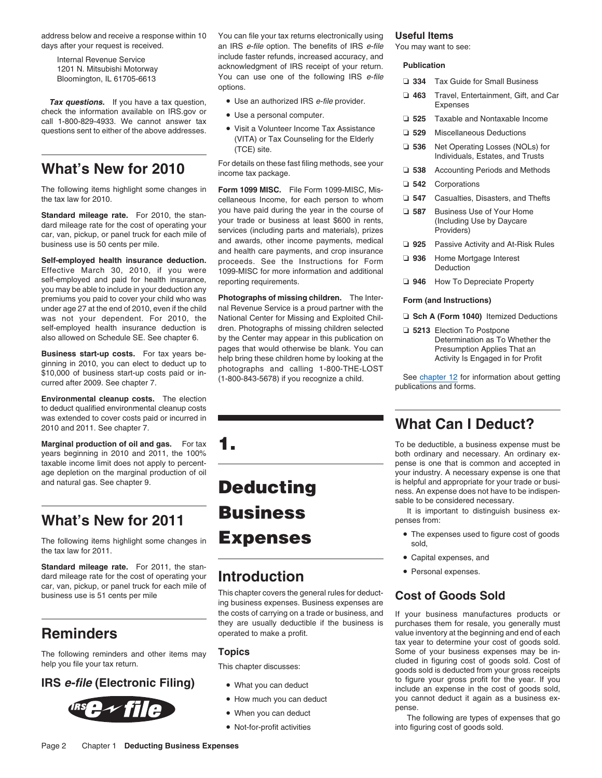**Tax questions.** If you have a tax question, view the information available on IRS.gov or **Figure 2014** Travel, Entertainment, Gift, and Care check the information available on IRS.gov or **•** Use a personal computer. **Expe** call 1-800-829-4933. We cannot answer tax questions sent to either of the above addresses. • Visit a Volunteer Income Tax Assistance **□ 529** Miscellaneous Deductions

Effective March 30, 2010, if you were 1099-MISC for more information and additional you may be able to include in your deduction any premiums you paid to cover your child who was **Photographs of missing children.** The Inter- **Form (and Instructions)** was not your dependent. For 2010, the National Center for Missing and Exploited Chil- ❏ **Sch A (Form 1040)** Itemized Deductions

**Business start-up costs.** For tax years be-<br>ginning in 2010, you can elect to deduct up to<br>\$10,000 of business start-up costs paid or in-<br>ginning in 2010, you can elect to deduct up to<br>\$10,000 of business start-up costs p

**Environmental cleanup costs.** The election to deduct qualified environmental cleanup costs was extended to cover costs paid or incurred in was extended to cover costs paid or incurred in **What Can I Deduct?** 

**Marginal production of oil and gas.** For tax **1.** The state of the state of the deductible, a business expense must be years beginning in 2010 and 2011, the 100%

### **What's New for 2011**

The following items highlight some changes in **Expenses Secure 19** sold, the tax law for 2011.

**Standard mileage rate.** For 2011, the stan-<br> **Cand mileage rate for the cost of operating your introduction** dard mileage rate for the cost of operating your



address below and receive a response within 10 You can file your tax returns electronically using **Useful Items** days after your request is received. an IRS e-file option. The benefits of IRS e-file You may want to see: Internal Revenue Service **Exercise 19 refunds**, increased accuracy, and acknowledgment of IRS receipt of your return. **Publication** 1201 N. Mitsubishi Motorway Bloomington, IL 61705-6613 You can use one of the following IRS *e-file* ⊃ 334 Tax Guide for Small Business options.<br>⊃ 463 Travel, Entertainment, Gift, and Car

- 
- 
- (VITA) or Tax Counseling for the Elderly

What's New for 2010 <sup>For details on these fast filing methods, see your ⊃ 538 Accounting Periods and Methods income tax package.</sup>

❏ **<sup>542</sup>** Corporations The following items highlight some changes in **Form 1099 MISC.** File Form 1099-MISC, Misthe tax law for 2010. **cellaneous Income, for each person to whom**  $\alpha$ Standard mileage rate. For 2010, the stan-<br>
dard mileage rate for the cost of operating your<br>
dard mileage rate for the cost of operating your<br>
car, van, pickup, or panel truck for each mile of<br>
business use is 50 cents p **Self-employed health insurance deduction.** proceeds. See the Instructions for Form □ 936 Home Mortgage Interest self-employed and paid for health insurance, reporting requirements. ❏ **<sup>946</sup>** How To Depreciate Property

nal Revenue Service is a proud partner with the self-employed health insurance deduction is dren. Photographs of missing children selected **15213** Election To Postpone also allowed on Schedule SE. See chapter 6. by the Center may appear in this publication on Determinat

car, van, pickup, or panel truck for each mile of<br>business the general rules for deduct-<br>ing business expenses. Business expenses are<br>cost of Goods Sold the costs of carrying on a trade or business, and If your business manufactures products or<br>they are usually deductible if the business is purchases them for resale, you generally must

- 
- How much you can deduct
- When you can deduct example the pense.
- Not-for-profit activities

- 
- 
- 
- 
- TCE) site.<br>For details on these fast filing methods, see your<br>Individuals, Estates, and Trusts<br>Individuals, Estates, and Trusts
	-
	-
	-
	-
	-
	-
	-

- 
- 

both ordinary and necessary. An ordinary extaxable income limit does not apply to percent- **pense is one that is common and accepted in** age depletion on the marginal production of oil your industry. A necessary expense is one that and natural gas. See chapter 9. **Deducting** is helpful and appropriate for your trade or busi-<br>ness. An expense does not have to be indispensable to be considered necessary.

**Business** It is important to distinguish business ex-

- The expenses used to figure cost of goods
- Capital expenses, and
- 

purchases them for resale, you generally must **Reminders** operated to make a profit. value inventory at the beginning and end of each tax year to determine your cost of goods sold. The following reminders and other items may **Topics**<br>help you file your tax return. This chapter discusses:<br>This chapter discusses:<br>This chapter discusses:<br>goods sold is deducted from your gross receipts **IRS e-file (Electronic Filing)** • What you can deduct **include an expense in the cost of goods sold,** include an expense in the cost of goods sold, you cannot deduct it again as a business ex-

> The following are types of expenses that go into figuring cost of goods sold.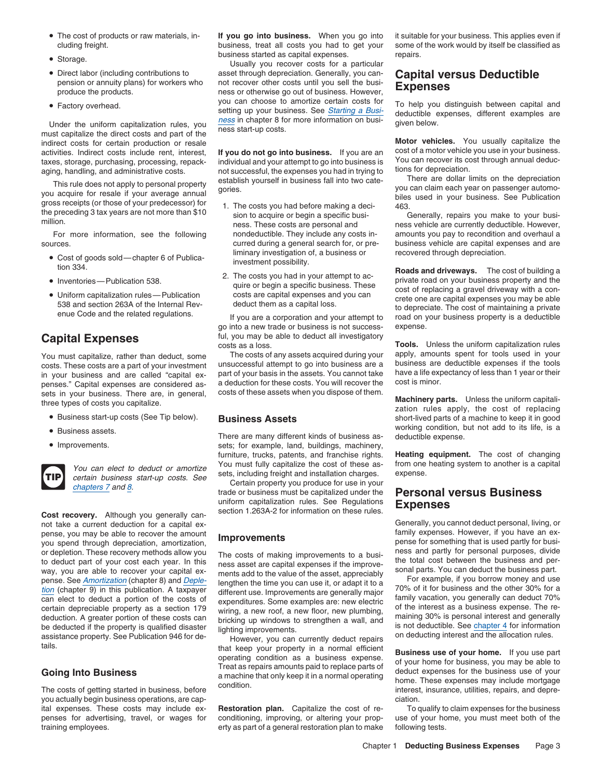- The cost of products or raw materials, in-
- 
- Direct labor (including contributions to
- 

Under the uniform capitalization rules, you  $\frac{h\cos x}{h\cos x}$  in chapter 8 for more information on busi-<br>must capitalize the direct costs and part of the direct costs and part of the direct costs and part of the **Motor vehic** indirect costs for certain production or resale<br>activities Indirect costs include rent interest **if you do not go into business**. If you are an cost of a motor vehicle you use in your business. activities. Indirect costs include rent, interest, **If you do not go into business.** If you are an cost of a motor vehicle you use in your business.<br>taxes, storage, purchasing, processing, repack-<br>ndividual and your attemp

This rule does not apply to personal property<br>you acquire for resale if your average annual gories.<br>you acquire for resale if your average annual gories.<br>gross receipts (or those of your predecessor) for<br>the preceding 3 ta

sources. curred during a general search for, or pre- business vehicle are capital expenses and are

- 
- 
- 

penses." Capital expenses are considered as- a deduction for these costs. You will recover the sets in your business. There are in general costs of these assets when you dispose of them. sets in your business. There are, in general, costs of these assets when you dispose of them.<br>three types of costs you capitalize.<br>zation rules apply, the cost of replacing

- Business start-up costs (See Tip below).
- 
- Improvements.



You can elect to deduct or amortize You must fully capitalize the cost of these as-<br>certain business start-up costs. See sets, including freight and installation charges. expense.<br>chapters 7 and 8.

not take a current deduction for a capital ex-<br>
nense you may be able to recover the amount exercise and according the summary of tamily expenses. However, if you have an expense, you may be able to recover the amount **Improvements** family expenses. However, if you have an ex-<br>you spend through depreciation, amortization,<br>or depletion. These recovery methods allow you <br>The costs of making imp or depletion. These recovery methods allow you The costs of making improvements to a busi-<br>
the tod cost between the business and per-<br>
the total cost between the business and per-<br>
way, you are able to recover your capita

you actually begin business operations, are cap- ciation.

If you go into business. When you go into it suitable for your business. This applies even if cluding freight. business, treat all costs you had to get your some of the work would by itself be classified as business started as capital expenses. repairs. •

Usually you recover costs for a particular Direct labor (including contributions to asset through depreciation. Generally, you can-<br>
pension or annuity plans) for workers who not recover other costs until you sell the busi-<br>
produce the products. nowever, **Expenses** ● Factory overhead. <br>
■ you can choose to amortize certain costs for • setting up your business. See Starting a Busiyou can crioose to amortize certain costs tor<br>setting up your business. See *Starting a Busi-* deductible expenses, different examples are<br>ness in chapter 8 for more information on busi-

aging, handling, and administrative costs. not successful, the expenses you had in trying to tions for depreciation.<br>establish yourself in business fall into two cate-<br>There are dollar limits on the depreciation

- Cost of goods sold—chapter 6 of Publica-<br>investment possibility.<br>investment possibility.
	-

go into a new trade or business is not success- expense. **Capital Expenses**<br>
Capital **Expenses**<br>  $\frac{ful, you may be able to deduct all investing to$ 

in your business and are called "capital ex-<br>penses." Capital expenses are considered as- a deduction for these costs. You will recover the cost is minor.

There are many different kinds of business assets; for example, land, buildings, machinery, furniture, trucks, patents, and franchise rights. **Heating equipment.** The cost of changing

trade or business must be capitalized under the **Personal versus Business** uniform capitalization rules. See Regulations<br> **Cost recovery.** Although you generally can-<br>
not take a current deduction for a capital ex-<br>
Generally, you cannot deduct personal, living, or

ital expenses. These costs may include ex- **Restoration plan.** Capitalize the cost of re- To qualify to claim expenses for the business penses for advertising, travel, or wages for conditioning, improving, or altering your prop- use of your home, you must meet both of the training employees. extending the state of a general restoration plan to make following tests.

For more information, see the following nondeductible. They include any costs in-<br>
rices. They include are sumed during a general search for, or pre-<br>
pusiness vehicle are capital expenses and are

Frances of Goods and driveways. The cost of building a<br>• Inventories—Publication 538. 2. The costs you had in your attempt to ac-<br>quire or begin a specific business. These exact of replacing a gravel driveway with a same Iniform capitalization rules—Publication state of begin a specific business. These cost of replacing a gravel driveway with a con-<br>Costs are capital expenses and you can erecte one are capital expenses you may be able • Uniform capitalization rules—Publication costs are capital expenses and you can<br>538 and section 263A of the Internal Rev-<br>enue Code and the related regulations. If you are a corporation and your attempt to the mean of pr

Tools. Unless the uniform capitalization rules You must capitalize, rather than deduct, some The costs of any assets acquired during your apply, amounts spent for tools used in your apply, amounts spent for tools used in your investment unsuccessful attempt to go into costs. These costs are a part of your investment unsuccessful attempt to go into business are a business are deductible expenses if the tools in your business and are called "capital ex- part of your basis in the assets. Y

**Business Assets Business Assets below** short-lived parts of a machine to keep it in good ■ Business assets. There are many different kinds of business as-<br>There are many different kinds of business as-<br>
deductible expense.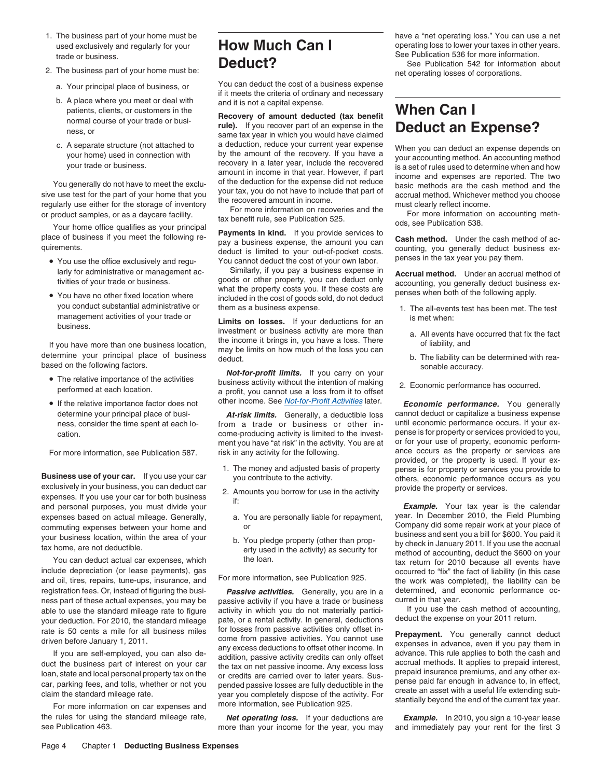- 
- -
	- A place where you meet or deal with and it is not a capital expense.<br>patients, clients, or customers in the patients, clients, or customers in the **Recovery of amount deducted (tax benefit When Can I** normal course of your trade or busi-<br>**Recovery of amount deducted (tax benefit Neglement an F Recover part of an expense in**
	-

- You use the office exclusively and regu-<br>larly for administrative or management ac-<br>Similarly, if you pay a business expense in
- 

If you have more than one business location,<br>determine your principal place of business deduct.<br>based on the following factors.<br>based on the following factors.<br>based on the following factors.<br>example accuracy.

- The relative importance of the activities
- 

For more information, see Publication 587. risk in any activity for the following.

exclusively in your business, you can deduct car provide the property or services.<br>
expenses. If you use your car for both business if:<br>
and personal purposes, you must divide your for the section of the activity **Example.** and personal purposes, you must divide your **Example.** Your tax year is the calendar<br>expenses based on actual mileage. Generally a You are personally liable for renayment vear. In December 2010, the Field Plumbing expenses based on actual mileage. Generally, a. You are personally liable for repayment, year. In December 2010, the Field Plumbing commuting expenses between your home and or

include depreciation (or lease payments), gas<br>and oil, tires, repairs, tune-ups, insurance, and For more information, see Publication 925. the work was completed), the liability can be registration fees. Or, instead of figuring the busi-<br> **Passive activities.** Generally, you are in a determined, and economic performance oc-<br>
ness part of these actual expenses you may be passive activity if you have a tra ness part of these actual expenses, you may be passive activity if you have a trade or business curred in that year.<br>able to use the standard mileage rate to figure activity in which you do not materially partici- If you u able to use the standard mileage rate to figure activity in which you do not materially partici-<br>vour deduction. For 2010, the standard mileage pate, or a rental activity. In general, deductions deduct the expense on your your deduction. For 2010, the standard mileage pate, or a rental activity. In general, deductions rate is 50 cents a mile for all business miles for losses from passive activities only offset in-

the rules for using the standard mileage rate, **Net operating loss.** If your deductions are *Example.* In 2010, you sign a 10-year lease more than vour income for the vear, you may and immediately pay your rent for the f

# trade or business.<br>2. The business part of your home must be:<br>3. The business part of your home must be:<br>3. The business part of your home must be:

a. Your principal place of business, or You can deduct the cost of a business expense<br>if it meets the criteria of ordinary and necessary<br>b. A place where you meet or deal with and it is not a capital expense

nofinal course of your trade of pusi-<br>ness, or same tax year in which you would have claimed<br>same tax year in which you would have claimed C. A separate structure (not attached to a deduction, reduce your current year expense a<br>vour transe) used in connection with  $\gamma$  our and the recovery. If you have a your accounting method<br>You generally do not have to mee

larly for administrative or management ac- Similarly, if you pay a business expense in **Accrual method.** Under an accrual method of ivities of your trade or business. goods or other property, you can deduct only<br>what the property costs you. If these costs are<br>Penses when both of the following apply.<br>Penses when both of the following apply. You have no other fixed location where included in the cost of goods sold, do not deduct<br>you conduct substantial administrative or them as a business expense

management activities of your trade or<br>business. If your deductions for an investment or business activity are more than a. All events have occurred that fix the fact<br>he income it brings in, you have a loss. There of liabi

based on the for-profit limits. If you carry on your sonable accuracy. The relative importance of the activities business activity without the intention of making 2. Economic performance has occurred.<br>performed at each location. a profit, you cannot use a loss from it to offset • If the relative importance factor does not other income. See Not-for-Profit Activities later.

ness, consider the time spent at each lo-<br>come-producing activity is limited to the invest-<br>cation. Dense is for property or services provided to you, cation. cation come-producing activity is limited to the invest-<br>ment you have "at risk" in the activity. You are at or for your use of property, economic performment you have "at risk" in the activity. You are at or for your use of property, economic perform-<br>risk in any activity for the following.<br>

- 
- -
	-

The state is 50 cents a mile for all business miles<br>
driven before January 1, 2011.<br>
If you are self-employed, you can also de-<br>
If you are self-employed, you can also de-<br>
duct the business part of interest on your car<br>
d

more than your income for the year, you may and immediately pay your rent for the first 3

1. The business part of your home must be have a "net operating loss." You can use a net used exclusively and regularly for your **How Much Can I** exercise to lower your taxes in other years. used exclusively and regularly for your **HOW MUCH CAN I** operating loss to lower your taxes in other years.<br>Trade or business on the control of the control of the control of the control of the control of the control of

net operating losses of corporations.

- you conduct substantial administrative or them as a business expense.<br>management activities of your trade or expense the state of the state of the all-events test has been met. The test
	-
	-
	-

**Economic performance.** You generally determine your principal place of busi-<br>ness, consider the time spent at each lo-<br>from a trade or business or other in-<br>intil economic performance occurs. If your ex-<br> $\frac{1}{2}$ provided, or the property is used. If your ex-1. The money and adjusted basis of property pense is for property or services you provide to **Business use of your car** you use your car you contribute to the activity. The money and adjusted basis of property pense is the

commuting expenses between your home and<br>your business location, within the area of your<br>tax home, are not deductible. erry used in the activity) as security for the method of accounting, deduct the \$600 on your<br>erty used You can deduct actual car expenses, which the loan. The loan. The state of the tax return for 2010 because all events have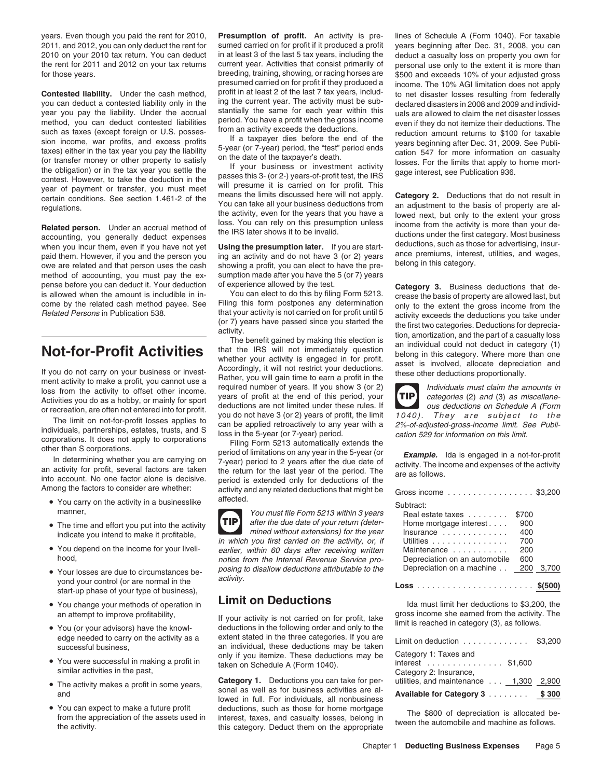years. Even though you paid the rent for 2010, **Presumption of profit.** An activity is pre- lines of Schedule A (Form 1040). For taxable

method, you can deduct contested liabilities<br>such as taxes (except foreign or U.S. posses-<br>sion income, war profits, and excess profits<br>is in a taxivity exceed the deductions. The<br>sion income, war profits, and excess profi

method of accounting, you must pay the ex- sumption made after you have the 5 (or 7) years pense before you can deduct it. Your deduction of experience allowed by the test. **Category 3.** Business deductions that de-<br>is allowed when the amount is includible in in-<br>Nou can elect to do this by filing Form 5213. Cre

- You carry on the activity in a businesslike  $\overline{a}$  affected.
- 
- You depend on the income for your liveli-
- Your losses are due to circumstances beactivity. yond your control (or are normal in the **Loss** ....................... **\$(500)** start-up phase of your type of business),
- You change your methods of operation in
- 
- similar activities in the past,
- 
- You can expect to make a future profit

2011, and 2012, you can only deduct the rent for sumed carried on for profit if it produced a profit years beginning after Dec. 31, 2008, you can 2010 on your 2010 tax return. You can deduct in at least 3 of the last 5 tax years, including the deduct a casualty loss on property you own for the rent for 2011 and 2012 on your tax returns current year. Activities that the rent for 2011 and 2012 on your tax returns current year. Activities that consist primarily of personal use only to the extent it is more than<br>for those years. breeding, training, showing, or racing horses are \$500 and for those years. breeding, training, showing, or racing horses are \$500 and exceeds 10% of your adjusted gross<br>presumed carried on for profit if they produced a income. The 10% AGI limitation does not apply presumed carried on for profit if they produced a income. The 10% AGI limitation does not apply<br>profit in at least 2 of the last 7 tax years, includ-**Contested liability.** Under the cash method, profit in at least 2 of the last 7 tax years, includ-<br>Not can deduct a contested liability only in the ing the current year. The activity must be sub-<br>declared disasters in 200 you can deduct a contested liability only in the ing the current year. The activity must be sub-<br>year you nay the liability Under the accrual stantially the same for each year within this under reallowed to claim the not d year you pay the liability. Under the accrual stantially the same for each year within this uals are allowed to claim the net disaster losses method, you can deduct contested liabilities period. You have a profit when the

or recreation, are often not entered into for profit.<br>
The limit on not-for-profit losses applies to<br>
The limit on not-for-profit losses applies to<br>
individuals, partnerships, estates, trusts, and S<br>
individuals, partnersh Among the factors to consider are whether: activity and any related deductions that might be Gross income ................. \$3,200

manner,<br>The time and effort you put into the activity.<br>TIP after the due date of your return (deter-• The time and effort you put into the activity  $\Box$  TIP after the due date of your return (deter-<br>Home mortgage interest . . . . . . 900 mined without extensions) for the year **TIP** indicate you intend to make it profitable, in which you first carried on the activity, or, if if under  $\frac{v}{u}$  in which you first carried on the activity, or, if You depend on the income for your liveli- earlier, within 60 days after receiving written Maintenance . . . . . . . . . . . <sup>200</sup> notice from the Internal Revenue Service proposing to disallow deductions attributable to the activity.

an attempt to improve profitability, an attempt to improve profitability, and the your activity is not carried on for profit, take gross income she earned from the activity.<br>• You (or your advisors) have the knowl-<br>deducti deductions in the following order and only to the edge needed to carry on the activity as a extent stated in the three categories. If you are Limit on deduction successful business. • You were successful in making a profit in only if you itemize. These deductions may be taken on Schedule A (Form 1040).

• The activity makes a profit in some years, **Category 1.** Deductions you can take for per-The activity makes a profit in some years, sonal as well as for business activities are al-<br>and **Available for individuals**, all nonbusiness You can expect to make a future profit deductions, such as those for home mortgage<br>from the appreciation of the assets used in interest, taxes, and casualty losses, belong in the \$800 of depreciation is allocated be-<br>the a

**Related person.** Under an accrual method of the IRS later shows it to be invalid. The income from the activity is more than your de-<br>accounting, you generally deduct expenses when you incur them, even if you have not yet

is allowed when the amount is includible in in-<br>
Some by the related cash method payee. See Filing this form postpones any determination only to the extent the gross income from the since of the since of the since of the

**TIP**

| Gross income \$3,200                                                                                                                                                                      |                                                 |       |
|-------------------------------------------------------------------------------------------------------------------------------------------------------------------------------------------|-------------------------------------------------|-------|
| Subtract:<br>Real estate taxes<br>Home mortgage interest<br>$insurance \dots \dots \dots \dots$<br>Utilities<br>Maintenance<br>Depreciation on an automobile<br>Depreciation on a machine | \$700<br>900<br>400<br>700<br>200<br>600<br>200 | 3,700 |
|                                                                                                                                                                                           |                                                 |       |

Ida must limit her deductions to \$3,200, the gross income she earned from the activity. The

| Available for Category 3 \$300                                   |  |
|------------------------------------------------------------------|--|
| Category 2: Insurance,<br>utilities, and maintenance 1,300 2,900 |  |
| Category 1: Taxes and<br>interest \$1,600                        |  |
| Limit on deduction $\ldots \ldots \ldots \ldots$ \$3,200         |  |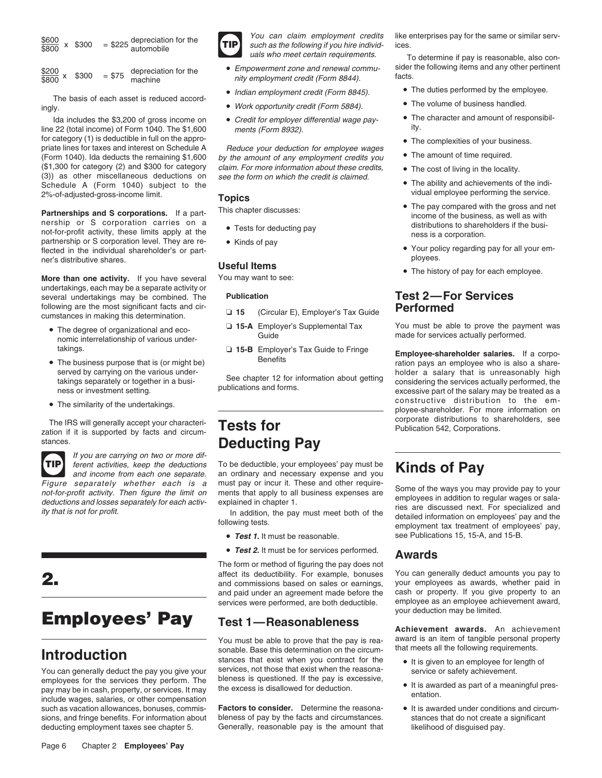$$
\frac{$600}{$800} \times $300 = $225 \frac{depreciation for the\nautomobile\n\n111

\nYou can claim employment credits like enterprises pay for the same or similar serv-\nsuch as the following if you hire individual

\nYou can claim employment. To determine if pay is reasonable, also con-\nnot her metric in the following if you hire in the following if you hire in the following if you hire in the following if any is reasonable, also con-\nnot her metric in the following if you hire in the following if you hire in the following if you hire in the following if you life in the following if you hire in the following if you hire in the following if you hire in the following if you hire in the following if you hire in the following if you life in the following if you life in the following if you life in the following if you life in the following if you life in the following if you life in the following if you life in the following if you life in the following if you life in the following if you life in the following if you life in the following if you life in the following if you life in the following if you life in the following if you life in the following if you life in the following if you life in the following if you life in the following if you life in the following if you life in the following if you life in the following if you life in the following if you life in the following if you life in the following if you life in the following if you life in the following if you life in the following if you life in the following if you life in the following if you life in the "not" to you're not in the "not" to you're not in the "not" to you're not in the "not" to you're not in the "not" to you're not in the "not" to you're not in the "not" to you're not in the "not" to you're not in the "not" to you're not in the "not" to you're not in the "not" to you're not in the "not" to you're not in the "not" to you're not in the "not" to you're not in the "not" to you're not in the "not" to you're not in the "not" to you're not in the "not" to you're not in the "not" to you're not in the "not" to you're not in the "not" to you're not in the "not" to you're not in the "not" to you're not in the "not" to you're not in the "not" to you're not in the "not" to you're not in the "not" to you're not in the "not" to you're not in the "not" to you're not in the "not" to you're not in the "not" to you're not in the "not" to you're not in the "not" to you're not in the "not" to you're not in the "not" to you're not in the "not" to you're not in the "not" to you're not in the "not" to you're not in the "not" to you're not in the "not" to you're not in the "not" to you're not in the "not" to you're not in
$$

|                        | \$300 | $= $75$ | depreciation for th |
|------------------------|-------|---------|---------------------|
| <u>\$200</u><br>\$800× |       |         | machine             |

ingly. **• The volume of business handled.** • Work opportunity credit (Form 5884). • • The volume of business handled.

Ida includes the \$3,200 of gross income on • Credit for employer differential wage pay-<br>line 22 (total income) of Form 1040. The \$1,600 ments (Form 8932). for category (1) is deductible in full on the appro-<br>
• The complexities of your business. priate lines for taxes and interest on Schedule A Reduce your deduction for employee wages (Form 1040). Ida deducts the remaining \$1,600 by the amount of any employment credits you<br>(\$1,300 for category (2) and \$300 for category claim. For more information about these credits. (3)) as other miscellaneous deductions on see the form on which the credit is claimed.<br>Schedule A (Form 1040) subject to the Schedule A (Form 1040) subject to the • The ability and achievements of the indi-2%-of-adjusted-gross-income limit. **Topics** 

nership or S corporation carries on a<br>not for profit original the busi-<br>not for profit original the pusi-<br>not for profit original the busi-Tests for deducting pay not-for-profit activity, these limits apply at the ness is a corporation.<br>
ness is a corporation.<br>
flected in the individual shareholder's or part-<br>
e Your policy regarding pay for all your em-<br>
e Y Frected in the individual shareholder's or part-<br> **Useful Items CONFORT CONFORT CONFORT AND PROVIDUATE SHARE PROVIDUATE PROVIDUATE PROVIDUATE PROVIDUATE PROVIDUATE PROVIDUATE PROVIDUATE PROVIDUATE PROVIDUATE PROVIDUATE P** 

**The second matter of pay for each end of pay for example we several West than one activity.** If you have several You may want to see: undertakings, each may be a separate activity or several undertakings may be combined. The **Publication Test 2—For Services** following are the most significant facts and cir- ❏ **<sup>15</sup>** (Circular E), Employer's Tax Guide **Performed** cumstances in making this determination.

- The degree of organizational and eco-<br>
made for services actually performed. The services actually performed. The services actually performed. The services actually performed. The services and the services and services and
- 
- 

The IRS will generally accept your characteri-<br> **Tests for** extra and circum-<br> **Tests for** Publication 542, Corporations. stances. **Deducting Pay** 



If you are carrying on two or more dif-

# **Employees' Pay** Test 1—Reasonableness Achievement awards. An achievement

pay may be in cash, property, or services. It may the excess is disallowed for deduction. include wages, salaries, or other compensation. such as vacation allowances, bonuses, commis-<br>
Factors to consider.
Determine the reasonaignary of it is awarded under conditions and circumsions, and fringe benefits. For information about bleness of pay by the facts and circumstances. stances that do not create a significant deducting employment taxes see chapter 5. Generally, reasonable pay is the amount th deducting employment taxes see chapter 5. Generally, reasonable pay is the amount that likelihood of disguised pay.



- e<u>s200</u> x \$300 = \$75 depreciation for the **C**mpowerment zone and renewal commu-sider the following items and any other pertinent **and the system of the system of the system** credit (Form 8844).
	- *Indian employment credit (Form 8845)*. • The duties performed by the employee.<br>The basis of each asset is reduced accord-
		-
		-

 $claim. For more information about these credits,$  • The cost of living in the locality.

- 
- 

- 
- 
- 

ferent activities, keep the deductions To be deductible, your employees' pay must be and income from each one separate. an ordinary and necessary expense and you To be deductible, your employees' pay must be **Kinds of Pay**<br>an ordinary and necessary expense and you **Kinds of Pay** 

- Test 1. It must be reasonable.
- *Test 2.* It must be for services performed. **Awards**

The form or method of figuring the pay does not affect its deductibility. For example, bonuses You can generally deduct amounts you pay to and commissions based on sales or earnings, your employees as awards, whether paid in and paid under an agreement made before the c and paid under an agreement made before the cash or property. If you give property to an<br>services were performed, are both deductible. employee as an employee achievement award,

**Introduction** sonable. Base this determination on the circum-<br>**Introduction** stances that exist when you contract for the You can generally deduct the pay you give your services, not those that exist when the reasona-<br>employees for the services they perform. The bleness is questioned. If the pay is excessive, employees for the services they perform. The bleness is questioned. If the pay is excessive,<br>nay may be in cash, property or services It may the excess is disallowed for deduction.

To determine if pay is reasonable, also con-

- 
- 
- The character and amount of responsibil-
- 
- The amount of time required.
- 
- 
- The pay compared with the gross and net **Partnerships and S corporations.** If a part-<br> **Partnerships and S corporations.** If a part-<br>
This chapter discusses:<br> **Partnerships and S corporations.** If a part-
	-
	- The history of pay for each employee.

■ The degree of organizational and eco-<br> **15-A** Employer's Supplemental Tax You must be able to prove the payment was<br>
made for services actually performed.

takings.<br>■ **15-B** Employer's Tax Guide to Fringe **Employee-shareholder salaries.** If a corpo-<br>• ration pays an employee who is also a share-The business purpose that is (or might be) **ration** pays an employee who is also a share-<br>served by carrying on the various underserved by carrying on the various under-<br>takings separately or together in a busi-<br>publications and forms.<br>publications and forms.<br>excessive part of the salary may be treated as a<br>excessive part of the salary may be treate • The similarity of the undertakings.  $\blacksquare$ ployee-shareholder. For more information on

Figure separately whether each is a must pay or incur it. These and other require-<br>not-for-profit activity. Then figure the limit on ments that apply to all business expenses are<br>deductions and losses separately for each a see Publications 15, 15-A, and 15-B.

services were performed, are both deductible. employee as an employee achievement are both deductible. vour deduction may be limited.

You must be able to prove that the pay is rea-<br>sonable. Base this determination on the circum-<br>that meets all the following requirements.

- It is given to an employee for length of
- 
- 

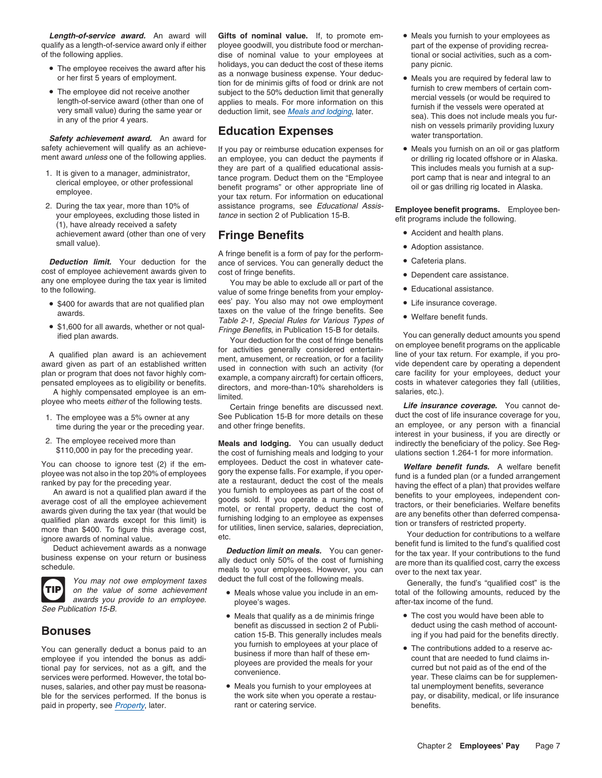qualify as a length-of-service award only if either ployee goodwill, you distribute food or merchan- part of the expense of providing recreaof the following applies. dise of nominal value to your employees at tional or social activities, such as a com-

- 
- 

safety achievement will qualify as an achieve-<br>ment award *unless* one of the following applies. an employee, you can deduct the payments if or drilling rig located offshore or in Alaska.

- 
- 2. During the tax year, more than 10% of assistance programs, see *Educational Assis*-<br>your employees, excluding those listed in *tance* in section 2 of Publication 15-B.<br>(1), have already received a safety<br>achievement awa achievement award (other than one of very **Fringe Benefits** small value). small value). •

cost of employee achievement awards given to cost of fringe benefits. <br>• Dependent care assistance.

- 
- \$1,600 for all awards, whether or not qual-

- 
- 



See Publication 15-B.

nuses, salaries, and other pay must be reasona- . In Meals you furnish to your employees at all unemployment benefits, severance ble for the services performed. If the bonus is the work site when you operate a restau- pay, or disability, medical, or life insurance paid in property, see Property, later. https://www.mant.or catering service. benefits. benefits.

*Length-of-service award.* An award will **Gifts of nominal value.** If, to promote em- • Meals you furnish to your employees as • The employee receives the award after his bolidays, you can deduct the cost of these items pany picnic. • The employee receives the award and the media of the state of the state of the state of the state of the state of the state of the state of the state of the state of the state of the state of the state of the state of th

an employee, you can deduct the payments if or drilling rig located offshore or in Alaska. 1. It is given to a manager, administrator, they are part of a qualified educational assis-<br>
clerical employee, or other professional tance program. Deduct them on the "Employee port camp that is near and integral to an<br>
e

A fringe benefit is a form of pay for the perform <br>Ance of services. You can generally deduct the Cafeteria plans. **Deduction limit.** Your deduction for the ance of services. You can generally deduct the

any one employee during the tax year is limited<br>to the to the following. • Course all or part of the value of some fringe benefits from your employ-<br>Educational assistance. • \$400 for awards that are not qualified plan ees' pay. You also may not owe employment • Life insurance coverage. awards. taxes on the value of the fringe benefits. See **•** Welfare benefit funds. Table 2-1, Special Rules for Various Types of

You can choose to ignore test (2) if the em- employees. Deduct the cost in whatever cate-<br>ployee was not also in the top 20% of employees gory the expense falls. For example, if you oper-<br>fund is a funded plan (or a funded ployee was not also in the top 20% of employees<br>
ranked by pay for the preceding year.<br>
An award is not a qualified plan (or a funded plan (or a funded arrangement<br>
An award is not a qualified plan award if the cost of the

- on the value of some achievement <br>awards you provide to an employee. by the als whose value you include in an em-
	- Meals that qualify as a de minimis fringe The cost you would have been able to
	-
- 
- The employee did not receive another subject to the 50% deduction limit that generally<br>
length-of-service award (other than one of applies to meals. For more information on this<br>
very small value) during the same year or
	-

- 
- 
- 
- 
- 
- 
- 

• \$1,600 for all awards, whether or not qual-<br>
ified plan awards.<br>
A qualified plan award is an achievement<br>
and is an achievement of a finity considered entertain-<br>
plan award is an achievement of a finity considered ente

1. The employee was a 5% owner at any See Publication 15-B for more details on these duct the cost of life insurance coverage for you,<br>time during the vear or the preceding year. and other fringe benefits. an employee, or time during the year or the preceding year. and other fringe benefits. and usually deduct an employee, or any person with a financial<br>2. The employee received more than **Meals and lodging.** You can usually deduct indirectl

meals to your employees. However, you can over to the next tax year.<br>You may not owe employment taxes deduct the full cost of the following meals.<br>On the value of some achievement • Meals whose value you include in an em after-tax income of the fund.

- **Bonuses** benefit as discussed in section 2 of Publi-<br>
cation 15-B. This generally includes meals ing if you had paid for the benefits directly.
- Nou can generally deduct a bonus paid to an business if more than half of these em-<br>
employee if you intended the bonus as addi-<br>
tional pay for services, not as a gift, and the<br>
services were performed. However, the total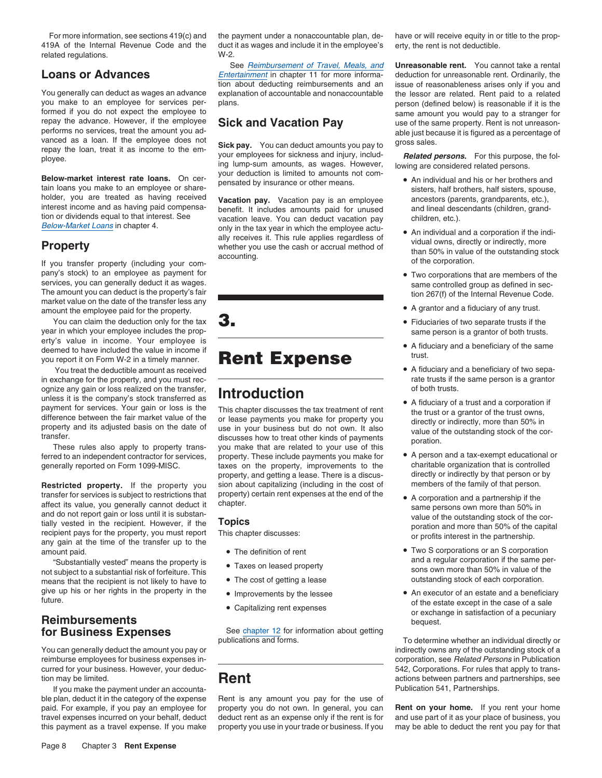419A of the Internal Revenue Code and the duct it as wages and include it in the employee's erty, the rent is not deductible.<br>
W-2.<br>
W-2. related regulations.

you make to an employee for services per- plans.<br>
formed if you do not expect the employee to entity of the same amount you would pay to a stranger for formed if you do not expect the employee to<br>
repay the advance. However, if the employee **Sick and Vacation Pay** same amount you would pay to a stranger for repay the advance. However, if the employee **Sick and Vacation Pay** use of the same property. Rent is not unreason-<br>performs no services, treat the amount you ad-

**Below-market interest rate loans.** On cerrest on the pensated by insurance or other means.<br>
tain loans you make to an employee or share-<br>
holder, you are treated as having received vacation nay. Vacation pay is an employe holder, you are treated as having received **Vacation pay.** Vacation pay is an employee ancestors (parents, grandparents, etc.), interest income and as having paid compensa-<br>interest income and as having paid compensa-<br>bene interest income and as having paid compensa-<br>includes amounts paid for unused and lineal descendant includes amounts paid for unused and lineal descention<br>children, etc.). tion or dividends equal to that interest. See vacation leave. You can deduct vacation pay children, etc.).

pany's stock) to an employee as payment for •services, you can generally deduct it as wages.<br>
The amount you can deduct is the property's fair<br>
market value on the date of the transfer less any<br>
market value on the date of the transfer less any a mount the employee paid for the property.<br>You can claim the deduction only for the tax

You can claim the deduction only for the tax  $\mathbf{3}$ . year in which your employee includes the prop- same person is a grantor of both trusts. erty's value in income. Your employee is  $\overline{\phantom{a}}$  . A fiduciary and a beneficiary of the same deemed to have included the value in income if  $\Box$ Trust.<br>
you report it on Form W-2 in a timely manner.<br>
You treat the deductible amount as received<br>
You treat the deductible amount as received<br> **Rent Expense**<br> **Rent Advicant Section**<br> **PACK Advically and a beneficiary of** 

You treat the deductible amount as received in exchange for the property, and you must rec-<br>
onize any gain or loss realized on the transfer.<br> **In the of the same person is a grantor**<br>
of both trusts.<br>
of both trusts. ognize any gain or loss realized on the transfer,  $\blacksquare$  **htroduction** unless it is the company's stock transferred as **INTRI UNIGHETICITY CONVERTENT OF A** fiduciary of a trust and a corporation if

transfer for services is subject to restrictions that property) certain rent expenses at the end of the • A corporation and a partnership if the affect its value, you generally cannot deduct it chapter. affect its value, you generally cannot deduct it<br>and do not report gain or loss until it is substantially cannot deduct it<br>and do not report gain or loss until it is substantially vested in the recipient. However, if the<br>r

"Substantially vested" means the property is ● Taxes on leased property in the same per-<br>Subject to a substantial risk of forfeiture. This not subject to a substantial risk of forfeiture. This<br>means that the recipient is not likely to have to **The cost of getting a lease** outstanding stock of each corporation. means that the recipient is not likely to have to give up his or her rights in the property in the  $\bullet$  Improvements by the lessee

# **Reimbursements**<br> **For Business Exnenses**<br> **For Business Exnenses**<br>
See chapter 12 for information about getting

You can generally deduct the amount you pay or indirectly owns any of the outstanding stock of a reimburse employees for business expenses in-<br> **Expenses** in Publication corporation, see Related Persons in Publication curred for your business. However, your deduc-<br> **Rent** Fig. 2012 Corporations between partners and partnerships, see<br> **Rent** Corporations between partners and partnerships, see tion may be limited. **Rent Rent** actions between partners and partnerships, see

If you make the payment under an accounta- Publication 541, Partnerships. ble plan, deduct it in the category of the expense Rent is any amount you pay for the use of paid. For example, if you pay an employee for property you do not own. In general, you can **Rent on your home.** If you rent your home travel expenses incurred on your behalf, deduct deduct rent as an expense only if the rent is for and use part of it as your place of business, you<br>this payment as a travel expense. If you make property you use in your tra this payment as a travel expense. If you make property you use in your trade or business. If you

**Loans or Advances** Entertainment in chapter 11 for more informa- deduction for unreasonable rent. Ordinarily, the tion about deducting reimbursements and an issue of reasonableness arises only if you and You generally can deduct as wages an advance explanation of accountable and nonaccountable the lessor are related. Rent paid to a related you make to an employee for services per-<br>you make to an employee for services per-

performs no services, treat the amount you ad<br>vanced as a loan. If the employee does not<br>repay the loan, treat it as income to the em-<br>ployee.<br>Below-market interest rate loans. On cer-<br>below-market interest rate loans. On

only in the tax year in which the employee actu-<br>ally receives it. This rule applies regardless of  $\frac{1}{2}$  dual over directly as indirectly more

anies it is the company's stock transference as<br>
payment for services. Your gain or loss is the This chapter discusses the tax treatment of rent<br>
difference between the fair market value of the or lease payments you make f These rules also apply to property trans-<br>ferred to an independent contractor for services, property. These include payments you make for • A person and a tax-exempt educational or<br>generally reported on Form 1099-MISC. and generally reported on Form 1099-MISC. taxes on the property, improvements to the charitable organization that is controlled<br>property, and getting a lease. There is a discus- directly or indirectly by that person or by property, and getting a lease. There is a discus-**Restricted property.** If the property you sion about capitalizing (including in the cost of members of the family of that person.<br>It the properties is subject to restrictions that property) certain rent expenses at the en

- 
- 
- 
- 
- 

**for Business Expenses** See *chapter 12* for information about getting<br>publications and forms. To determine whether an individual directly or

For more information, see sections 419(c) and the payment under a nonaccountable plan, de- have or will receive equity in or title to the prop-

See Reimbursement of Travel, Meals, and **Unreasonable rent.** You cannot take a rental

- 
- **Example the distribution in the completed only and the complete distribution of the complete distribution of the complete to the complete of the complete of the complete of the complete of the complete of the complete of** 
	- Two corporations that are members of the
	- A grantor and a fiduciary of any trust.
	-
	-
	-
	-
	-
	-
- amount paid.<br>
 The definition of rent The The The The Scorporations or an S corporation<br>
 The definition of rent The Scorporations or and a regular corporation if the same per-<br>
 The definition of rent The Scorpor
- Improvements by the lessee An executor of an estate and a beneficiary<br>future.<br>or except in the case of a sale Capitalizing rent expenses Capitalizing rent expenses Capitalizing rent expenses Capitalizing rent exp or exchange in satisfaction of a pecuniary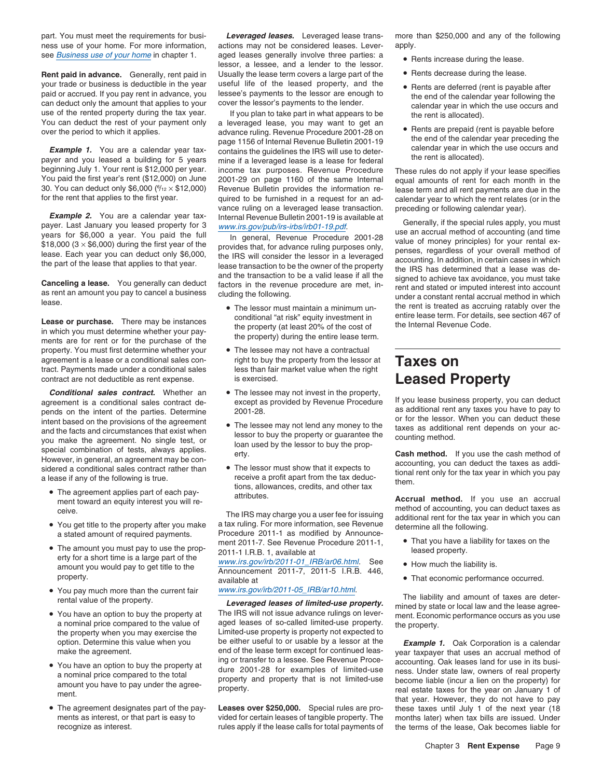part. You must meet the requirements for busi-<br>Leveraged leases. Leveraged lease trans- more than \$250,000 and any of the following ness use of your home. For more information, actions may not be considered leases. Lever- apply.

your trade or business is deductible in the year useful life of the leased property, and the • Rents are deferred (rent is payable after paid or accrued. If you pay rent in advance, you lessee's payments to the lessor are behold of accrued. If you pay rent in advance, you lessee's payments to the lessor are enough to<br>can deduct only the amount that applies to your cover the lessor's payments to the lender.<br>You can deduct the rest of your pa

30. You can deduct only \$6,000 ( $\frac{6}{12} \times $12,000$ )

**Example 2.** You are a calendar year tax-<br>payer. Last January you leased property for 3<br>years for \$6,000 a year. You paid the full<br>\$18,000 (3 × \$6,000) during the first year of the<br>lease. Each year you can deduct only \$6,0

property. You must first determine whether your • The lessee may not have a contractual agreement is a lease or a conditional sales con-<br>tract. Payments made under a conditional sales less than fair market value when the right<br>less than fair market value when the right contract are not deductible as rent expense. **is exercised. Leased Property** 

**Conditional sales contract.** Whether an <br>agreement is a conditional sales contract de-<br>pends on the intent of the parties. Determine 2001-28.<br>intent hased on the provisions of the agreement<br>intent hased on the provisions or for the lessor. When you can deduct these intent based on the provisions of the agreement **•** The lessee may not lend any money to the taxes as additional rent depends on your ac-<br>and the facts and circumstances that ex Find the facts and circumstances that exist when<br>
you make the agreement. No single test, or<br>
you make the agreement. No single test, or<br>
you make the agreement. No single test, or<br>
special combination of tests, always app

- The agreement applies part of each pay-<br>ment toward an equity interest you will re-<br>caive method of accounting, you can deduct taxes as
- You get title to the property after you make
- The amount you would pay to get title to the proport- 2011-1 I.R.B. 1, available at least property. Even and a short time is a large part of the www.irs.gov/irb/2011-01\_IRB/ar06.html. See How much the liability is.
- You pay much more than the current fair
- You have an option to buy the property at
- 
- The agreement designates part of the pay-

see *Business use of your home* in chapter 1. aged leases generally involve three parties: a • Rents increase during the lease. rents increase during the lessor.<br>I knally the lease term covers a large part of the **CR**ents decrease during the lease. **Rent paid in advance.** Generally, rent paid in Usually the lease term covers a large part of the

You can deduct the rest of your payment only a leveraged lease, you may want to get an advance ruling. Revenue Procedure 2001-28 on advance ruling. Revenue Bulletin 2001-19 page 1156 of Internal Revenue Bulletin 2001-19 pa **Example 1.** You are a calendar year tax-<br>payer and you leased a building for 5 years in the payer and you leased a building for 5 years in the payer and you leased a building for 5 years income tax purposes. Bevenue Proce beginning July 1. Your rent is \$12,000 per year. income tax purposes. Revenue Procedure These rules do not apply if your lease specifies<br>You paid the first year's rent (\$12,000) on June 2001-29 on page 1160 of the same Int 30. You can deduct only \$6,000 ( $\frac{6}{12} \times $12,000$ ) Revenue Bulletin provides the information re- lease term and all rent payments are due in the for the rent that applies to the first year. quired to be furnished in a request for an ad-calendar year to which the rent relates (or in the vance ruling on a leveraged lease transaction. preceding or following calendar year).

- Lease or purchase. There may be instances conditional "at risk" equity investment in entire lease term. For details, see section 467 of<br>in which you must determine whether your pay-<br>ments are for rent or for the purchase o
	-
	-
	-
	-

You get title to the property after you make a tax ruling. For more information, see Revenue determine all the following.<br>a stated amount of required payments. Procedure 2011-1 as modified by Announce-<br>ment 2011-7. See Rev • The amount you must pay to use the prop-<br>
• The amount you must pay to use the prop-<br>
2011-1 I.R.B. 1, available at a leased property.

Announcement 2011-7, 2011-5 I.R.B. 446,<br>property. • That economic performance occurred. available at • That economic performance occurred.

You have an option to buy the property at The IRS will not issue advance rulings on lever-<br>a nominal price compared to the value of aged leases of so-called limited-use property. aged leases of so-called limited-use property. the property.<br>Limited-use property is property not expected to the property when you may exercise the Limited-use property is property not expected to<br>option. Determine this value when you be either useful to or usable by a lessor at the option. Determine this value when you be either useful to or usable by a lessor at the **Example 1.** Oak Corporation is a calendar<br>make the agreement. end of the lease term except for continued leas-<br>wear taxpayer that uses

rules apply if the lease calls for total payments of the terms of the lease, Oak becomes liable for

- 
- 
- 
- 

and the transaction to be a valid lease if all the<br> **Canceling a lease.** You generally can deduct factors in the revenue procedure are met, in-<br>
as rent an amount you pay to cancel a business cluding the following.<br>
lease. • The lessor must maintain a minimum un- the rent is treated as accruing ratably over the

ceive. The IRS may charge you a user fee for issuing method of accounting, you can deduct taxes as ceive.<br>You get title to the property after you make a tax ruling. For more information, see Revenue additional rent for the

- 
- 
- 

You pay much more than the current fair  $\frac{www.irs.gov/irb/2011-05\_IRB/ar10.html}{\text{Leveraged \textit{leases of limited-use property.}}$ <br>
You have an option to buy the property at The IRS will not issue advance rulings on lever-<br>
You have an option to buy the property a

make the agreement. end of the lease term except for continued leas- year taxpayer that uses an accrual method of Ing or transfer to a lessee. See Revenue Proce-<br>accounting. Oak leases land for use in its busi-<br>a particularies compared to the total dure 2001-28 for examples of limited-use ness. Under state law, owners of real property • You have an option to buy the property at<br>a nominal price compared to the total<br>amount you have to pay under the agree-<br>ment.<br>ment.<br>ment.<br>ment.<br>ment.<br>ment.<br>that year. However, they do not have to pay<br>the state law, owner Leases over \$250,000. Special rules are pro-<br>these taxes until July 1 of the next year (18 ments as interest, or that part is easy to vided for certain leases of tangible property. The months later) when tax bills are issued. Under recognize as interest.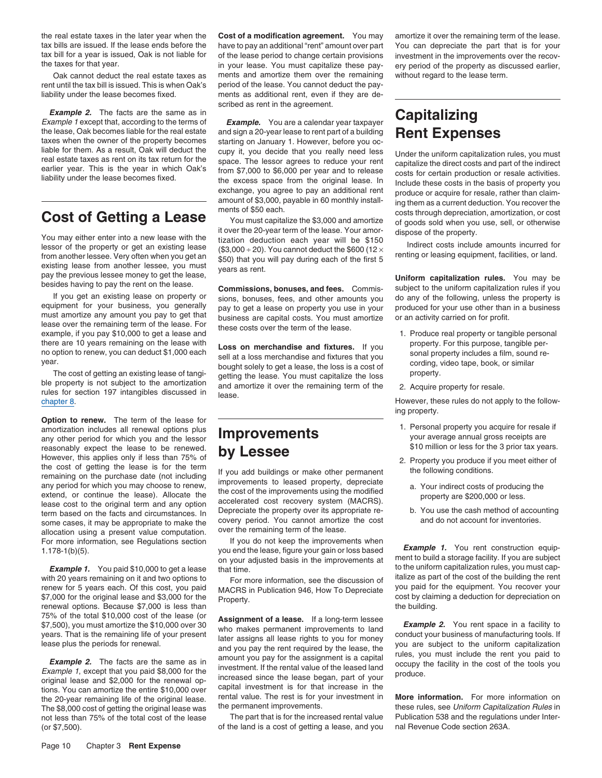tax bills are issued. If the lease ends before the have to pay an additional "rent" amount over part You can depreciate the part that is for your tax bill for a year is issued. Oak is not liable for of the lease period to tax bill for a year is issued, Oak is not liable for of the lease period to change certain provisions investment in the improvements over the recov-<br>the taxes for that year. Oak is not liable for in your lease. You must ca

rent until the tax bill is issued. This is when Oak's period of the lease. You cannot deduct the payliability under the lease becomes fixed. ments as additional rent, even if they are de-

**Example 2.** The facts are the same as in **Example.** You are a calendar year taxpayer **Capitalizing** Example 1 except that, according to the terms of **Example.** You are a calendar year taxpayer

You may either enter into a new lease with the tization deduction each year term of the lease. Your amor-<br>Ilessor of the property or get an existing lease (\$3,000 ÷ 20). You cannot deduct the \$600 (12 × Indirect costs incl

equipment for your business, you generally pay to get a lease on property you use in your produced for your use other than in a business<br>must amortize any amount you pay to get that business are capital costs. You must amo

chapter 8. **Chapter 8.** Chapter 8. **However, these rules do not apply to the follow-**

**Option to renew.** The term of the lease for **EXECUTE 1. Personal property you acquire for resale if amortization includes all renewal options plus amortization includes all renewal options plus and the lessor includes and the lessor includes are deptions plus any ot** any other period for which you and the lessor **IMPROVEMENTS** your average annual gross receipts are<br>
reasonably expect the lease to be renewed. **Let Lease are all the substitute** of the 3 prior tax years. reasonably expect the lease to be renewed.  $\mathbf{by}$  Lessee However, this applies only if less than 75% of  $\mathbf{by}$  Lessee From the sphere of the lease to be renewed.<br>
However, this applies only if less than 75% of<br>
the cost of getting the lease is for the term<br>
remaining on the purchase date (not including<br>
remaining on the purchase date (not come cases, it may be appropriate to make the covery period. You cannot amortize the cost and do not account for inventories.<br>allocation using a present value computation over the remaining term of the lease. allocation using a present value computation. over the remaining term of the lease.<br>For more information, see Regulations section lf you do not keep the improvements when

with 20 years remaining on it and two options to<br>rent information, see the discussion of italize as part of the cost of the building the rent<br>renew for 5 years each. Of this cost, you paid MACRS in Publication 946 How To D renew for 5 years each. Of this cost, you paid MACRS in Publication 946, How To Depreciate<br>\$7,000 for the original lease and \$3,000 for the property.<br>Frequency cost by claiming a deduction for depreciation on<br>renewal optio

the 20-year remaining life of the original lease. The rest is for your investment in **More information.** For more information on The \$8,000 cost of getting the original lease was the permanent improvements. The \$8,000 cost The \$8,000 cost of getting the original lease was the permanent improvements.<br>The part that is for the increased rental value Publication 538 and the regulations under Inter-<br>Inte part that is for the increased rental valu not less than 75% of the total cost of the lease (or \$7,500). of the land is a cost of getting a lease, and you nal Revenue Code section 263A.

the real estate taxes in the later year when the **Cost of a modification agreement.** You may amortize it over the remaining term of the lease. in your lease. You must capitalize these pay-ery period of the property as discussed earlier, ments and amortize them over the remaining without regard to the lease term. Oak cannot deduct the real estate taxes as ments and amortize them over the remaining without regard to the lease term. scribed as rent in the agreement.

the lease, Oak becomes liable for the real estate and sign a 20-year lease to rent part of a building **Rent Expenses** taxes when the owner of the property becomes starting on January 1. However, before you oc-<br>liable for t

If you get an existing lease on property or<br>equipment for your business, you generally pay to get a lease on property you use in your<br>produced for your use other than in a business

there are 10 years remaining on the lease with<br>no option to renew, you can deduct \$1,000 each<br>year.<br>The cost of getting an existing lease of tangi-<br>ble property is not subject to the amortization<br>rules for section 197 inta

For more information, see Regulations section if you do not keep the improvements when<br>
you end the lease, figure your gain or loss based<br>
on your adjusted basis in the improvements at ment to build a storage facility. If

75% of the total \$10,000 cost of the lease (or<br>
\$7,500), you must amortize the \$10,000 over 30<br>
years. That is the remaining life of your present<br>
lease primanent improvements to land<br>
lease rights to you for money<br>
lease

liable for them. As a result, Oak will deduct the cupy it, you decide that you really need less under the uniform capitalization rules, you must<br>real estate taxes as rent on its tax return for the space. The lessor agrees

- 
- 

ing property.

- 
- -
	-

**Example 1.** You paid \$10,000 to get a lease that time.<br>th 20 years remaining on it and two options to For more information, see the discussion of italize as part of the cost of the building the rent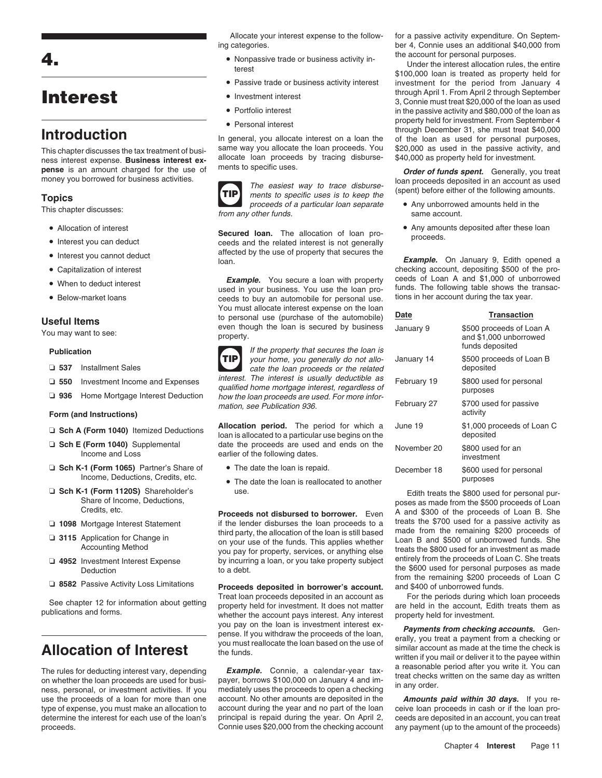- Allocation of interest
- 
- 
- Capitalization of interest
- 
- Below-market loans

- 
- 
- 

### **Form (and Instructions)**

- 
- 
- **□ Sch K-1 (Form 1065)** Partner's Share of The date the loan is repaid. purposes because income, Deductions, Credits, etc. purposes  $\tau_{\text{rel}}$
- 
- 
- 
- 
- 

proceeds. Connie uses \$20,000 from the checking account any payment (up to the amount of the proceeds)

- 
- Passive trade or business activity interest
- 
- Portfolio interest
- 

This chapter discusses the tax treatment of busiser allocate the loan proceeds. You \$20,000 as used in the passive activity, and ness interest expense. **Business interest ex** allocate loan proceeds by tracing disburse- \$4



This chapter discusses: the same account of the from any other funds.<br>This chapter discusses: from any other funds.

ceeds and the related interest is not generally • Interest you cannot deduct and affected by the use of property that secures the Ioan. **Example.** On January 9, Edith opened a loan.

ceeds to buy an automobile for personal use. Vou must allocate interest expense on the loan<br> **Useful Items**<br>
You may want to see:<br>
You may want to see:<br>
You may want to see:<br>
You may want to see:<br>
Property.



**Publication Publication** If the property that secures the loan is your home, you generally do not allo- January 1500 proceeds □ 537 Installment Sales cate the loan proceeds or the related □ 550 Investment Income and Expenses interest. The interest is usually deductible as<br>qualified home mortgage interest, regardless of<br>**□ 936** Home Mortgage Interest Deduction how the loan proceeds are used. For more infor

**allocation period.** The period for which a J<br> **a Sch E (Form 1040)** Supplemental date the proceeds are used and ends on the deposited to a particular use begins on the **EXECT E (Form 1040)** Supplemental date the proceeds are used and ends on the November 20 income and Loss earlier of the following dates.

mation, see Publication 936.

The date the loan is reallocated to another

□ 1098 Mortgage Interest Statement if the lender disburses the loan proceeds to a<br>
third party, the allocation of the loan is still based and the statement<br>
and the form the remaining \$200 proceeds of<br>
Accounting Method<br> Accounting Method you pay for property, services, or anything else treats the \$800 used for an investment as made<br>Allege treats the \$800 used for an investment as made<br>and the property, services, or anything else treats th by incurring a loan, or you take property subject

**□ 8582** Passive Activity Loss Limitations **Proceeds deposited in borrower's account.** and \$400 of unborrowed funds.<br>Treat loan proceeds deposited in an account as For the periods during which loan proceeds See chapter 12 for information about getting<br>Treat loan proceeds deposited in an account as For the periods during which loan proceeds<br>publications and forms.<br>whether the account pays interest. Any interest property held f

The rules for deducting interest vary, depending **Example.** Connie, a calendar-year tax-<br>on whether the loan proceeds are used for busi-<br>ness, personal, or investment activities. If you mediately uses the proceeds to open use the proceeds of a loan for more than one account. No other amounts are deposited in the *Amounts paid within 30 days.* If you retype of expense, you must make an allocation to account during the year and no part of the loan ceive loan proceeds in cash or if the loan prodetermine the interest for each use of the loan's principal is repaid during the year. On April 2, ceeds are deposited in an account, you can treat count exes \$20,000 from the checking account any payment (up to the amount

Allocate your interest expense to the follow- for a passive activity expenditure. On Septeming categories. ber 4, Connie uses an additional \$40,000 from

• Nonpassive trade or business activity in-<br>the account for personal purposes.<br>
4.100,000 loan is treated as property held for<br>
<sup>\$100,000</sup> loan is treated as property held for investment for the period from January 4 ● Investment interest through April 1. From April 2 through September Interest **Interest** 3, Connie must treat \$20,000 of the loan as used in the passive activity and \$80,000 of the loan as **Personal interest example 1** • *property held for investment. From September 4* • *property held for investment. From September 4* Interoduction<br>In general, you allocate interest on a loan the of the loan as used for personal purposes,<br>This chanter discusses the tax treatment of busi-<br>ame way you allocate the loan proceeds. You \$20,000 as used in the

**Solution** and proceeds a proceed a mount charged for the use of ments to specific uses.<br>
The easiest way to trace disburse loan proceeds deposited in an account as used<br>
The easiest way to trace disburse loan proceeds dep

- 
- Allocation of interest  **Any amounts deposited after these loan Secured loan.** The allocation of loan pro-<br>• Interest you can deduct **because** the related interest is not denerally **and proceeds**.

checking account, depositing \$500 of the pro-**Example.** You secure a loan with property ceeds of Loan A and \$1,000 of unborrowed vised in your business. You use the loan pro-<br>used in your business. You use the loan pro- funds. The following table shows the transacfunds. The following table shows the transactions in her account during the tax year.

| )ate        | <b>Transaction</b>                                                    |
|-------------|-----------------------------------------------------------------------|
| anuary 9    | \$500 proceeds of Loan A<br>and \$1,000 unborrowed<br>funds deposited |
| anuary 14   | \$500 proceeds of Loan B<br>deposited                                 |
| ebruary 19  | \$800 used for personal<br>purposes                                   |
| ebruary 27  | \$700 used for passive<br>activity                                    |
| une 19      | \$1,000 proceeds of Loan C<br>deposited                               |
| lovember 20 | \$800 used for an<br>investment                                       |
| )ecember 18 | \$600 used for personal<br>purposes                                   |

□ Sch K-1 (Form 1120S) Shareholder's use.<br>Share of Income, Deductions,<br>Credits, etc. Proceeds not disbursed to borrower. Even A and \$300 of the proceeds of Loan B. She Deduction to a debt.<br>
Deduction to a debt.<br>
The \$600 used for personal purposes as made<br>
from the remaining \$200 proceeds of Loan C

you pay on the loan is investment interest ex-<br>pense. If you withdraw the proceeds of the loan,<br>you must reallocate the loan based on the use of<br>the funds.<br>Milar account as made at the time the check is<br>written if you mail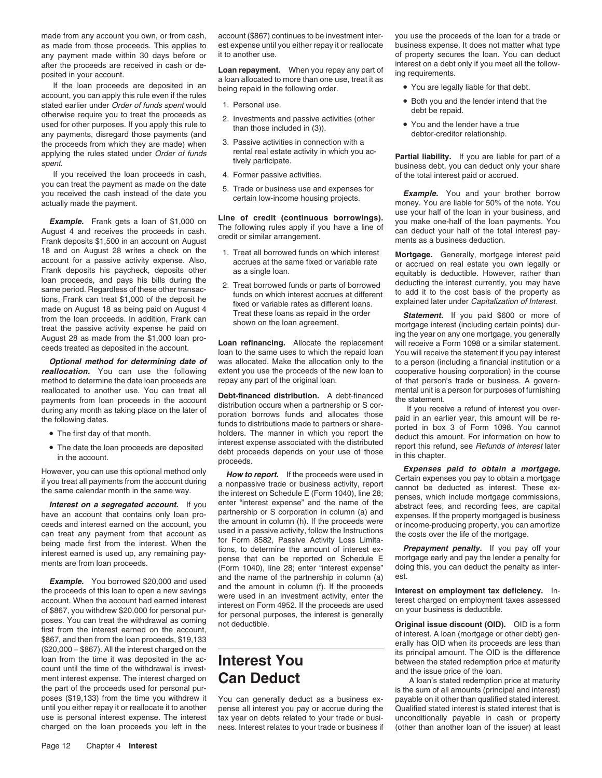made from any account you own, or from cash, account (\$867) continues to be investment inter- you use the proceeds of the loan for a trade or as made from those proceeds. This applies to est expense until you either repay it or reallocate business expense. It does not matter what type any payment made within 30 days before or it to another use. This in the state any payment made within 30 days before or it to another use. The context of property secures the loan. You can deduct after the proceeds are received in cash or de-

account, you can apply this rule even if the rules<br>stated earlier under *Order of funds spent* would 1. Personal use. stated earlier under Order of funds spent would<br>
otherwise require you to treat the proceeds as<br>
used for other purposes. If you apply this rule to<br>
any payments, disregard those payments (and<br>
any than those included in ( the proceeds from which they are made) when 3. Passive activities in connection with a<br>applying the rules stated under *Order of funds* rental real estate activity in which you ac-

If you received the loan proceeds in cash, 4. Former passive activities. of the total interest paid or accrued. you can treat the payment as made on the date<br>you received the cash instead of the date you<br>actually made the payment.<br>actually made the payment.<br>actually made the payment.<br>actually made the payment.

18 and on August 28 writes a check on the<br>
Erank deposits his paycheck, deposits of these same fixed or variable rate or variable rate or variable rate<br>
Frank deposits is paycheck, deposits of these of these of these of th

**Optional method for determining date of** was allocated. Make the allocation only to the to a person (including a financial institution or a **reallocation.** You can use the following extent you use the proceeds of the new method to determine the date loan proceeds are repay any part of the original loan. of that person's trade or business. A govern-

- The first day of that month.
- 

Example. You borrowed \$20,000 and used<br>
the proceeds of this loan to open a new savings<br>
and the name of the partnership in column (f). If the proceeds<br>
account. When the account had earned interest<br>
of \$867, you withdrew count until the time of the withdrawal is invested and **Can Deduct** and the issue price of the loan.<br>
A loan's stated redemption price at maturity the part of the proceeds used for personal pur-<br>poses (\$19,133) from the time you withdrew it<br>you can generally deduct as a business ex- payable on it other than qualified stated interest. poses (\$19,133) from the time you withdrew it You can generally deduct as a business ex- payable on it other than qualified stated interest.<br>until you either repay it or reallocate it to another pense all interest you pay

after the proceeds are received in cash or de-<br>posited in your account.<br>If the loan proceeds are deposited in an allocated to more than one use, treat it as<br>If the loan proceeds are deposited in an being repaid in the foll

- 
- 
- 
- 
- 

- 
- 

reallocated to another use. You can treat all<br>payments from loan proceeds in the account<br>during any month as taking place on the later of<br>the following dates.<br>the following dates.<br>The statement of the statement of the stat The first day of the first day of the first day of the deduct this amount. For information on how to interest expense associated with the distributed depends on your use of those  $\frac{1}{10}$  this observant. See *Refunds of* • The date the loan proceeds are deposited report this refund, see Refunds of interest later in the account.<br>in the account. proceeds depends on your use of those in this chapter.<br>proceeds.<br>in this chapter. **Expenses paid** 

Interest or a segregated account. If you enter "interest expense" and the name of the abstract fees, and recording fees, are capital<br>have an account that contains only loan pro-<br>ceeds and interest earned on the account, yo

- 
- 
- 

applying the rules stated under Order of funds<br>spent.<br>If you received the loan proceeds in cash, and the participate.<br>If you received the loan proceeds in cash, a Former passive activities.<br>If you received the loan proceed

**Example.** Frank gets a loan of \$1,000 on **Line of credit (continuous borrowings).** use your half of the loan in your business, and you make one-half of the loan payments. You and receives the proceeds in cash. The followi

cooperative housing corporation) in the course

However, you can use this optional method only<br>If you treat all payments from the account during<br>the same calendar month in the same way.<br>The interest on Schedule E (Form 1040), line 28;<br>the interest on Schedule E (Form 10

pense all interest you pay or accrue during the Qualified stated interest is stated interest that is use is personal interest expense. The interest tax year on debts related to your trade or busi-<br>
charged on the loan proceeds you left in the ness. Interest relates to your trade or business if (other than another loan of ness. Interest relates to your trade or business if (other than another loan of the issuer) at least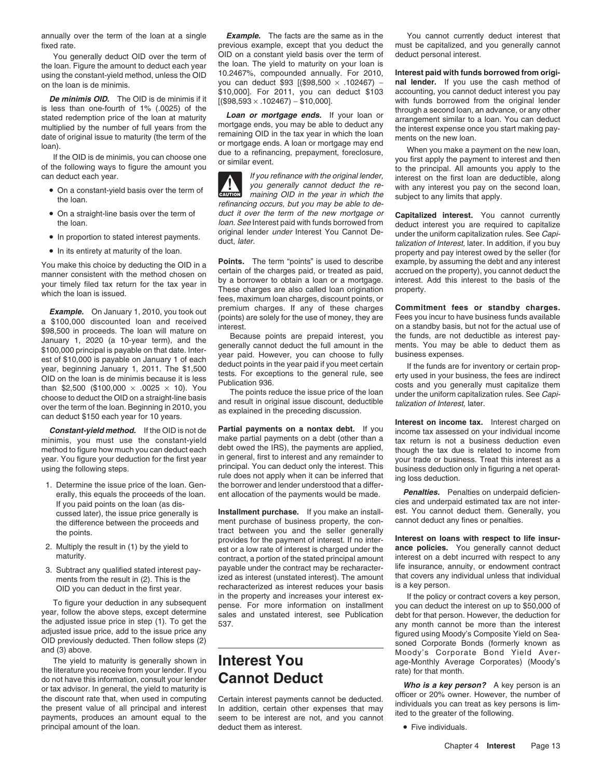fixed rate. previous example, except that you deduct the must be capitalized, and you generally cannot

the loan. Figure the amount to deduct each year

**10.000. De minimis OID.** The OID is de minimis if it  $(398,593 \times .102467) - 10,000$ . with funds borrowed from the original lender is less than one-fourth of 1% (.0025) of the through a second loan, an advance, or any othe is less than one-fourth of 1% (.0025) of the<br>stated redemption price of the loan at maturity **Loan or mortgage ends.** If your loan or<br>multiplied by the number of full vears from the mortgage ends, you may be able to deduc

- 
- On a straight-line basis over the term of
- 
- In its entirety at maturity of the loan.

**Example.** On January 1, 2010, you took out premium charges. If any of these charges **Commitment fees or standby charges.**<br> **a** \$100,000 discounted loan and received (points) are solely for the use of money, they are  $\frac{$ 

minimis, you must use the constant-yield make partial payments on a debt (other than a tax return is not a business deduction even<br>method to figure how much you can deduct each debt owed the IRS), the payments are applied,

- 
- 
- 

the literature you receive from your lender. If you rate for that month.<br>
do not have this information, consult your lender **Cannot Deduct** do not have this information, consult your lender<br>or tax advisor. In general, the yield to maturity is<br>the discount rate that, when used in computing Certain interest payments cannot be deducted.<br>the present value of all p principal amount of the loan.  $\qquad \qquad$  deduct them as interest.  $\qquad \qquad \bullet$  Five individuals.

annually over the term of the loan at a single *Example.* The facts are the same as in the You cannot currently deduct interest that You generally deduct OID over the term of OID on a constant yield basis over the term of deduct personal interest.<br>Joan, Figure the amount to deduct each year the loan. The yield to maturity on your loan is using the constant-yield method, unless the OID 10.2467%, compounded annually. For 2010, **Interest paid with funds borrowed from origi-**<br>on the loan is de minimis.<br> $y_{01}$  can deduct \$93 [(\$98,500  $\times$  .102467) - **nal len** 

multiplied by the number of full years from the mortgage ends, you may be able to deduct any<br>date of original issue to maturity (the term of the remaining OID in the tax year in which the loan<br>loan).<br>If the OID is de minim

can deduct each year.<br>If you refinance with the original lender, interest on the first loan are deductible, along<br>an original lender the term of the first loan interest you pay on the second loan. • On a constant-yield basis over the term of  $\frac{1}{2}$  you generally cannot deduct the re- with any interest you pay on the second loan, On a constant-yield basis over the term of **caunot** maining OID in the year in which the subject to any limits that apply. **!** refinancing occurs, but you may be able to de-On a straight-line basis over the term of duct it over the term of the new mortgage or **Capitalized interest.** You cannot currently the loan.<br>Ioan. See Interest paid with funds borrowed from deduct interest you are require *toan. See* Interest paid with funds borrowed from deduct interest you are required to capitalize original lender *under* Interest You Cannot De-<br>
under the uniform capitalization rules. See Capioriginal lender under Interest You Cannot De-<br>In proportion to stated interest payments.<br>Alization of Interest Islam is you buy

You make this choice by deducting the OID in a<br>manner consistent with the method chosen on<br>your timely filed tax return for the tax year in<br>your timely filed tax return for the tax year in<br>these charges are also called loa

method to figure how much you can deduct each debt owed the IRS), the payments are applied, though the tax due is related to income from year. You figure your deduction for the first year in general, first to interest and

cussed later), the issue price generally is **Installment purchase.** If you make an install- est. You cannot deduct them. Generally, the difference between the proceeds and ment purchase of business property, the con- canno the difference between the proceeds and ment purchase of business property, the conthe points. The points of the seller generally the points. provides for the payment of interest. If no inter-<br> **Interest on loans with respect to life insur-**<br>
est or a low rate of interest is charged under the<br> **ance policies.** You generally cannot deduct 2. Multiply the result in (1) by the yield to est or a low rate of interest is charged under the maturity. contract, a portion of the stated principal amount interest on a debt incurred with respect to any<br>payable under the contract may be recharacter- life insurance, annuity, or endowment contract 3. Subtract any qualified stated interest pay-<br>ments from the result in (2). This is the ized as interest (unstated interest). The amount that covers any individual unless that individual<br>OID you can deduct in the first ye OID you can deduct in the first year. The recharacterized as interest reduces your basis IS a key person.<br>in the property and increases your interest ex- If the policy or contract covers a key person.

talization of Interest, later. In addition, if you buy property and pay interest owed by the seller (for

In deduct who cash year for to years.<br> **Constant-yield method.** If the OID is not de **Partial payments on a nontax debt.** If you income tax assessed on your individual income to the constant-yield make partial payments on

erally, this equals the proceeds of the loan. ent allocation of the payments would be made. **Penalties.** Penalties on underpaid deficientif you paid points on the loan (as dis-<br>If you paid points on the loan (as dis-<br>cusse

To figure your deduction in any subsequent<br>year, follow the above steps, except determine<br>the adjusted issue price in step (1). To get the<br>adjusted issue price in step (1). To get the<br>adjusted issue price in step (1). To g The yield to maturity is generally shown in **Interest You** age-Monthly Average Corporates) (Moody's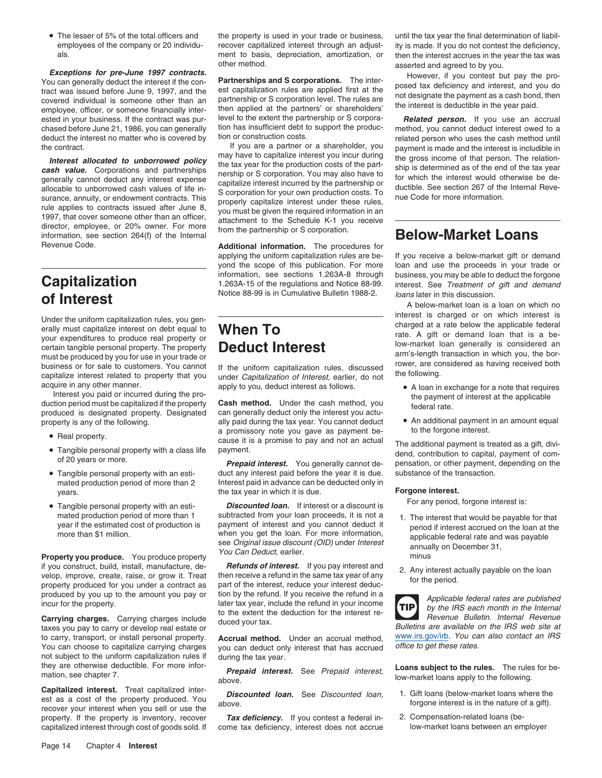• The lesser of 5% of the total officers and

**Exceptions for pre-June 1997 contracts.**<br>
You can generally deduct the interest if the con-<br>
tract was issued before June 9, 1997, and the est capitalization rules are applied first at the posed tax deficiency and interes ested in your business. If the contract was pur- level to the extent the partnership or S corpora- *Related person.* If you use an accrual chased before lune 21, 1986 you can generally tion has insufficient debt to suppo chased before June 21, 1986, you can generally tion has insufficient debt to support the produc- method, you cannot deduct interest owed to a<br>deduct the interest no matter who is covered by tion or construction costs. deduct the interest no matter who is covered by tion or construction costs.<br>If you are a partner or a shareholder, you payment is made and the interest is includible in

Revenue Code. **Additional information.** The procedures for

# Notice 88-99 is in Cumulative Bulletin 1988-2. *Ioans* later in this discussion.<br>A below-market loan is a loan on which no

For the produced by you for use in your trade or experimentally is considered and arm's-length transaction in which you, the bor-<br>must be produced by you for use in your trade or arm's-length transaction in which you, the business or for sale to customers. You cannot If the uniform capitalization rules, discussed<br>capitalize interest related to property that you under *Capitalization of Interest*, earlier, do not the following.<br>acquire in an

produced is designated property. Designated

- 
- 
- Tangible personal property with an esti-
- Tangible personal property with an esti-

if you construct, build, install, manufacture, de-**Refunds of interest.** If you pay interest and<br>velop, improve, create, raise, or grow it. Treat then receive a refund in the same tax year of any the period.<br>property produ

to carry, transport, or install personal property. **Accrual method.** Under an accrual method, www.irs.gov/irb. You can choose to capitalize carrying charges you can deduct only interest that has accrued office to get these not subject to the uniform capitalization rules if during the tax year.<br>they are otherwise deductible. For more infor-

**Capitalized interest.** Treat capitalized inter-<br>est as a cost of the property produced. You **Discounted Ioan.** See Discounted Ioan, 1. Gift Ioans (below-market Ioans where the<br>recover your interest when you sell or use th property. If the property is inventory, recover **Tax deficiency.** If you contest a federal in-<br>
capitalized interest through cost of goods sold. If come tax deficiency, interest does not accrue low-market loans between an

employees of the company or 20 individu-<br>
ment to basis, depreciation, amortization, or then the interest accrues in the vear the tax was als. als. ment to basis, depreciation, amortization, or then the interest accrues in the year the tax was<br>other method.

the contract. If you are a partner or a shareholder, you<br> **Interest allocated to unborrowed policy**<br>
the tax year for the production costs of the part-<br> **Cash value.** Corporations and partnerships<br> **Cash value.** Corporatio

applying the uniform capitalization rules are be-<br>your receive a below-market gift or demand<br>yond the scope of this publication. For more loan and use the proceeds in your trade or yond the scope of this publication. For more loan and use the proceeds in your trade or information, see sections 1.263A-8 through business, you may be able to deduct the forgone information, see sections 1.263A-8 through business, you may be able to deduct the forgone **Capitalization** 1.263A-15 of the regulations and Notice 88-99. interest. See Treatment of gift and demand

property is any of the following. <br>a promissory note you gave as payment be the forgone interest. • Real property. **a** promissory note you gave as payment be-<br>cause it is a promise to pay and not an actual

duct any interest paid before the year it is due. substance of the transaction. mated production period of more than 2 Interest paid in advance can be deducted only in years. the tax year in which it is due. **Forgone interest.**

**Discounted Ioan.** If interest or a discount is For any period, forgone interest is: mated production period of more than 1 subtracted from your loan proceeds, it is not a<br>year if the estimated cost of production is<br>more than \$1 million.<br>when you get the loan. For more information,<br>see *Original issue disc* 

produced by you up to the amount you pay or<br>incur for the property. later tax year, include the refund in your income<br>carrying charges. Carrying charges include<br>carrying charges include<br>duced your tax

you can deduct only interest that has accrued

capitalized interest through cost of goods sold. If come tax deficiency, interest does not accrue

the property is used in your trade or business, until the tax year the final determination of liabilasserted and agreed to by you.

Under the uniform capitalization rules, you generally must capitalization rules, you generally must capitalize interest is charged or on which interest is charged or on which interest is erally must capitalize interest on

- acquire in any other manner. apply to you, deduct interest as follows.<br>
Interest you paid or incurred during the pro-<br>
duction period must be capitalized if the property<br>
orduced is designated property. Designated can gene
	-

CAUSE It IS a promise to pay and not an actual The additional payment is treated as a gift, divi-<br>dend, contribution to capital, payment of com-Tangible personal property with a computer of 20 years or more.<br>**Prepaid interest.** You generally cannot de-<br>pensation, or other payment, depending on the

- 
- 

**TIP** Carrying charges. Carrying charges include to the extent the deduction for the interest re-<br>taxes you pay to carry or develop real estate or duced your tax.<br>to carry, transport, or install personal property. Accrual method

they are otherwise deductible. For more infor-*Prepaid interest.* See *Prepaid interest*, **Loans subject to the rules.** The rules for be-<br>*Prepaid interest.* See *Prepaid interest*, **above.** low-market loans apply to the

- 
-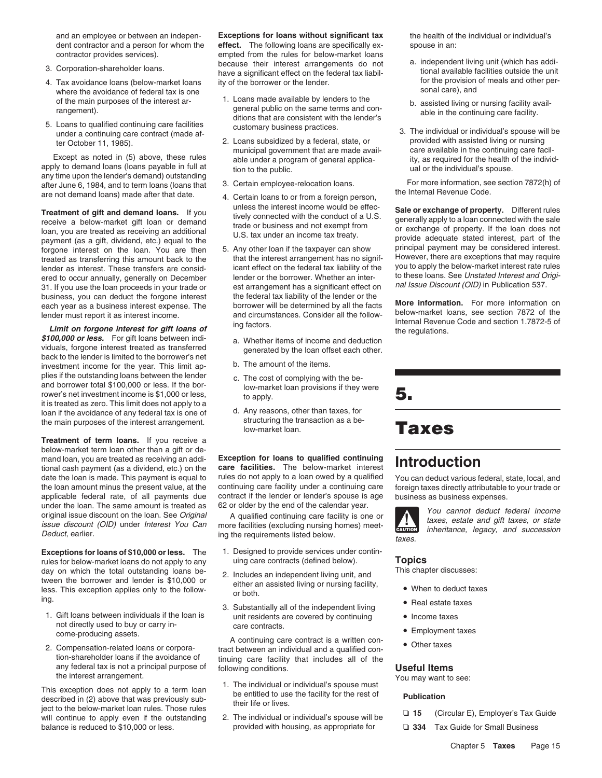- 
- where the avoidance of federal tax is one sonal care), and<br>of the main nurnoses of the interest are sonal care of the main nurnoses of the interest are
- 5. Loans to qualified continuing care facilities customary business practices.<br>1. The individual or individual's spouse will be under a continuing care contract (made af-<br>1. 1985). 2. Loans subsidized by a federal, state,

Except as noted in (5) above, these rules<br>apply to demand loans (loans payable in full at a tion to the public.<br>apply to demand loans (loans payable in full at tion to the public.<br>any time upon the lender's demand) outstan after June 6, 1984, and to term loans (loans that 3. Certain employee-relocation loans.<br>are not demand loans) made after that date.<br>4. Certain loans to or from a foreign person. the Internal Revenue Code.

Forgone interest on the loan. You are then 5. Any other loan if the taxpayer can show principal payment may be considered interest.<br>Treated as transferring this amount back to the that the interest arrangement has no signi treated as transferring this amount back to the that the interest arrangement has no signif-<br>lender as interest These transfers are consid-<br>lender as interest These transfers are consid-<br>icant effect on the federal tax lia lender as interest. These transfers are consid-<br>
lender or the borrower. Whether an inter-<br>
lender or the borrower. Whether an inter-<br>
to these loans. See Unstated Interest and Origi-<br>
or December as lender or the borrower ered to occur annually, generally on December lender or the borrower. Whether an inter-<br>31. If you use the loan proceeds in your trade or est arrangement has a significant effect on all issue Discount (OID) in Publication 31. If you use the loan proceeds in your trade or est arrangement has a significant effect or business, you can deduct the forgone interest the federal tax liability of the lender or the

**Limit on forgone interest for gift loans of** the regulations.<br>**\$100,000 or less.** For gift loans between indi-<br>viduals, forgone interest treated as transferred and perfection the regulations. viduals, forgone interest treated as transferred generated by the loan offset each other.<br>back to the lender is limited to the borrower's net<br>investment income for the year. This limit an. <br>b. The amount of the items. investment income for the year. This limit applies if the outstanding loans between the lender c. The cost of complying with the be-<br>and borrower total \$100,000 or less. If the bor-<br>low-market loan provisions if they were rower's net investment income is \$1,000 or less,<br>it is treated as zero. This limit does not apply to a it is treated as zero. This is treated as zero. The main purposes of the interest arrangement<br>the main purposes of the interest arrangement<br>structuring the transaction as a bethe main purposes of the interest arrangement. Structuring the transmucries the main purposes of the interest arrangement.

**Treatment of term loans.** If you receive a below-market term loan other than a gift or demand loan, you are treated as receiving an addi- **Exception for loans to qualified continuing** mand loan, you are treated as receiving an addi-<br>tional cash payment (as a dividend, etc.) on the **care facilities.** The below-market interest **Introduction**<br>date the loan is made. This payment is equal to rules do not app the loan amount minus the present value, at the continuing care facility under a continuing care foreign taxes directly attributable to your trade or applicable federal rate, of all payments due contract if the lender or l applicable federal rate, of all payments due contract if the lender or lender's spouse is age business as business expenses.<br>under the loan. The same amount is treated as 62 or older by the end of the calendar year. under the loan. The same amount is treated as 62 or older by the end of the calendar year.<br>
original issue discount (OID) under Interest You Can more facilities (excluding nursing homes) meet-<br>
Doduct ordinary in the sensi

rules for below-market loans do not apply to any uing care contracts (defined below). **Topics** day on which the total outstanding loans be-<br>tween the borrower and lender is \$10,000 or<br>less. This exception applies only to the follow-<br>ing.<br>ing.

- not directly used to buy or carry in-<br>
care contracts.<br> **Employment taxes**<br> **e** Employment taxes
- tion-shareholder loans if the avoidance of tinuing care facility that includes all of the any federal tax is not a principal purpose of following conditions.<br>the interest arrangement. You may want to

their life of lives.<br>
will continue to apply even if the outstanding 2. The individual or individual's spouse will be <br>
balance is reduced to \$10,000 or less. provided with housing, as appropriate for **□ 334** Tax Guide fo balance is reduced to \$10,000 or less. provided with housing, as appropriate for ❏ **334** Tax Guide for Small Business

and an employee or between an indepen- the health of the individual or individual's **Exceptions for loans without significant tax** dent contractor and a person for whom the **effect.** The following loans are specifically ex-<br>spouse in an: contractor provides services). empted from the rules for below-market loans because their interest arrangements do not a. independent living unit (which has addi-<br>have a significant effect on the federal tax liabil- tional available facilities outside the unit<br>4. Tax avoidance loans (below-market

- of the main purposes of the interest ar-<br>
rangement).<br>
The interest are terms and contained by lender's<br>
the lender's<br>
te in the continuing care facility.<br>
S. Loans to qualified continuing care facilities<br>
te in the contin
	- 2. Loans subsidized by a federal, state, or provided with assisted living or nursing municipal qovernment that are made avail-<br>Care available in the continuing care facil-
		-
		-
- business, you can deduct the forgone interest<br>each year as a business interest expense. The borrower will be determined by all the facts<br>lender must report it as interest income. and circumstances. Consider all the follow-
	-
	-
	-
	-

rules do not apply to a loan owed by a qualified You can deduct various federal, state, local, and<br>continuing care facility under a continuing care foreign taxes directly attributable to your trade or

Deduct, earlier. The requirements listed below.

- **Exceptions for loans of \$10,000 or less.** The 1. Designed to provide services under contin-<br>rules for below-market loans do not apply to any uniquare contracts (defined below).
	-
- Real estate taxes 3. Substantially all of the independent living 1. Gift loans between individuals if the loan is unit residents are covered by continuing • Income taxes

Example are contract is a written con-<br>2. Compensation-related loans or corpora-<br>2. Compensation-related loans or corpora-<br>2. Compensation-related loans or corpora-<br>2. Compensation-related loans or corpora-Compensation-related loans or corpora-<br>tion-shareholder loans if the avoidance of the trinuing care facility that includes all of the

- the interest arrangement.<br>
The individual or individual's spouse must<br>
This exception does not apply to a term loan<br>
described in (2) above that was previously sub-<br>
their life or lives.<br>
the interpolar publication<br>
their
	-

- 
- 
- 

**Treatment of gift and demand loans.** If you unless the interest income would be effec-<br>receive a below-market gift loan or demand<br>loan, you are treated as receiving an additional trade or business and not exempt from paym

## **Taxes**



- 
- 
- 
- 
- 

- -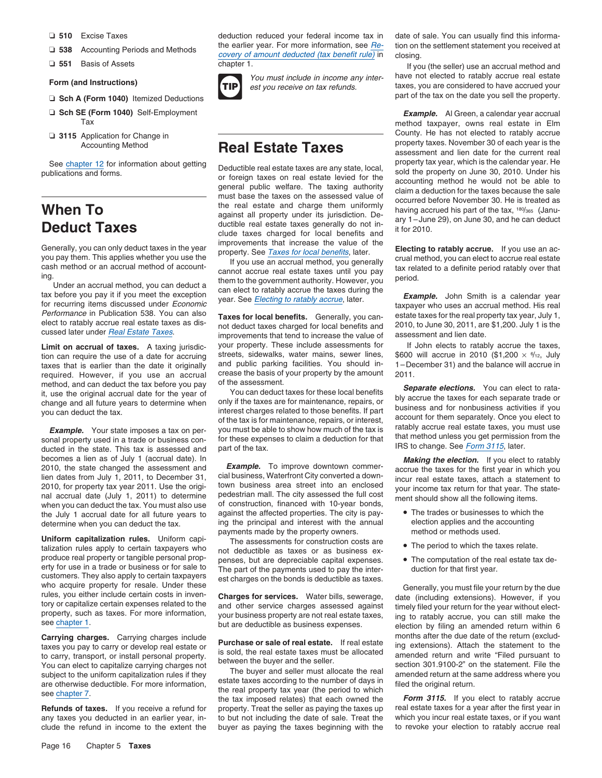- 
- 
- 

- □ Sch A (Form 1040) Itemized Deductions
- 
- 

tion can require the use of a date for accruing streets, sidewalks, water mains, sewer lines, taxes that is earlier than the date it originally and public parking facilities. You should intaxes that is earlier than the date it originally and public parking facilities. You should in-<br>required. However, if you use an accrual crease the basis of your property by the amount 2011. required. However, if you use an accrual crease the basis of method, and can deduct the tax before you pay

becomes a lien as of July 1 (accrual date). In **Example.** To improve downtown commer-<br>2010, the state changed the assessment and **Example.** To improve downtown commer-<br>2010, the state changed the assessment and **Example.** 2010, the state changed the assessment and **Example.** To improve downtown commer-<br>lien dates from July 1, 2011, to December 31, cial business, Waterfront City converted a down-<br>incur real estate taxes, attach a statement t lien dates from July 1, 2011, to December 31, cial business, waterfront City converted a down-<br>2010, for property tax year 2011. Use the origi- town business area street into an enclosed vour income tax return for that yea 2010, for property tax year 2011. Use the original correction is the state-<br>
must also use the original accrual date (July 1, 2011) to determine pedestrian mall. The city assessed the full cost<br>
when you can deduct the tax the July 1 accrual date for all future years to against the affected properties. The city is pay-<br>determine when you can deduct the tax ing the principal and interest with the annual election applies and the accounting

Uniform capitalization rules. Uniform capi-<br>
talization rules apply to certain taxpayers who not deductible as taxes or as business ex-<br> **Interpersists of the period to which the taxes relate.** talization rules apply to certain taxpayers who produce real property or tangible personal propproduce real property or tangible personal prop-<br>enses, but are depreciable capital expenses.<br>extome in a trade or business or for sale to<br>metal traxpayers are the payments used to pay the inter-<br>who acquire property for r

❏ **510** Excise Taxes deduction reduced your federal income tax in date of sale. You can usually find this informa-U 538 Accounting Periods and Methods the earlier year. For more information, see <u>Re-</u> tion on the settlement statement you received at covery of amount deducted (tax benefit rule) in closing.<br>
■ 1. If you (the seller) us



Generally, you can only deduct taxes in the year improvements that increase the value of the<br>you pay them. This applies whether you use the year if you use an accrual method or an accrual method of account-<br>ing.<br>Under an a

elect to ratably accrue real estate taxes as dis-<br>cussed later under *Real Estate Taxes*.<br>improvements that tend to increase the value of assessment and lien date. **Limit on accrual of taxes.** A taxing jurisdic-<br>tion can require the use of a date for accruing streets, sidewalks, water mains, sewer lines, \$600 will accrue in 2010 (\$1,200  $\times$  %/12, July

determine when you can deduct the tax. ing the principal and interest with the annual election applies and the accounting payments made by the property owners. payments made by the property owners.

subject to the uniform capitalization rules if they<br>are otherwise deductible. For more information,<br>see chapter 7.<br>See chapter 7.<br>See chapter 7.<br>See chapter 7. **Refunds of taxes.** If you receive a refund for property. Treat the seller as paying the taxes up real estate taxes for a year after the first year in any taxes you deducted in an earlier year, in-<br>any taxes you deducted i any taxes you deducted in an earlier year, in-<br>
clude the refund in income to the extent the buyer as paying the taxes beginning with the to revoke your election to ratably accrue real clude the refund in income to the extent the buyer as paying the taxes beginning with the

If you (the seller) use an accrual method and Form (and Instructions)<br>Form (and Instructions)<br>Form 1040) literations and inter-<br>Form 1040) literations and the taxes, you are considered to have accrued your<br>part of the tax on the date you sell the property.

❏ **Sch SE (Form 1040)** Self-Employment *Example.* Al Green, a calendar year accrual method taxpayer, owns real estate in Elm<br>County. He has not elected to ratably accrue <p>Q 3115 Application for Change in<br/>\nAccording Method</p>\n<p>According Method</p>\n<p>3115 Application for Change in<br/>\nAccording Method</p>\n<p>Recounding Method</p>\n<p>23115 Algorithm 30 of each year is the<br/>\nAnswer 30 of each year is the<br/>\nAnswer 40. The number of the current real See chapter 12 for information about getting<br>publications and forms.<br>publications and forms.<br>publications and forms.<br>publications and forms.<br>publications and forms.<br>publications and forms.<br>percent public welfare. The taxin

Performance in Publication 538. You can also **Taxes for local benefits.** Generally, you can- estate taxes for the real property tax year, July 1,

method, and can deduct the tax before you pay<br>it, use the original accrual date for the year of<br>the assessment.<br>change and all future years to determine when<br>only if the taxes are for maintenance, repairs, or<br>you can deduc

- 
- 
- 

**Carrying charges.** Carrying charges include<br>taxes you pay to carry or develop real estate or<br>to carry, transport, or install personal property.<br>You can elect to capitalize carrying charges not<br>You can elect to capitalize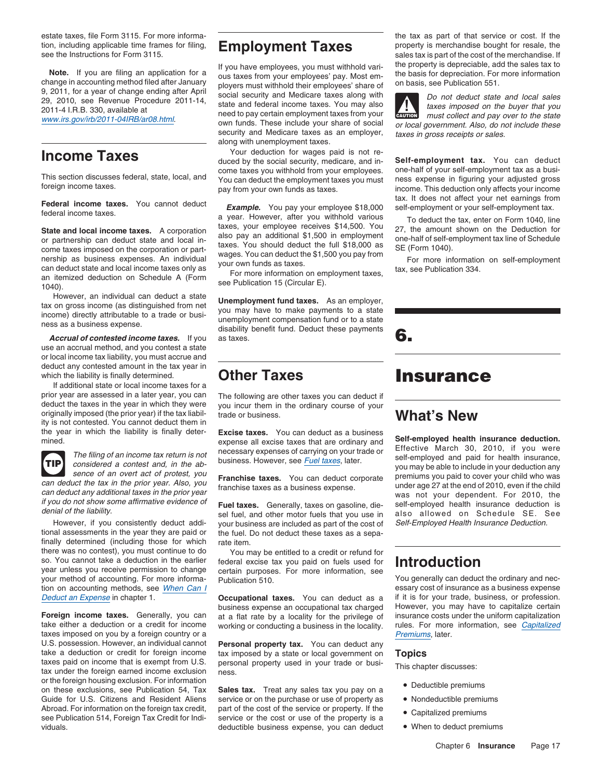use an accrual method, and you contest a state or local income tax liability, you must accrue and deduct any contested amount in the tax year in which the liability is finally determined. **Other Taxes Insurance** 

If additional state or local income taxes for a prior year are assessed in a later year, you can The following are other taxes you can deduct if deduct the taxes in the year in which they were you incur them in the ordinary course of your originally imposed (the prior year) if the tax liability is not contested. You cannot deduct them in the year in which the liability is finally deter- **Excise taxes.** You can deduct as a business



However, if you consistently deduct addi-<br>tional assessments in the year they are paid or<br>the fuel. Do not deduct these taxes as a sepafinally determined (including those for which rate item. there was no contest), you must continue to do You may be entitled to a credit or refund for so. You cannot take a deduction in the earlier federal excise tax you paid on fuels used for so. You cannot take a deduction in the earlier federal excise tax you paid on fuels used for **Introduction**<br>year unless you receive permission to change certain purposes. For more information, see<br>you generally can deduct your method of accounting. For more informa-<br>tion on accounting methods, see When Can l<br>essary cost of insurance as a business expense tion on accounting methods, see When Can I<br>Decluded the Sanctional taxes. You can deduct as a if it is for your trade, business, or profession.

taxes imposed on you by a foreign country or a U.S. possession. However, an individual cannot **Personal property tax.** You can deduct any take a deduction or credit for foreign income tax imposed by a state or local government on take a deduction or credit for foreign income tax imposed by a state or local government on **Topics**<br>taxes paid on income that is exempt from U.S. personal property used in your trade or busi-<br>tax under the foreign earned or the foreign housing exclusion. For information<br>on these exclusions, see Publication 54, Tax **Sales tax.** Treat any sales tax you pay on a **.** Deductible premiums Guide for U.S. Citizens and Resident Aliens service or on the purchase or use of property as • Nondeductible premiums Abroad. For information on the foreign tax credit, part of the cost of the service or property. If the • Capitalized premiums see Publication 514, Foreign Tax Credit for Indi- service or the cost or use of the property is viduals. deductible business expense, you can deduct

**Note.** If you are filing an application for a<br>change in accounting method filed after January<br>9, 2011, for a year of change ending after April<br>29, 2010, see Revenue Procedure 2011-14,<br>29, 2010, see Revenue Procedure 2011-2011-4 I.H.B. 330, available at need to pay certain employment taxes from your<br>www.irs.gov/irb/2011-04IRB/ar08.html.<br>www.irs.gov/irb/2011-04IRB/ar08.html.<br>security and Medicare taxes as an employer, taxes in gross receipts

**Income Taxes** Taxes Mour deduction for wages paid is not re-<br>duced by the social security, medicare, and in-<br>**Income Taxes** deduct -come taxes you withhold from your employees. one-half of your self-employment tax as a busi-<br>You can deduct the employment taxes you must ness expense in figuring your adjusted gross<br>foreign income taxes. income taxes. in

Federal income taxes. You cannot deduct<br>
federal income taxes. A corporation<br>
state and local income taxes. A corporation<br>
or partnership can deduct state and local income taxes. A corporation<br>
or partnership can deduct st

However, an individual can deduct a state<br>tax on gross income (as distinguished from net<br>income) directly attributable to a trade or busi-<br>next and the payment compensation fund or to a state<br>ness as a business expense.<br>di *Accrual of contested income taxes.* If you as taxes. **6.**

you incur them in the ordinary course of your trade or business. **What's New**

the fuel. Do not deduct these taxes as a sepa-

business expense an occupational tax charged **Foreign income taxes.** Generally, you can at a flat rate by a locality for the privilege of insurance costs under the uniform capitalization take either a deduction or a credit for income working or conducting a business working or conducting a business in the locality. rules. For more<br>*Premiums*, later.

Sales tax. Treat any sales tax you pay on a Service or the cost or use of the property is a<br>deductible business expense, you can deduct <br> $\bullet$  When to deduct premiums

estate taxes, file Form 3115. For more informa- the tax as part of that service or cost. If the tion, including applicable time frames for filing, **Employment Taxes** property is merchandise bought for resale, the see the Instructions for Form 3115. sales tax is part of the cost of the merchandise. If

**!**



expense all excise taxes that are ordinary and<br>The filing of an income tax return is not<br>considered a contest and, in the ab-<br>sence of an overt act of protest, you<br>Expending the self-employed and paid for health insurance, sence or an overt act or protest, you<br>can deduct corporate premiums you paid to cover your child who was<br>can deduct the tax in the prior year. Also, you<br>framchise taxes as a business expense.<br>If you do not show some affirm

Deduct an Expense in chapter 1. **Occupational taxes.** You can deduct as a if it is for your trade, business, or profession.

- 
- 
- 
-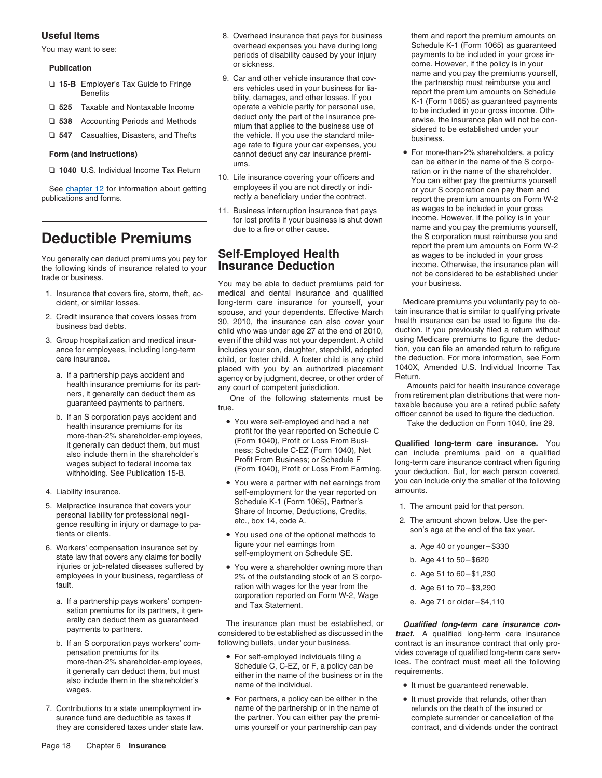- 
- 
- 
- 

**□ 1040** U.S. Individual Income Tax Return

See chapter 12 for information about getting employees if you are not directly or indi-<br>
rectly a beneficiary under the contract. The orient or your S corporation can pay them and<br>
report the premium amounts on Form W.

### **Deductible Premiums**

- 
- 
- -
	- b. If an S corporation pays accident and<br>health insurance premiums for its be used to the user spected on Schodule C<br>profit for the user spected on Schodule C
- 
- 5. Malpractice insurance that covers your<br>
personal liability for professional negli-<br>
gence resulting in injury or damage to pa-<br>
tec., box 14, code A. 2. The amount shown below. Use the per-<br>
tients or clients.<br>
tec., bo
- 6. Workers' compensation insurance set by<br>state law that covers any claims for bodily<br>injuries or job-related diseases suffered by<br>enviative a shareholder owning more than<br>employees in your business, regardless of<br>enviatin
	- a. If a partnership pays workers' compen-<br>and Tax Statement. e. Wage a. Age 71 or older–\$4,110 sation premiums for its partners, it gen-
	- also include them in the shareholder's name of the individual.<br>wages. Notice the manner of the individual.
- 7. Contributions to a state unemployment in-<br>
name of the partnership or in the name of the name of the name of the name of the death of the insured or
- **Useful Items** 8. Overhead insurance that pays for business them and report the premium amounts on You may want to see: <br>- periods of disability caused by your injury and the payments to be included in your gross in-<br>periods of disability caused by your injury payments to be included in your gross in-
	- 0. 538 Employer's Tax Guide to Fringe<br>
	Benefits<br>
	Benefits<br>
	and Nontaxable Income<br>
	and Nontaxable Income<br>
	<br> **2.** 525 Employer's Tax Guide to Fringe<br>
	ers vehicles used in your business for lia-<br>
	bility, damages, and other l age rate to figure your car expenses, you **Form (and Instructions)** cannot deduct any car insurance premi- • For more-than-2% shareholders, a policy
		- 10. Life insurance covering your officers and<br>employees if you are not directly or indi-<br>or your S corporation can pay them and
		- 11. Business interruption insurance that pays as wages to be included in your gross<br>for lost profits if your business is shut down income. However, if the policy is in your for lost profits if your business is shut down

You may be able to deduct premiums paid for 1. Insurance that covers fire, storm, theft, ac- medical and dental insurance and qualified cident, or similar losses.<br>spouse, and your dependents. Effective March tain insurance that is similar to qualifying private 2. Credit insurance that covers losses from spouse, and your dependents. Effective March tain insurance that is similar to qualifying private<br>business bad debts.<br>3. Group hospitalization and medical insur-<br>3. Group hospita Group hospitalization and medical insur- even if the child was not your dependent. A child using Medicare premiums to figure the deduc-<br>ance for employees, including long-term includes your son, daughter, stepchild, adopte includes your son, daughter, stepchild, adopted tion, you can file an amended return to refigure<br>child, or foster child, A foster child is any child the deduction. For more information, see Form care insurance. care insurance. care child, or foster child. A foster child is any child the deduction. For more information, see Form<br>placed with you by an authorized placement 1040X, Amended U.S. Individual Income Tax placed with you by an authorized placement 1040X,<br>agency or by judgment decree or other order of Return. a. If a partnership pays accident and agency or by judgment, decree, or other order of health insurance premiums for its part

- The meanin insurance premiums for its profit for the year reported on Schedule C<br>more-than-2% shareholder-employees, it contains for its profit for the year reported on Schedule C<br>it contains that the year reported on Sche
- 4. Liability insurance. The self-employment for the year reported on amounts.
	- You used one of the optional methods to
	- employees in your business, regardless of e. Age 51 to 601 to 601 to 600– 1,230 of the outstanding stock of an S corpo-<br>
	ration with wages for the year from the ration with wages for the year from the d. Age 61 to 70–\$3,290<br>corporation reported on Form W-2, Wage

erally can deduct them as guaranteed<br>
payments to partners.<br>
If an S corporation pays workers' com-<br>
following bullets, under your business.<br>
If an S corporation pays workers' com-<br>
following bullets, under your business.<br> b. If an S corporation pays workers' com-<br>
Individually pro-

- For self-employed individuals filing a<br>it generally can deduct them, but must<br>also include them in the shareholder's<br>also include them in the shareholder's<br>also include them in the shareholder's<br>also include them in the sh
- For partners, a policy can be either in the  $\qquad \qquad \bullet$  It must provide that refunds, other than surance fund are deductible as taxes if **complete surrender or cancellation** of the partner. You can either pay the premi-<br>
surance fund are deductible as taxes if they are considered taxes under state law. ums yourself or your partnership can pay contract, and dividends under the contract

**Publication** or sickness. come. However, if the policy is in your<br>9. Car and other vehicle insurance that cov-<br>**Publication** name and you pay the premiums yourself, 9. Car and other vehicle insurance that cov-<br>**Publicati** 

ums. The can be either in the name of the S corpo-<br>ration or in the name of the shareholder. report the premium amounts on Form W-2 due to a fire or other cause.<br>
the S corporation must reimburse you and<br>
the S corporation must reimburse you and report the premium amounts on Form W-2 You generally can deduct premiums you pay for<br>the following kinds of insurance related to your<br>the following kinds of insurance related to your<br>**INSURANCE Deduction**<br>income. Otherwise, the insurance plan will not be considered to be established under<br>trade or business.<br>You may be able to deduct premiums paid for vour business.

health insurance premiums for its part-<br>ners, it generally can deduct them as any court of competent jurisdiction.<br>One of the following statements must be from retirement plan distributions that were nonners, it generally can deduct them as fore of the following statements must be from retirement plan distributions that were non-<br>guaranteed payments to partners. true.<br>If an S corporation pays accident and

it generally can deduct them, but must (Form 1040), Profit or Loss From Busi- **Qualified long-term care insurance.** You eness; Schedule C-EZ (Form 1040), Net can include premiums paid on a qualified also include them in the shareholder's ress; Schedule C-EZ (Form 1040), Net can include premiums paid on a qualified Profit From Business; or S • You were a partner with net earnings from you can include only the smaller of the following

- 
- -
	-
	-
	-
	-

pensation premiums for its<br>more-than-2% shareholder-employees,<br>
Cohodule C. C. E. Z. ax E. e paliau son he sails are sent ices. The contract must meet all the following

- 
-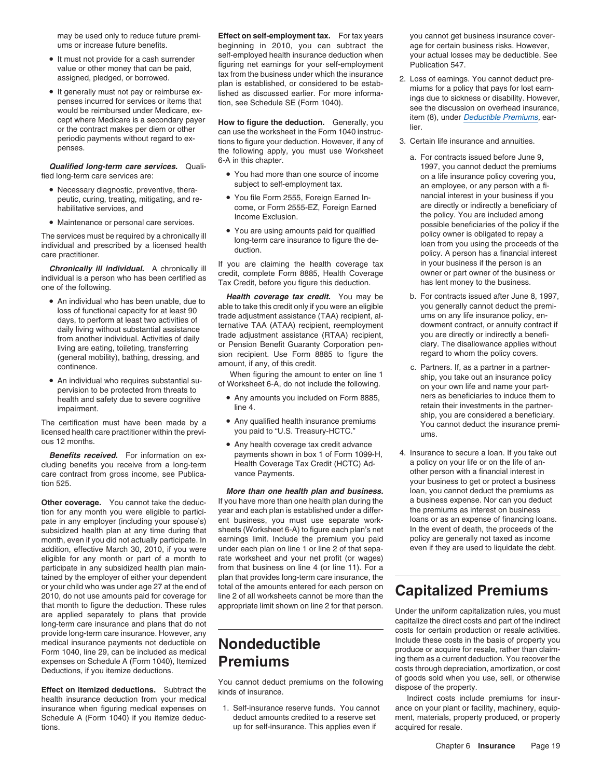- 
- It generally must not pay or reimburse ex-<br>penses incurred for services or items that<br>would be reimbursed under Medicare, ex-<br>cept where Medicare is a secondary payer<br>or the contract makes per diem or other<br>or the contra

- Necessary diagnostic, preventive, thera-<br>
peutic, curing, treating, mitigating, and re-<br>
habilitative services, and providency of Form 2555, Foreign Earned In-<br>
come, or Form 2555-EZ, Foreign Earned are directly or indir
- Maintenance or personal care services.

**Chronically ill individual.** A chronically ill **individual** a chronically ill **individual** and credit, complete Form 8885, Health Coverage individual is a person who has been certified as **Frax Credit, before you figure t** 

- 
- 

licensed health care practitioner within the previ- you paid to "U.S. Treasury-HCTC." ous 12 months.

cluding benefits you receive from a long-term Health Coverage Tax Credit (HCTC) Ad- a policy on your life or on the life of an-<br>care contract from gross income, see Publica- vance Payments care contract from gross income, see Publica-<br>
tion 525.<br>
your business to get or protect a business

tion for any month you were eligible to partici- year and each plan is established under a differ- the premiums as interest on business<br>pate in any employer (including your spouse's) ent business, you must use separate wor pate in any employer (including your spouse's) ent business, you must use separate work-<br>subsidized health plan at any time during that sheets (Worksheet 6-A) to figure each plan's net In the event of death, the proceeds o subsidized health plan at any time during that sheets (Worksheet 6-A) to figure each plan's net In the event of death, the proceeds of the month, even if you did not actually participate. In earnings limit. Include the pre month, even if you did not actually participate. In addition, effective March 30, 2010, if you were under each plan on line 1 or line 2 of that sepa- even if they are used to liquidate the debt.<br>eligible for any month or part of a month to rate worksheet and your net profit eligible for any month or part of a month to participate in any subsidized health plan main-<br>from that business on line 4 (or line 11). For a tained by the employer of either your dependent plan that provides long-term care insurance, the or your child who was under age 27 at the end of total of the amounts entered for each person on or your child who was under age 27 at the end of total of the amounts entered for each person on **Capitalized Premiums**<br>2010, do not use amounts paid for coverage for line 2 of all worksheets cannot be more than the **Capit** that month to figure the deduction. These rules appropriate limit shown on line 2 for that person.<br>are applied separately to plans that provide are applied separately to plans that do not cong-term care insurance and plans provide long-term care insurance. However, any<br>
medical insurance payments not deductible on<br>
Form 1040, line 29, can be included as medical<br>
expenses on Schedule A (Form 1040), Itemized<br> **Premiums**<br>
Premiums<br>
Premiums expenses on Schedule A (Form 1040), Itemized Deductions, if you itemize deductions.

tions. up for self-insurance. This applies even if acquired for resale.

may be used only to reduce future premi- **Effect on self-employment tax.** For tax years you cannot get business insurance coverums or increase future benefits. beginning in 2010, you can subtract the age for certain business risks. However, self-employed health insurance deduction when your actual losses may be deductible. See •• It must not provide for a cash surrender<br>
value or other money that can be paid,<br>
assigned, pledged, or borrowed.<br>
• It generally must not nay or reimburse ex-<br>
black as the business under which the insurance<br>
black is e

periodic payments without regard to ex-<br>perses.<br>the following apply you must use Workshoot the following apply, you must use Worksheet

- fied long-term care services are: You had more than one source of income on a life insurance policy covering you,
	- Income Exclusion. The policy. You are included among
	- You are using amounts paid for qualified

• An individual who has been unable, due to **Health coverage tax credit.** You may be b. For contracts issued after June 8, 1997,<br>lose of functional capacity for at loset 00 able to take this credit only if you were an elig • An individual who has been unable, due to<br>
loss of functional capacity for at least 90<br>
days, to perform at least two activities of<br>
days to perform at least two activities of<br>
days to perform at least two activities of<br>

- 
- 
- Any health coverage tax credit advance

Other coverage. You cannot take the deduc- If you have more than one health plan during the a business expense. Nor can you ded<br>tion for any month you were eligible to partici- year and each plan is established under a dif

of goods sold when you use, sell, or otherwise You cannot deduct premiums on the following **Effect on itemized deductions.** Subtract the dispose of the property. kinds of insurance.

- 
- 
- a. For contracts issued before June 9,<br>*G-A* in this chapter. **a.** *G-A* in this chapter. **a.** *A* in this chapter. **1997**, you cannot deduct the premiums<br>and long-term care services are: You had more than one source Subject to self-employment tax. an employee, or any person with a five-<br>neutic curing treating mitigating and re-<br>Nou file Form 2555 Foreign Farned In-<br>Nancial interest in your business if you possible beneficiaries of the policy if the The services must be required by a chronically ill<br>
individual and prescribed by a licensed health duction.<br>
care practitioner.<br>
Care practitioner.<br>
Care practitioner.<br>
Care practitioner.
	-
- An individual who requires substantial su-<br>
of Worksheet 6-A, do not include the following.<br>
be a low appropriate the following included on Form 8885<br>
hers as beneficiaries to induce them to • health and safety due to severe cognitive **•** Any amounts you included on Form 8885, ners as beneficiaries to induce them to health and safety due to severe cognitive **in the 4.** in the partner- line 4. in the partner- l The certification must have been made by a • Any qualified health insurance premiums ship, you are considered a beneficiary.<br>Internation must have been made by a • Any qualified health insurance premiums You cannot deduct
	- **Benefits received.** For information on ex-<br>Iding benefits you receive from a long-term Health Coverage Tax Credit (HCTC) Ad- a policy on your life or on the life of an-**More than one health plan and business.** loan, you cannot deduct the premiums as <br>you have more than one health plan during the a business expense. Nor can you deduct

costs through depreciation, amortization, or cost<br>of goods sold when you use, sell, or otherwise

health insurance deduction from your medical<br>insurance when figuring medical expenses on 1. Self-insurance reserve funds. You cannot ance on your plant or facility, machinery, equipinsurance when figuring medical expenses on 1. Self-insurance reserve funds. You cannot ance on your plant or facility, machinery, equip-<br>Schedule A (Form 1040) if you itemize deduc- deduct amounts credited to a reserve se Schedule A (Form 1040) if you itemize deduc-<br>deduct amounts credited to a reserve set ment, materials, property produced, or property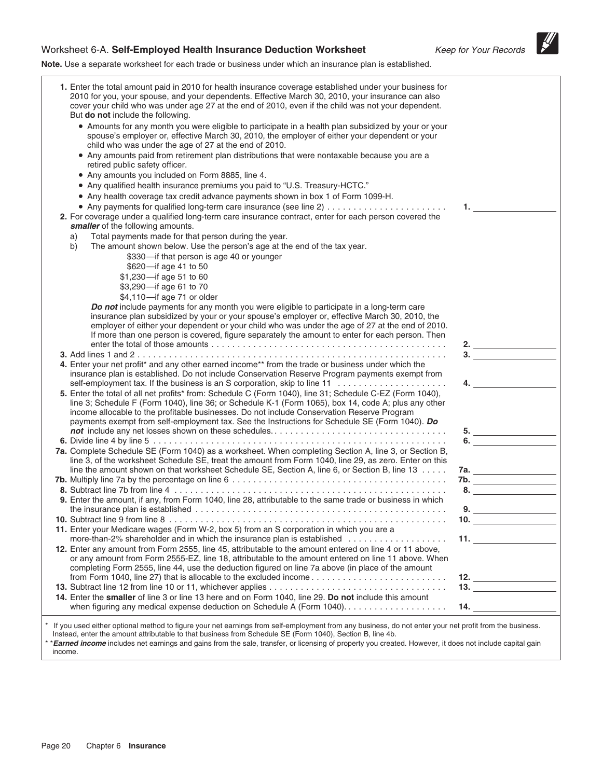### Worksheet 6-A. Self-Employed Health Insurance Deduction Worksheet Keep for Your Records

 $\mathscr{U}$ 

**Note.** Use a separate worksheet for each trade or business under which an insurance plan is established.

| 1. Enter the total amount paid in 2010 for health insurance coverage established under your business for<br>2010 for you, your spouse, and your dependents. Effective March 30, 2010, your insurance can also<br>cover your child who was under age 27 at the end of 2010, even if the child was not your dependent.<br>But do not include the following.<br>• Amounts for any month you were eligible to participate in a health plan subsidized by your or your<br>spouse's employer or, effective March 30, 2010, the employer of either your dependent or your<br>child who was under the age of 27 at the end of 2010.<br>• Any amounts paid from retirement plan distributions that were nontaxable because you are a<br>retired public safety officer.<br>• Any amounts you included on Form 8885, line 4.<br>• Any qualified health insurance premiums you paid to "U.S. Treasury-HCTC."<br>• Any health coverage tax credit advance payments shown in box 1 of Form 1099-H.<br>1.<br>2. For coverage under a qualified long-term care insurance contract, enter for each person covered the<br>smaller of the following amounts.<br>Total payments made for that person during the year.<br>a)<br>b)<br>The amount shown below. Use the person's age at the end of the tax year.<br>\$330-if that person is age 40 or younger<br>\$620-if age 41 to 50<br>\$1,230-if age 51 to 60<br>\$3,290-if age 61 to 70<br>\$4,110-if age 71 or older<br>Do not include payments for any month you were eligible to participate in a long-term care<br>insurance plan subsidized by your or your spouse's employer or, effective March 30, 2010, the<br>employer of either your dependent or your child who was under the age of 27 at the end of 2010. |  |
|-------------------------------------------------------------------------------------------------------------------------------------------------------------------------------------------------------------------------------------------------------------------------------------------------------------------------------------------------------------------------------------------------------------------------------------------------------------------------------------------------------------------------------------------------------------------------------------------------------------------------------------------------------------------------------------------------------------------------------------------------------------------------------------------------------------------------------------------------------------------------------------------------------------------------------------------------------------------------------------------------------------------------------------------------------------------------------------------------------------------------------------------------------------------------------------------------------------------------------------------------------------------------------------------------------------------------------------------------------------------------------------------------------------------------------------------------------------------------------------------------------------------------------------------------------------------------------------------------------------------------------------------------------------------------------------------------------------------------------------------------------|--|
|                                                                                                                                                                                                                                                                                                                                                                                                                                                                                                                                                                                                                                                                                                                                                                                                                                                                                                                                                                                                                                                                                                                                                                                                                                                                                                                                                                                                                                                                                                                                                                                                                                                                                                                                                       |  |
|                                                                                                                                                                                                                                                                                                                                                                                                                                                                                                                                                                                                                                                                                                                                                                                                                                                                                                                                                                                                                                                                                                                                                                                                                                                                                                                                                                                                                                                                                                                                                                                                                                                                                                                                                       |  |
|                                                                                                                                                                                                                                                                                                                                                                                                                                                                                                                                                                                                                                                                                                                                                                                                                                                                                                                                                                                                                                                                                                                                                                                                                                                                                                                                                                                                                                                                                                                                                                                                                                                                                                                                                       |  |
|                                                                                                                                                                                                                                                                                                                                                                                                                                                                                                                                                                                                                                                                                                                                                                                                                                                                                                                                                                                                                                                                                                                                                                                                                                                                                                                                                                                                                                                                                                                                                                                                                                                                                                                                                       |  |
|                                                                                                                                                                                                                                                                                                                                                                                                                                                                                                                                                                                                                                                                                                                                                                                                                                                                                                                                                                                                                                                                                                                                                                                                                                                                                                                                                                                                                                                                                                                                                                                                                                                                                                                                                       |  |
|                                                                                                                                                                                                                                                                                                                                                                                                                                                                                                                                                                                                                                                                                                                                                                                                                                                                                                                                                                                                                                                                                                                                                                                                                                                                                                                                                                                                                                                                                                                                                                                                                                                                                                                                                       |  |
|                                                                                                                                                                                                                                                                                                                                                                                                                                                                                                                                                                                                                                                                                                                                                                                                                                                                                                                                                                                                                                                                                                                                                                                                                                                                                                                                                                                                                                                                                                                                                                                                                                                                                                                                                       |  |
|                                                                                                                                                                                                                                                                                                                                                                                                                                                                                                                                                                                                                                                                                                                                                                                                                                                                                                                                                                                                                                                                                                                                                                                                                                                                                                                                                                                                                                                                                                                                                                                                                                                                                                                                                       |  |
|                                                                                                                                                                                                                                                                                                                                                                                                                                                                                                                                                                                                                                                                                                                                                                                                                                                                                                                                                                                                                                                                                                                                                                                                                                                                                                                                                                                                                                                                                                                                                                                                                                                                                                                                                       |  |
|                                                                                                                                                                                                                                                                                                                                                                                                                                                                                                                                                                                                                                                                                                                                                                                                                                                                                                                                                                                                                                                                                                                                                                                                                                                                                                                                                                                                                                                                                                                                                                                                                                                                                                                                                       |  |
|                                                                                                                                                                                                                                                                                                                                                                                                                                                                                                                                                                                                                                                                                                                                                                                                                                                                                                                                                                                                                                                                                                                                                                                                                                                                                                                                                                                                                                                                                                                                                                                                                                                                                                                                                       |  |
|                                                                                                                                                                                                                                                                                                                                                                                                                                                                                                                                                                                                                                                                                                                                                                                                                                                                                                                                                                                                                                                                                                                                                                                                                                                                                                                                                                                                                                                                                                                                                                                                                                                                                                                                                       |  |
| If more than one person is covered, figure separately the amount to enter for each person. Then                                                                                                                                                                                                                                                                                                                                                                                                                                                                                                                                                                                                                                                                                                                                                                                                                                                                                                                                                                                                                                                                                                                                                                                                                                                                                                                                                                                                                                                                                                                                                                                                                                                       |  |
| $\frac{2}{2}$ $\frac{2}{2}$ $\frac{2}{2}$ $\frac{2}{2}$ $\frac{2}{2}$ $\frac{2}{2}$ $\frac{2}{2}$ $\frac{2}{2}$ $\frac{2}{2}$ $\frac{2}{2}$ $\frac{2}{2}$ $\frac{2}{2}$ $\frac{2}{2}$ $\frac{2}{2}$ $\frac{2}{2}$ $\frac{2}{2}$ $\frac{2}{2}$ $\frac{2}{2}$ $\frac{2}{2}$ $\frac{2}{2}$ $\frac{2}{2}$ $\frac{2}{2}$                                                                                                                                                                                                                                                                                                                                                                                                                                                                                                                                                                                                                                                                                                                                                                                                                                                                                                                                                                                                                                                                                                                                                                                                                                                                                                                                                                                                                                   |  |
| 3.                                                                                                                                                                                                                                                                                                                                                                                                                                                                                                                                                                                                                                                                                                                                                                                                                                                                                                                                                                                                                                                                                                                                                                                                                                                                                                                                                                                                                                                                                                                                                                                                                                                                                                                                                    |  |
| 4. Enter your net profit* and any other earned income** from the trade or business under which the<br>insurance plan is established. Do not include Conservation Reserve Program payments exempt from                                                                                                                                                                                                                                                                                                                                                                                                                                                                                                                                                                                                                                                                                                                                                                                                                                                                                                                                                                                                                                                                                                                                                                                                                                                                                                                                                                                                                                                                                                                                                 |  |
| 4.<br>5. Enter the total of all net profits* from: Schedule C (Form 1040), line 31; Schedule C-EZ (Form 1040),<br>line 3; Schedule F (Form 1040), line 36; or Schedule K-1 (Form 1065), box 14, code A; plus any other<br>income allocable to the profitable businesses. Do not include Conservation Reserve Program<br>payments exempt from self-employment tax. See the Instructions for Schedule SE (Form 1040). Do                                                                                                                                                                                                                                                                                                                                                                                                                                                                                                                                                                                                                                                                                                                                                                                                                                                                                                                                                                                                                                                                                                                                                                                                                                                                                                                                |  |
| 5.                                                                                                                                                                                                                                                                                                                                                                                                                                                                                                                                                                                                                                                                                                                                                                                                                                                                                                                                                                                                                                                                                                                                                                                                                                                                                                                                                                                                                                                                                                                                                                                                                                                                                                                                                    |  |
| 6.                                                                                                                                                                                                                                                                                                                                                                                                                                                                                                                                                                                                                                                                                                                                                                                                                                                                                                                                                                                                                                                                                                                                                                                                                                                                                                                                                                                                                                                                                                                                                                                                                                                                                                                                                    |  |
| 7a. Complete Schedule SE (Form 1040) as a worksheet. When completing Section A, line 3, or Section B,<br>line 3, of the worksheet Schedule SE, treat the amount from Form 1040, line 29, as zero. Enter on this                                                                                                                                                                                                                                                                                                                                                                                                                                                                                                                                                                                                                                                                                                                                                                                                                                                                                                                                                                                                                                                                                                                                                                                                                                                                                                                                                                                                                                                                                                                                       |  |
| line the amount shown on that worksheet Schedule SE, Section A, line 6, or Section B, line 13                                                                                                                                                                                                                                                                                                                                                                                                                                                                                                                                                                                                                                                                                                                                                                                                                                                                                                                                                                                                                                                                                                                                                                                                                                                                                                                                                                                                                                                                                                                                                                                                                                                         |  |
| 7b.<br>8.                                                                                                                                                                                                                                                                                                                                                                                                                                                                                                                                                                                                                                                                                                                                                                                                                                                                                                                                                                                                                                                                                                                                                                                                                                                                                                                                                                                                                                                                                                                                                                                                                                                                                                                                             |  |
| 9. Enter the amount, if any, from Form 1040, line 28, attributable to the same trade or business in which                                                                                                                                                                                                                                                                                                                                                                                                                                                                                                                                                                                                                                                                                                                                                                                                                                                                                                                                                                                                                                                                                                                                                                                                                                                                                                                                                                                                                                                                                                                                                                                                                                             |  |
| 9.                                                                                                                                                                                                                                                                                                                                                                                                                                                                                                                                                                                                                                                                                                                                                                                                                                                                                                                                                                                                                                                                                                                                                                                                                                                                                                                                                                                                                                                                                                                                                                                                                                                                                                                                                    |  |
| 10. $\qquad \qquad$                                                                                                                                                                                                                                                                                                                                                                                                                                                                                                                                                                                                                                                                                                                                                                                                                                                                                                                                                                                                                                                                                                                                                                                                                                                                                                                                                                                                                                                                                                                                                                                                                                                                                                                                   |  |
| 11. Enter your Medicare wages (Form W-2, box 5) from an S corporation in which you are a<br>more-than-2% shareholder and in which the insurance plan is established<br>11. $\sim$ $\sim$ $\sim$ $\sim$ $\sim$                                                                                                                                                                                                                                                                                                                                                                                                                                                                                                                                                                                                                                                                                                                                                                                                                                                                                                                                                                                                                                                                                                                                                                                                                                                                                                                                                                                                                                                                                                                                         |  |
| 12. Enter any amount from Form 2555, line 45, attributable to the amount entered on line 4 or 11 above,                                                                                                                                                                                                                                                                                                                                                                                                                                                                                                                                                                                                                                                                                                                                                                                                                                                                                                                                                                                                                                                                                                                                                                                                                                                                                                                                                                                                                                                                                                                                                                                                                                               |  |
| or any amount from Form 2555-EZ, line 18, attributable to the amount entered on line 11 above. When                                                                                                                                                                                                                                                                                                                                                                                                                                                                                                                                                                                                                                                                                                                                                                                                                                                                                                                                                                                                                                                                                                                                                                                                                                                                                                                                                                                                                                                                                                                                                                                                                                                   |  |
| completing Form 2555, line 44, use the deduction figured on line 7a above (in place of the amount                                                                                                                                                                                                                                                                                                                                                                                                                                                                                                                                                                                                                                                                                                                                                                                                                                                                                                                                                                                                                                                                                                                                                                                                                                                                                                                                                                                                                                                                                                                                                                                                                                                     |  |
| 12. $\qquad \qquad$                                                                                                                                                                                                                                                                                                                                                                                                                                                                                                                                                                                                                                                                                                                                                                                                                                                                                                                                                                                                                                                                                                                                                                                                                                                                                                                                                                                                                                                                                                                                                                                                                                                                                                                                   |  |
| 14. Enter the smaller of line 3 or line 13 here and on Form 1040, line 29. Do not include this amount                                                                                                                                                                                                                                                                                                                                                                                                                                                                                                                                                                                                                                                                                                                                                                                                                                                                                                                                                                                                                                                                                                                                                                                                                                                                                                                                                                                                                                                                                                                                                                                                                                                 |  |
| 14.                                                                                                                                                                                                                                                                                                                                                                                                                                                                                                                                                                                                                                                                                                                                                                                                                                                                                                                                                                                                                                                                                                                                                                                                                                                                                                                                                                                                                                                                                                                                                                                                                                                                                                                                                   |  |
| If you used either optional method to figure your net earnings from self-employment from any business, do not enter your net profit from the business.<br>Instead, enter the amount attributable to that business from Schedule SE (Form 1040), Section B, line 4b.<br>*Earned income includes net earnings and gains from the sale, transfer, or licensing of property you created. However, it does not include capital gain<br>income.                                                                                                                                                                                                                                                                                                                                                                                                                                                                                                                                                                                                                                                                                                                                                                                                                                                                                                                                                                                                                                                                                                                                                                                                                                                                                                             |  |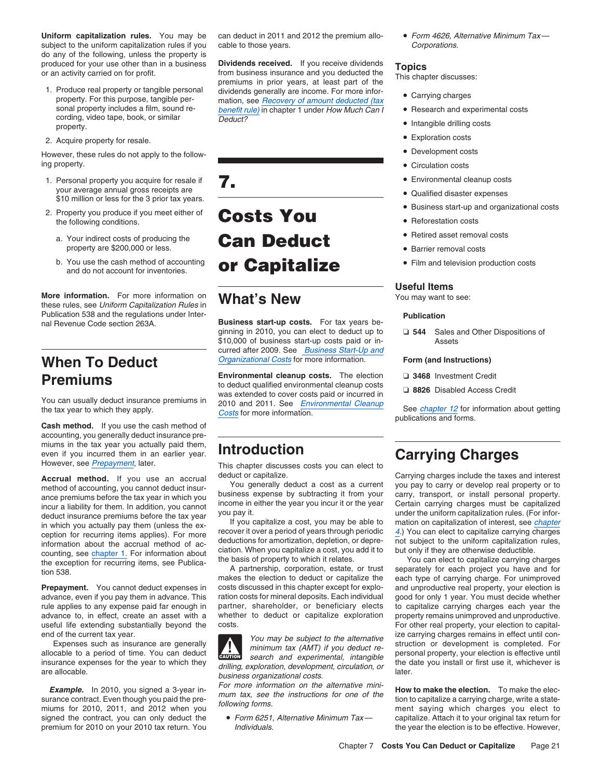Uniform capitalization rules. You may be can deduct in 2011 and 2012 the premium allo- • Form 4626, Alternative Minimum Tax subject to the uniform capitalization rules if you cable to those years. The componential corporations. do any of the following, unless the property is

- cording, video tape, book, or similar  $\overline{Deduct?}$  property.
- 2. Acquire property for resale.

However, these rules do not apply to the following property. **• Circulation costs • Circulation costs • Circulation costs** 

- \$10 million or less for the 3 prior tax years.
- 2. Property you produce if you meet either of  $\overline{\text{Costs}}$  You  $\overline{\text{sech}}$  . Reforestation costs Property you produce if you meet either of **Costs You** 
	-
	- and do not account for inventories.

More information. For more information on **What's New** You may want to see: these rules, see Uniform Capitalization Rules in Publication 538 and the regulations under Inter- **Publication**

**Cash method.** If you use the cash method of accounting, you generally deduct insurance premiums in the tax year you actually paid them, even if you incurred them in an earlier year. even if you incurred them in an earlier year.<br>
However, see <u>Prepayment</u>, later.<br> **Accrual method** if you use an accrual deduct or capitalize.<br> **Accrual method** if you use an accrual deduct or capitalize.<br> **Accrual method** 

information about the accrual method of accuracy deductions for amortization, depletion, or depre-<br>counting, see chapter 1. For information about cition. When you capitalize a cost, you add it to but only if they are other

**Prepayment.** You cannot deduct expenses in costs discussed in this chapter except for explo-<br>advance, even if you pay them in advance. This ration costs for mineral deposits. Each individual good for only 1 year. You must advance, even if you pay them in advance. This rule applies to any expense paid far enough in partner, shareholder, or beneficiary elects to capitalize carrying charges each year the advance to, in effect, create an asset with a whether to deduct or capitalize explorat useful life extending substantially beyond the

produced for your use other than in a business **Dividends received.** If you receive dividends **Topics**<br>or an activity carried on for profit. <br>This chapter discusses:<br>This chapter discusses:<br>This chapter discusses:<br>This cha Produce real property or tangible personal dividends generally are income. For more infor-<br>property. For this purpose, tangible per-<br>mation see Becovery of amount deducted (tax<br> $\bullet$  Carrying charges property. For this purpose, tangible per-<br>sonal property includes a film, sound re-<br>benefit rule) in chapter 1 under How Much Can I benefit rule) in chapter 1 under How Much Can  $I \rightarrow$  Research and experimental costs



Business start-up costs. For tax years beginning in 2010, you can elect to deduct up to ❏ **544** Sales and Other Dispositions of \$10,000 of business start-up costs paid or in- Assets curred after 2009. See Business Start-Up and **When To Deduct** *Organizational Costs* for more information. Form (and Instructions)

**Premiums**<br>
You can usually deduct insurance premiums in<br>
the tax year to which they apply.<br>
The tax year to which they apply.<br>
The tax year to which they apply.<br>
The tax year to which they apply.<br>
Costs for more informati

method of accounting, you cannot deduct insur-<br>business expense by subtracting it from your carry, transport, or install personal property.

makes the election to deduct or capitalize the each type of carrying charge. For unimproved costs discussed in this chapter except for explo- and unproductive real property, your election is

**CAUTION** insurance expenses for the year to which they drilling, exploration, development, circulation, or the date you install or first use it, whichever is are allocable. <br>are allocable. <br>later. business organizational costs. For

- 
- 
- Intangible drilling costs
- Exploration costs
- Development costs
- 
- 
- 
- Business start-up and organizational costs
- 
- Retired asset removal costs
- 
- 

### **Useful Items**

- 
- 

**Accrual method.** If you use an accrual deduct or capitalize. Carrying charges include the taxes and interest method of accounting you cannot deduct insure You generally deduct a cost as a current you pay to carry or devel ance premiums before the tax year in which you<br>income in either the year you incur it or the year and property.<br>Incur a liability for them. In addition, you cannot<br>deduct insurance premiums before the tax year you pay it.

the exception for recurring items, see Publica-<br>A partnership, corporation, estate, or trust<br>A partnership, corporation, estate, or trust<br>makes the election to deduct or capitalize the<br>each type of carrying charge. For uni whether to deduct or capitalize exploration property remains unimproved and unproductive.<br>Costs. For other real property, your election to capitalend of the current tax year.<br>
Expenses such as insurance are generally<br>
allocable to a period of time. You can develop the subject to the alternative<br>
allocable to a period of time. You can develop the struction or develop

**Example.** In 2010, you signed a 3-year in-<br>surance contract. Even though you paid the pre-<br>following forms.<br>following forms.<br>following forms.<br>the instructions for one of the<br>ment saying which charges you elect to<br>ment say signed the contract, you can only deduct the  $\bullet$  Form 6251, Alternative Minimum Tax — capitalize. Attach it to your original tax return for premium for 2010 on your 2010 tax return. You Individuals. The year the year the election is to be effective. However,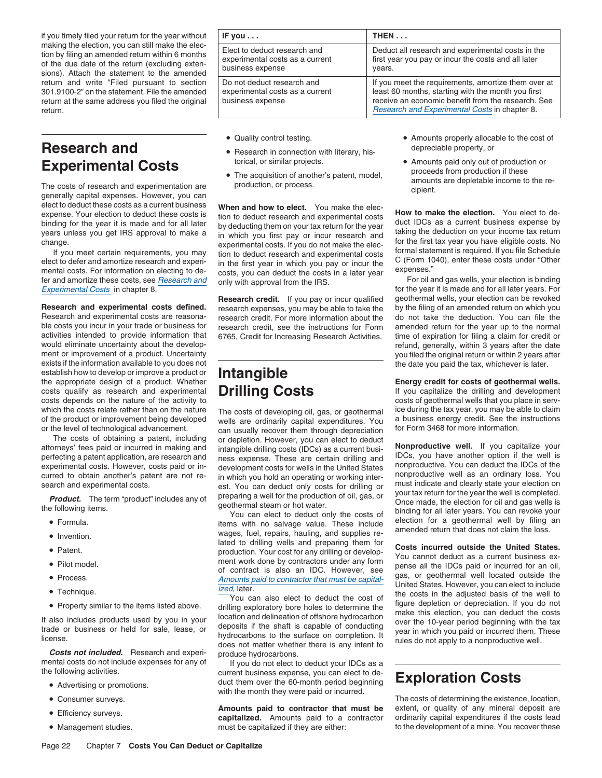# **Research and**  $\bullet$  Research in connection with literary, his- depreciable property, or

elect to deduct these costs as a current business **When and how to elect.** You make the electrospense. Your election to deduct these costs is tion to deduct research and experimental costs

activities intended to provide information that 6765, Credit for Increasing Research Activities. time of expiration for filing a claim for credit or<br>would eliminate uncertainty about the developwould eliminate uncertainty about the develop-<br>
ment or improvement of a product. Uncertainty<br>
ment or improvement of a product. Uncertainty<br>
ment or improvement of a product. Uncertainty exists if the information available to you does not<br>establish how to develop or improve a product or<br>the date you paid the tax, whichever is later. establish how to develop or improve a product or **Intangible**<br>
the appropriate design of a product. Whether **Energy credit for costs of geothermal wells.**<br>
costs qualify as research and experimental **Drilling Costs** and if costs qualify as research and experimental **Drilling Costs** If you capitalize the drilling and development<br>
costs depends on the nature of the activity to which the costs relate rather than on the nature The costs of developing oil, gas, or geothermal ice during the tax year, you may be able to claim<br>of the product or improvement being developed wells are ordinarily capital

- Formula.
- Invention.
- 
- Pilot model.
- 
- 
- 

**Costs not included.** Research and experi-<br>mental costs do not include expenses for any of<br>t you do not elect to

- 
- Consumer surveys.
- 
- Management studies.

| if you timely filed your return for the year without                                                                                                                                                    | IF you $\dots$                                                                      | THEN                                                                                                                                                                                                             |
|---------------------------------------------------------------------------------------------------------------------------------------------------------------------------------------------------------|-------------------------------------------------------------------------------------|------------------------------------------------------------------------------------------------------------------------------------------------------------------------------------------------------------------|
| making the election, you can still make the elec-<br>tion by filing an amended return within 6 months<br>of the due date of the return (excluding exten-<br>sions). Attach the statement to the amended | Elect to deduct research and<br>experimental costs as a current<br>business expense | Deduct all research and experimental costs in the<br>first year you pay or incur the costs and all later<br>years.                                                                                               |
| return and write "Filed pursuant to section<br>301.9100-2" on the statement. File the amended<br>return at the same address you filed the original<br>return.                                           | Do not deduct research and<br>experimental costs as a current<br>business expense   | If you meet the requirements, amortize them over at<br>least 60 months, starting with the month you first<br>receive an economic benefit from the research. See<br>Research and Experimental Costs in chapter 8. |

- Quality control testing.
- 
- 

expense. Your election to deduct these costs is<br>binding for the year it is made and for all later<br>years unless you get IRS approval to make a<br>change.<br>change.<br>change.<br>change are the station of the station of the first tax y If you meet certain requirements, you may<br>If you meet certain requirements, you may<br>elect to defer and amortize research and experi-<br>in the first year in which you pay or incur the  $\frac{C(Form 1040)}{S(Form 1040)}$ , enter these cos in the first year in which you pay or incur the  $\sim$  (FOIII I), enter the second experience of  $\sim$  in the first year in  $\sim$  1140, wear in which you pay or incur the first year. mental costs. For information on electing to de-<br>fer and amortize these costs, see Research and only with approval from the IRS For oil and gas wells, your election is binding

**Research credit.** If you pay or incur qualified **Research and experimental costs defined.** research expenses, you may be able to take the by the filing of an amended return on which you has research credit. For more information about the do not take the deduction. You c research credit. For more information about the ble costs you incur in your trade or business for research credit, see the instructions for Form amended return for the year up to the normal activities intended to provide information that 6765 Credit for Increasing Besea

of the product or improvement being developed wells are ordinarily capital expenditures. You a business energy credit. See the instruction or the level of technological advancement. he level of technological advancement. for a sually recover them through depreciation<br>The costs of obtaining a patent, including for depletion. However, you can elect to deduct or depletion. However, you can elect to deduct attorneys' fees paid or incurred in making and<br>perfecting apatent application, are research and<br>ness expense. These are certain drilling and<br>IDCs, you have another option if the well is perfecting a patent application, are research and ness expense. These are certain drilling and IDCs, you have another option if the well is experimental costs. However, costs paid or in-<br>experimental costs. However, costs development costs for wells in the United States and protocologie. You can deduct the IDCs of the development costs for wells in the United States and proproductive well as an ordinary loss. You curred to obtain another's patent are not re-<br>search and experimental costs.<br>est. You can deduct only costs for drilling or must indicate and clearly state your election on

Fou can elect to deduct only the costs of a geothermal well by filing an items with no salvage value. These include allection for a geothermal well by filing an wages, fuel, repairs, hauling, and supplies re-<br>amended retur lated to drilling wells and preparing them for **Costs incurred outside the United States.** •production. Your cost for any drilling or develop-<br>ment work done by contractors under any form  $\frac{1}{2}$  and the local current business ex-Pilot model. ment work done by contractors under any form pense all the IDCs paid or incurred for an oil,<br>of contract is also an IDC. However, see gas, or geothermal well located outside the • Process.

• Property similar to the items listed above.<br>It also includes products used by you in your<br>It also includes products used by you in your<br>trade or business or held for sale, lease, or<br>It deposits if the shaft is capable of

mental costs do not include expenses for any of If you do not elect to deduct your IDCs as a<br>If you do not elect to deduct your can elect to decurrent business expense, you can elect to deduct them over the 60-month period beginning **Exploration Costs** •with the month they were paid or incurred.

> capitalized. Amounts paid to a contractor must be capitalized if they are either: to the development of a mine. You recover these

- Amounts properly allocable to the cost of
- **Experimental Costs**<br>
 The acquisition of another's patent, model,<br> **Experimental Costs**<br>
 The acquisition of another's patent, model,<br> **Experimental Costs**<br> **Amounts paid only out of production or**<br> **Experimental Costs** The acquisition of another's patent, model, and research and experimentation are production, or process.<br>The costs of research and experimentation are production, or process. cipient. amounts are depletable income to the r

fer and amortize these costs, see <u>Research and</u> only with approval from the IRS.<br>For the year it is made and for all later years. For<br>**Research credit**. If you pay or incur qualified geothermal wells, your election can be you filed the original return or within 2 years after

costs of geothermal wells that you place in serv-

search and experimental costs. est. You can deduct only costs for drilling or<br>**Product.** The term "product" includes any of preparing a well for the production of oil, gas, or<br>the following items. well is completed. geothe

Process. Amounts paid to contractor that must be capital-<br>United States. However, you can elect to include<br>the costs in the adjusted basis of the well to Technique.<br>• Technique. The costs in the adjusted basis of the well to You can also elect to deduct the cost of the costs in the adjusted basis of the well to a make this election. If you do not • drilling exploratory bore

The costs of determining the existence, location, **Amounts paid to contractor that must be** extent, or quality of any mineral deposit are **•** Efficiency surveys.<br> **Capitalized.** Amounts paid to a contractor ordinarily capital expenditures if the costs lead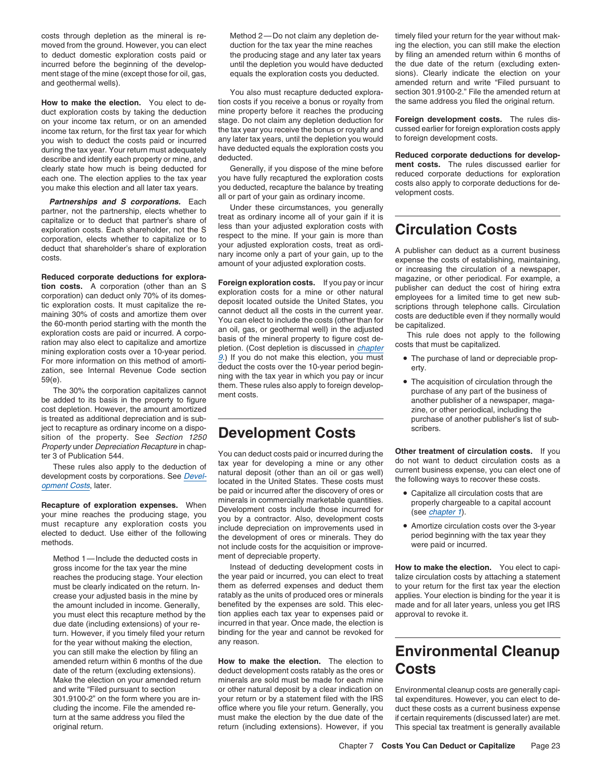ment stage of the mine (except those for oil, gas, equals the exploration costs you deducted.

duct exploration costs by taking the deduction mine property before it reaches the producing stage. Do not claim any depletion deduction for **Foreign development costs.** The rules dis-<br>income tax return for the first tax vear for which the tax year you receive the bonus or royalty and cussed earlier for foreign ex income tax return, for the first tax year for which the tax year you receive the bonus or royalty and cussed earlier for foreign exploration you wish to deduct the costs paid or incurred any later tax years, until the depl you wish to deduct the costs paid or incurred any later tax years, until the depletion you would<br>during the tax year. Your return must adequately have deducted equals the exploration costs you during the tax year. Your return must adequately have deducted equals the exploration costs you<br>describe and identify each property or mine, and deducted.<br>clearly state how much is being deducted for Generally, if you disp

Clearly state how much is being deducted for<br>each one. The rules discussed earlier for<br>each one. The election applies to the tax year<br>you have fully recaptured the exploration costs<br>you make this election and all later tax

**Reduced corporate deductions for exploration Costs.** The purchase of a mine of other periodical. For example, a<br>
corporation costs. A corporation (other than an Sexploration costs for a mine or other natural<br>
circle expl

The 30% the corporation capitalizes cannot the the ment costs.<br>be added to its basis in the property to figure ment costs.<br>another publisher of a newspaper, magacost depletion. However, the amount amortized zine, or other periodical, including the is treated as additional depreciation and is sub-<br>  $\overline{\phantom{a}}$  purchase of another publisher's list of subject to recapture as ordinary income on a dispo- $\blacksquare$ sition of the property. See Section 1250 **Development Costs** 

Method 1—Include the deducted costs in ment of depreciable property. the amount included in income. Generally, for the year without making the election, any reason.

How to make the election. You elect to de-<br>
tion costs if you receive a bonus or royalty from

corporation, elects whether to capitalize or to respect to the mine. If you gain is more than<br>deduct that shareholder's share of exploration your adjusted exploration costs, treat as ordi-<br>costs. amount of your adjusted ex

For more information on this method of amorti-<br>
zation, see Internal Revenue Code section deduct the costs over the 10-year period begin-<br>  $\frac{59(e)}{100}$ .<br>  $\frac{59(e)}{100}$  and  $\frac{1}{20}$  and  $\frac{1}{20}$  and  $\frac{1}{20}$  and

Property under Depreciation Recapture in chap-<br>
ter 3 of Publication 544.<br>
These rules also apply to the deduction of the deduction of tax year for developing a mine or any other do not want to deduct circulation costs as **Example the particle of exploration expenses.** When the particular of **exploration expenses.** When the minerals in commercially marketable quantities.<br>
your mine reaches the producing stage, you by a contractor. Also, dev Figure in the reactives the producing stage, you<br>
must recapture any exploration costs you<br>
elected to deduct. Use either of the following<br>
methods.<br>
methods.<br>
methods.<br>
methods.<br>
methods are exploration or improvements us

gross income for the tax year the mine Instead of deducting development costs in **How to make the election.** You elect to capi-<br>
reaches the producing stage. Your election the year paid or incurred, you can elect to treat reaches the producing stage. Your election the year paid or incurred, you can elect to treat must be clearly indicated on the return. In- them as deferred expenses and deduct them to your return for the first tax year the election crease your adjusted basis in the mine by ratably as the units of produced ores or minerals applies. Your election is binding for the year it is the amount included in income. Generally, benefited by the expenses are sold. you must elect this recapture method by the tion applies each tax year to expenses paid or approval to revoke it. due date (including extensions) of your re- incurred in that year. Once made, the election is turn. However, if you timely filed your return binding for the year and cannot be revoked for

date of the return (excluding extensions). deduct development costs ratably as the ores or **Costs** Make the election on your amended return minerals are sold must be made for each mine and write "Filed pursuant to section or other natural deposit by a clear indication on Environmental cleanup costs are generally capi-<br>301.9100-2" on the form where you are in-your return or by a statement filed with the I your return or by a statement filed with the IRS tal expenditures. However, you can elect to decluding the income. File the amended re- office where you file your return. Generally, you duct these costs as a current business expense turn at the same address you filed the must make the election by the due date of the if certain requirements (discussed later) are met. original return. return (including extensions). However, if you This special tax treatment is generally available

costs through depletion as the mineral is re- Method 2—Do not claim any depletion de- timely filed your return for the year without makmoved from the ground. However, you can elect duction for the tax year the mine reaches ing the election, you can still make the election to deduct domestic exploration costs paid or the producing stage and any later tax years by filing an amended return within 6 months of incurred before the beginning of the develop-<br>ment stage of the mine (except those for oil, gas, equals the exploration costs you deducted. sions). Clearly indicate the election on your and geothermal wells). amended return and write "Filed pursuant to You also must recapture deducted explora-<br>Section 301.9100-2." File the amended return at a costs if you return at a costs if you receive a bonus or roy

- 
- 

- 
- 

# you can still make the election by filing an **Environmental Cleanup**<br>amended return within 6 months of the due **How to make the election**. The election to<br>date of the return (excluding extensions). deduct development costs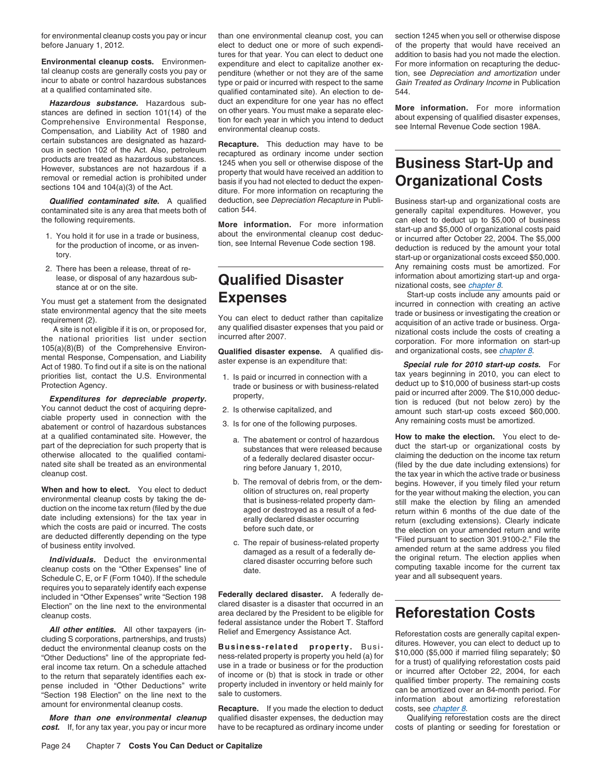before January 1, 2012. elect to deduct one or more of such expendi- of the property that would have received an

incur to abate or control hazardous substances type or paid or incurred with respect to the same Gain Treated as Ordinary Income in Publication<br>at a qualified contaminated site) An election to de-544

**Hazardous substance.** Hazardous sub-<br>stances are defined in section 101(14) of the on other years. You must make a separate elec-<br>Comprehensive Environmental Response, tion for each year in which you intend to deduct abou certain substances are designated as hazard-<br>ous in section 102 of the Act. Also, petroleum<br>products are treated as hazardous substances.<br>1245 when you sell or otherwise dispose of the

contaminated site is any area that meets both of cation 544.<br> **Contaminated site is any area that meets both of cation 544.**<br> **Contained and area information** Care mare information can elect to deduct up to \$5,000 of busin

- 
- lease, or disposal of any hazardous sub-<br>stance at or on the site.<br> **Qualified Disaster** nizational costs, see *chapter 8*.

cleanup costs on the "Other Expenses" line of class of computing taxable income for date.<br>Schedule C. E. or E (Form 1040) If the schedule Schedule C, E, or F (Form 1040). If the schedule requires you to separately identify each expense<br>included in "Other Expenses" write "Section 198 **Federally declared disaster.** A federally de-<br>Flection" on the line next to the environmental clared disaster is a disaster Election" on the line next to the environmental cleanup costs. area declared by the President to be eligible for **Reforestation Costs**

cost. If, for any tax year, you pay or incur more have to be recaptured as ordinary income under costs of planting or seeding for forestation or

Environmental cleanup costs. Environmental cleanup costs. Environmental cleanup costs. Environmental expenditure and elect to capitalize another ex-<br>tal cleanup costs are generally costs you pay or<br>incur (whether or not th qualified contaminated site). An election to de-

products are treated as hazardous substances.<br>However, substances are not hazardous if a property that would have received an addition to<br>removal or remedial action is prohibited under basis if you had not elected to deduc **Qualified contaminated site.** A qualified deduction, see Depreciation Recapture in Publi-<br>Intaminated site is any area that meets both of cation 544.

- 
- 
- -
	-
	-

federal assistance under the Robert T. Stafford

*More than one environmental cleanup* qualified disaster expenses, the deduction may Qualifying reforestation costs are the direct

for environmental cleanup costs you pay or incur than one environmental cleanup cost, you can section 1245 when you sell or otherwise dispose

the following requirements.<br>
1. You hold it for use in a trade or business,<br>
1. You hold it for use in a trade or business,<br>
2009 to business,<br>
2009 to business about the environmental cleanup cost deduc-<br>
198.<br>
2009 to in 2. There has been a release, threat of re-<br>lease, or disposal of any hazardous sub-<br>**Qualified Dieastor** information about amortizing start-up and orga-

You must get a statement from the designated<br>state environmental agency that the site meets<br>requirement (2).<br>A site is not eligible if it is on, or proposed for,<br>the national priorities list under section<br>the national pri

Act of 1980. To find out if a site is on the national<br>priorities list, contact the U.S. Environmental 1. Is paid or incurred in connection with a tax years beginning in 2010, you can elect to<br>Protection Agency. The U.S. En Protection Agency.<br> **Expenditures for depreciable property.**<br>
You cannot deduct the cost of acquiring depre-<br>
The \$10,000 of business start-up costs<br>
You cannot deduct the cost of acquiring depre-<br>
Ciable property used in

a. The abatement or control of hazardous<br>part of the depreciation of such property that is<br>otherwise allocated to the qualified contami-<br>nated site shall be treated as an environmental cleanup cost.<br>cleanup cost.<br>allocated b. The removal of debris from, or the dem-<br>
b. The removal of debris from, or the dem-<br>
olition of structures on, real property<br>
environmental cleanup costs by taking the de-<br>
duction on the income tax return (filed by the date including extensions) for the tax year in earlly declared disaster occurring which the costs are paid or incurred. The costs extensions are deducted differently depending on the type c. The repair of business-related Individuals. Deduct the environmental damaged as a result of a federally de-<br> **Individuals.** Deduct the environmental clared disaster occurring before such the original return. The election applies when<br>
eanup costs on the

**All other entities.** All other taxpayers (in Figure 20, 2004, to the method controlled that encyclosions, partnerships, and trusts)<br>
ditures. However, you can elect to deduct up to<br>
deduct the environmental cleanup costs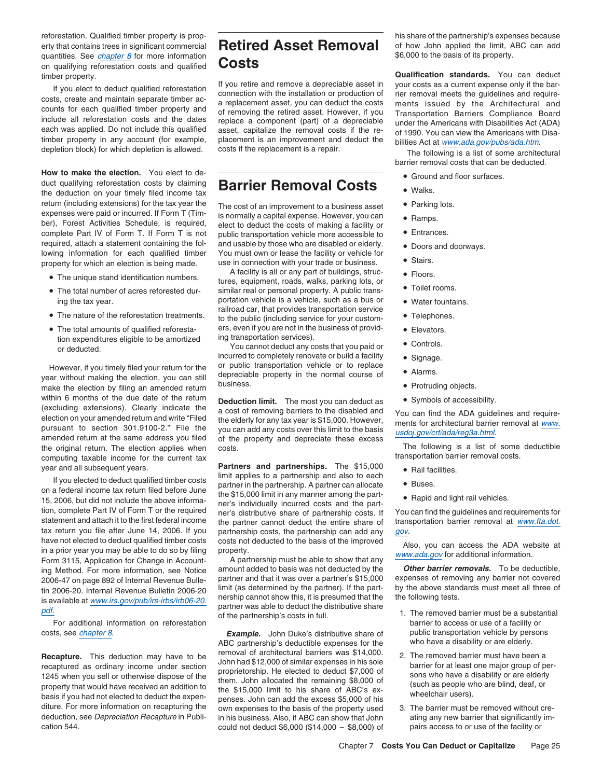reforestation. Qualified timber property is prop-<br>
his share of the partnership's expenses because erty that contains trees in significant commercial **Retired Asset Removal** of how John applied the limit, ABC can add quantities. See *chapter 8* for more information  $\overline{C}$  **COSTS**  $\overline{S}$   $\overline{S}$   $\overline{S}$   $\overline{S}$   $\overline{S}$   $\overline{S}$   $\overline{S}$   $\overline{S}$   $\overline{S}$   $\overline{S}$   $\overline{S}$   $\overline{S}$   $\overline{S}$   $\overline{S}$   $\overline{S}$   $\overline{S}$   $\overline{S}$   $\$ on qualifying reforestation costs and qualified

timber property in any account (for example, placement is an improvement and deduct the bilities Act at www.ada.gov/pubs/ada.htm.<br>depletion block) for which depletion is allowed. costs if the replacement is a repair. The f

**How to make the election.** You elect to de-<br>duct qualifying reforestation costs by claiming the deduction on your timely filed income tax<br>return (including extensions) for the tax year the return (including extensions) for the tax year the The cost of an improvement to a business asset Parking lots.<br>expenses were paid or incurred. If Form T (Tim-<br>is normally a capital expense. However, you can expenses were paid or incurred. If Form T (Tim- is normally a capital expense. However, you can  $\bullet$  Ramps.<br>ber), Forest Activities Schedule, is required, elect to deduct the costs of making a facility or ber), Forest Activities Schedule, is required, elect to deduct the costs of making a facility or complete Part IV of Form T. If Form T is not public transportation vehicle more accessible to  $\bullet$  Entrances. complete Part IV of Form T. If Form T is not public transportation vehicle more accessible to  $required$ , attach a statement containing the fol- and usable by those who are disabled or elderly. Iowing information for each qualified timber You must own or lease the facility or vehicle for<br>property for which an election is being made use in connection with your trade or business. property for which an election is being made.

- The unique stand identification numbers.
- The total number of acres reforested dur-
- 
- tion expenditures eligible to be amortized ing transportation services).<br>or deducted. You cannot deduct any costs that you paid or Controls.

year without making the election, you can still depreciable property in the normal course of year without making the election, you can still business. make the election by filing an amended return within 6 months of the due date of the return **Deduction limit.** The most you can deduct as • Symbols of accessibility.<br>(excluding extensions). Clearly indicate the a cost of romoving berriers to the displod and the original return. The election applies when costs.<br>
computing taxable income for the current tax<br>
computing taxable income for the current tax computing taxable income for the current tax

have not elected to deduct qualified timber costs costs not deducted to the basis of the improved<br>in a prior year you may be able to do so by filing property.<br>Form 3115. Application for Change in Account A partnership must Form 3115, Application for Change in Accounting Method. For more information, see Notice amount added to basis was not deducted by the **Other barrier removals**. To be deductible,<br>2006-47 on page 892 of Internal Revenue Bulletin 2006-20 limit (as determined by the pa

For additional information on reforestation

diture. For more information on recapturing the own expenses to the basis of the property used 3. The barrier must be removed without crededuction, see *Depreciation Recapture* in Publi- in his business. Also, if ABC can s cation 544. could not deduct \$6,000 (\$14,000 – \$8,000) of pairs access to or use of the facility or

### **duck Barrier Removal Costs** • **• Walks.**

and usable by those who are disabled or elderly. • Doors and doorways.

A facility is all or any part of buildings, struc- $\bullet$  Floors. tures, equipment, roads, walks, parking lots, or similar real or personal property. A public transing the tax year. **• In the tax year.** • **ing the tax year.** • **ing the tax year.** • Water fountains. railroad car, that provides transportation service • The nature of the reforestation treatments.  $\bullet$  the nublic (including consistent current current  $\bullet$ to the public (including service for your custom-<br>ers, even if you are not in the business of provid-<br>
Elevators • The total amounts of qualified reforesta- ers, even if you are not in the business of provid- • Elevators.

incurred to completely renovate or build a facility . Signage. However, if you timely filed your return for the or public transportation vehicle or to replace  $\overline{S}$  or  $\overline{S}$ 

(excluding extensions). Clearly indicate the a cost of removing barriers to the disabled and You can find the ADA guidelines and require-<br>election on your amended return and write "Filed the elderly for any tax year is \$15

year and all subsequent years. **Partners and partnerships.** The \$15,000 • Rail facilities. If you elected to deduct qualified timber costs<br>on a federal income tax return filed before June the C<sub>15</sub> OO limit in our management the part on a federal income tax return filed before June the \$15,000 limit in any manner among the part-<br>15, 2006, but did not include the above informa-<br>note individually incurred costs and the part 15, 2006, but did not include the above informa-<br>tion, complete Part IV of Form T or the required<br>statement and attach it to the first federal income<br>the partner cannot deduct the entire share of transportation barrier rem the partner cannot deduct the entire share of tax return you file after June 14, 2006. If you partnership costs, the partnership can add any gov.<br>have not elected to deduct qualified timber costs costs not deducted to the basis of the improved

is available at <u>www.irs.gov/pub/irs-irbs/irb06-20.</u> nership cannot show this, it is presumed that the the following tests.<br>
partner was able to deduct the distributive share<br>
For additional information on reforestation o

costs, see *chapter 8*. *Example.* John Duke's distributive share of public transportation vehicle by persons<br>ABC partnership's deductible expenses for the who have a disability or are elderly. ABC partnership's deductible expenses for the **Recapture.** This deduction may have to be the subset of architectural barriers was \$14,000.<br>
The removed barrier must have been a donn had \$12,000 of similar expenses in his sole<br>
1245 when you sell or otherwise dispose o in his business. Also, if ABC can show that John ating any new barrier that significantly im-

timber property.<br>
If you retire and remove a depreciable asset in<br>
If you retire and remove a depreciable asset in<br>
constant and the bar-<br>
consts, create and maintain separate timber ac-<br>
consts, create and maintain separa

barrier removal costs that can be deducted.

- Ground and floor surfaces.
- 
- 
- 
- 
- 
- 
- 
- Toilet rooms.
- 
- 
- 
- 
- 
- 
- 
- 

- 
- 
- 

- 
- 
-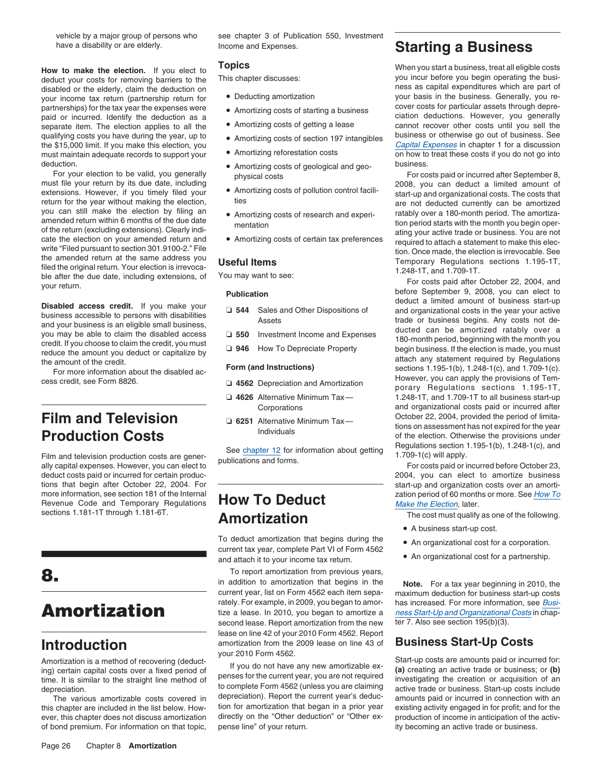your income tax return (partnership return for  $\bullet$  Deducting amortization your basis in the business. Generally, you re-<br>partnerships) for the tax vear the expenses were a paramining particular a business were costs for p qualifying costs you have during the year, up to **A**mortizing costs of section 197 intangibles deduction. **business.** • Amortizing costs of geological and geo-<br>

For your election to be valid, you generally physical costs  $\frac{1}{2}$  physical costs For costs paid or incurred after September 8, must file your return by its due date, including physical costs  $\frac{1}{2008}$ . Vou can deduc extensions. However, if you timely filed your • Amortizing costs of pollution control facili-<br>return for the year without making the election, these that the costs that that the vear without making the election, return for the year without making the election, thes are not deducted currently can be amortized<br>you can still make the election by filing an • Amortizing costs of research and experi-<br>amended return within 6 months of th be a the distant of the return within 6 months of the eteroion by illing and the election by illing and the teroion of the return within 6 months of the election on your amended return and<br>
and the election on your amended

deduct costs paid or incurred for certain produc-<br>
2004, you can elect to amortize business tions that begin after October 22, 2004. For start-up and organization costs over an amortimore information, see section 181 of the Internal  $\overline{H}$   $\overline{O}$   $\overline{O}$   $\overline{O}$   $\overline{O}$   $\overline{C}$   $\overline{C}$   $\overline{C}$   $\overline{C}$   $\overline{C}$   $\overline{C}$   $\overline{C}$   $\overline{C}$   $\overline{C}$   $\overline{C}$   $\overline{C}$   $\overline{C}$   $\overline{C}$   $\overline{C}$  Revenue Code and Temporary Regulations **HOW TO DEGUCL** Make the Election, later.

ever, this chapter does not discuss amortization

vehicle by a major group of persons who see chapter 3 of Publication 550, Investment

- Deducting amortization
- -
- 
- 
- 
- 
- 
- 

- 
- 
- 

- 
- 
- 

Film and television production costs are gener-<br>Film and television production costs are gener-publications and forms. the sharp of the diffusion of the sharp<br>Regulations setting the spulling of the setting fracests paid o

# sections 1.181-1T through 1.181-6T.<br> **Amortization**<br> **Amortization**

To deduct amortization that begins during the  $\bullet$  An organizational cost for a corporation. current tax year, complete Part VI of Form 4562 • An organizational cost for a partnership. and attach it to your income tax return.

To report amortization from previous years,<br>in addition to amortization that begins in the **Note.** For a tax year beginning in 2010, the current year, list on Form 4562 each item sepa- maximum deduction for business start-up costs rately. For example, in 2009, you began to amor-<br>tize a lease. In 2010, you began to amortize a ness Start-Up and Organizational Costs in chapsecond lease. Report amortization from the new  $\frac{1}{1}$  ter 7. Also see section 195(b)(3). lease on line 42 of your 2010 Form 4562. Report **Introduction** amortization from the 2009 lease on line 43 of **Business Start-Up Costs** your 2010 Form 4562.

The various amortizable costs covered in depreciation). Report the current year's deduc-<br>chapter are included in the list below. How-<br>chapter are included in the list below. How-<br>in the amortization that began in a prior y this chapter are included in the list below. How-<br>ever, this chapter does not discuss amortization directly on the "Other deduction" or "Other ex-<br>production of income in anticipation of the activof bond premium. For information on that topic, pense line" of your return. **ity becoming an active trade or business.** 

### have a disability or are elderly. **Income and Expenses. Starting a Business**

**Topics Topics** When you start a business, treat all eligible costs **How to make the election.** If you elect to **Topics How to the election How to make the election** of the **How to the election How to the election** deduct your costs for removing barriers to the This chapter discusses:<br>disabled or the elderly, claim the deduction on<br>vour income tax return (partnership return for Contacting amortization on disabled or the business. Gen partnerships) for the tax year the expenses were <br>paid or incurred, Identify the deduction as a<br>paid or incurred, Identify the deduction as a paid or incurred. Identify the deduction as a<br>separate item. The election applies to all the Chamortizing costs of getting a lease cannot recover other costs until you sell the separate item. The election applies to all the  $\bullet$  Amortizing costs of getting a lease cannot recover other costs until you sell the analifying costs until you sell the cannot recover other costs until you sell the cannot the \$15,000 limit. If you make this election, you entitled a must make the section of section to the section of the section of the section of the section of the section of the must maintain adequate records to support your must maintain adequate records to support your . Amortizing reforestation costs on how to treat these costs if you do not go into

must file your can deduct a limited amount of<br>• Amortizing costs of pollution control facili-<br>• etart-up and organizational costs. The costs that

**Disabled access credit.** If you make your<br>
business accessible to persons with disabilities<br>
and your business is an eligible small business,<br>
you may be able to claim the disabled access<br>
you may be able to claim the di However, you can apply the provisions of Tem- cess credit, see Form 8826. ❏ **<sup>4562</sup>**Depreciation and Amortization porary Regulations sections 1.195-1T, ❏ **4626** Alternative Minimum Tax— 1.248-1T, and 1.709-1T to all business start-up Corporations and organizational costs paid or incurred after **Film and Television**<br>**Production Costs Community** Gast Alternative Minimum Tax and tions on assessment has not expired for the year<br>of the election. Otherwise the provisions under

- A business start-up cost.
- 
- 

Amortization is a method of recovering (deduct-<br>ing) certain capital costs over a fixed period of<br>time. It is similar to the straight line method of penses for the current year, you are not required<br>depreciation. the strai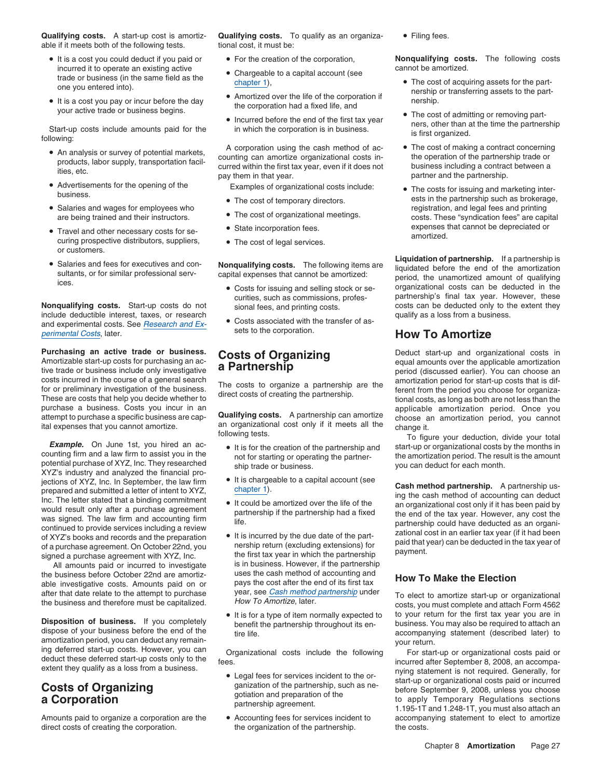**Qualifying costs.** A start-up cost is amortiz- **Qualifying costs.** To qualify as an organiza- • Filing fees. able if it meets both of the following tests. the tional cost, it must be:

- It is a cost you could deduct if you paid or incurred it to operate an existing active **Chargeable to a capital account (see** cannot be amortized. trade or business (in the same field as the cannot be amortized.
- It is a cost you pay or incur before the day the corporation had a fixed life, and the corporation had a fixed life, and the corporation had a fixed life, and **•** The cost of admitting or removing part-

Start-up costs include amounts paid for the in which the corporation is in business.<br>
following:<br>
A corporation using the cash method of ac-<br> **A** corporation is in business.<br> **A** corporation is in business.<br> **A** corporatio

- 
- Advertisements for the opening of the Advertisements for the opening of the Examples of organizational costs include:<br>business.
- Salaries and wages for employees who registration, and legal fees and printing
- curing prospective distributors, suppliers, The cost of legal services. or customers.
- 

**Nonqualifying costs.** Start-up costs do not sional fees, and printing costs. Costs can be deducted only to the include deductible interest, taxes, or research include deductible interest, taxes, or research and experimental costs. See  $\frac{Research}{area}$  Costs associated with the transfer of  $\frac{Present}{class}$ sets to the corporation. perimental Costs, later. **How To Amortize**

Amortizable start-up costs for purchasing an acceptable and the state of the system and amounts over the applicable amortization tive trade or business include only investigative **a Partnership** equal amounts over the ap tive trade or business include only investigative **a Particle Strip** period (discussed earlier). You can choose an<br>costs incurred in the course of a general search costs incurred in the course of a general search The costs to organize a partnership are the amortization period for start-up costs that is dif-<br>for or preliminary investigation of the business. The costs of creating the p purchase a business. Costs you incur in an an applicable amortization period. Once you<br>attempt to purchase a specific business are cap-<br>**Qualifying costs.** A partnership can amortize choose an amortization period, you cann attempt to purchase a specific business are cap-<br>ital expenses that you cannot amortize. an organizational cost only if it meets all the change it.

**Example.** On June 1st, you filled an acception of the partnership and start-up or organizational costs by the months in counting firm and a law firm to assist you in the notion of the partner-<br>potential purchase of XYZ, I iections of XYZ, Inc. In September, the law firm <br>
Inc. The letter stated that a binding commitment<br>
Inc. The letter stated that a binding commitment<br>
Inc. The letter stated that a binding commitment<br>
Inc. The letter state From the life of the distribution of a purchase agreement On October 22nd, you and first tax year in which the partnership and the partnership and the partnership if the partnership had a fixed was signed. The law firm and

the business before October 22nd are amortiz-<br>able investigative costs. Amounts paid on or pays the cost after the end of its first tax<br>after that date relate to the attempt to purchase year, see Cash method partnership un after that date relate to the attempt to purchase year, see Cash method partnership under<br>the business and therefore must be capitalized. How To Amortize, later. To elect to amortize start-up or organizational<br>costs, you m

**Disposition of business.** If you completely<br>
dispose of your business before the end of the<br>
amortization period, you can deduct any remain-<br>
ing deferred start-up costs. However, you can<br>
deduct these deferred start-up c

direct costs of creating the corporation. the organization of the partnership. the costs.

- 
- 
- Amortized over the life of the corporation if<br>the corporation had a fixed life, and
- 

• An analysis or survey of potential markets, and the cash method of ac-<br>counting can amortize organizational costs in-<br>medium of the partnership trade or products, labor supply, transportation facil-<br>ities, etc. business including a contract between a<br>pay them in that year. even if it does not business including a contract between a<br>partner and the partnership.

- 
- The cost of organizational meetings.
- State incorporation fees.
- 

- 
- Costs associated with the transfer of as-

- 
- 
- 
- All amounts paid or incurred to investigate is in business. However, if the partnership<br>business before October 22nd are amortiz-<br>uses the cash method of accounting and
	- It is for a type of item normally expected to

- 
- 

• For the creation of the corporation, **Nonqualifying costs.** The following costs

- Chargeable to a capital account (see trade or business (in the same field as the chapter 1), the cost of acquiring assets for the part-<br>one you entered into).<br>• Amortized over the life of the corporation if the part-
	- Incurred before the end of the first tax year<br>is which the cost of admitting or removing part-<br>ners, other than at the time the partnership
		-
- The costs for issuing and marketing interests in the partnership such as brokerage, • The cost of temporary directors. ests in the partnership such as brokerage, are being trained and their instructors. • Ine cost of organizational meetings. costs. These "syndication fees" are capital • Travel and other necessary costs for se-<br>• State incorporation fees.<br>
expenses that cannot be depreciated or<br>
amortized.

**Salaries and fees for executives and con- Nonqualifying costs.** The following items are **Liquidation of partnership.** If a partnership is **interproduced** before the end of the amortization Salaries and fees for executives and con-<br>sultants, or for similar professional serv-<br>ices.<br>Costs for issuing and selling stock or se-<br>costs for integrals and selling stock or se-<br>costs for issuing and selling stock or se-• Costs for issuing and selling stock or se- organizational costs can be deducted in the curities, such as commissions, profes-<br>
signal fees and printing costs<br>
costs can be deducted only to the extent they<br>
costs can be deducted only to the extent they

**Purchasing an active trade or business. Costs of Organizing** Deduct start-up and organizational costs in Amortizable start-up costs for purchasing an acception **Costs of Organizing**<br>tive trade or business include only i

It are that you cannot amortize. an organizational cost only if it meets all the change it.<br>following tests. To figure your deduction, divide your total *Example.* On June 1st, you hired an ac- • It is for the creation of

**Costs of Organizing**<br> **a Corporation Costs paid or incurred**<br> **a Corporation Section Section Section**<br> **a Corporation Section Section Section**<br> **a** Corporation Sections partnership agreement.<br> **a** Corporation Sections sec Amounts paid to organize a corporation are the <br>
• Accounting fees for services incident to accompanying statement to elect to amortize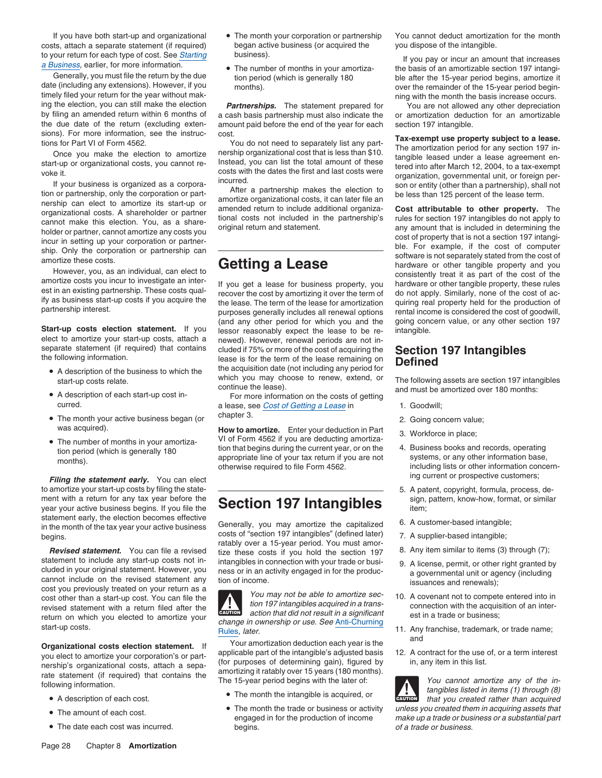costs, attach a separate statement (if required) began active business (or acquired the you dispose of the intangible. to your return for each type of cost. See *Starting* business).<br> **a Business**, earlier, for more information.<br>
• The number of months in your amortiza-<br>
the basis of an amortizable section 197 intangi-

timely filed your return for the year without mak-<br>ing the election, you can still make the election **Partnerships.** The statement prepared for You are not allowed any other depreciation

elect to amortize your start-up costs, attach a newed). However, renewal periods are not in-<br>separate statement (if required) that contains cluded if  $75\%$  or more of the cost of acquiring the

- 
- A description of each start-up cost in-
- The month your active business began (or <sup>chapter 3.</sup> end of 2. Going concern value;
- 

**Filing the statement early.** You can elect *Filing the statement early.* You can elect to amortize your start-up costs by filing the state-  $\overline{\hspace{1cm}}$  =  $\overline{\hspace{1cm}}$  =  $\overline{\hspace{1cm}}$  =  $\overline{\hspace{1cm}}$  =  $\overline{\hspace{1cm}}$  =  $\overline{\hspace{1cm}}$  =  $\overline{\hspace{1cm}}$  =  $\overline{\hspace{1cm}}$  =  $\overline{\hspace{1cm}}$  5. A patent, copyright, formula, pro ment with a return for any tax year before the **Section 197 Intangibles** sign, pattern, know-how, format, or similar<br>year your active business begins. If you file the **Section 197 Intangibles** item;

*Revised statement.* You can file a revised tize these costs if you hold the section 197 statement to include any start-up costs not in-<br>intangibles in connection with your trade or busistatement to include any start-up costs not in-<br>cluded in your original statement. However, you<br>cannot include on the revised statement any<br>cost you previously treated on your return as a<br>cost other than a start-up cost. Y

**Organizational costs election statement.** If Your amortization deduction each year is the <sup>and</sup><br>would of the mortize your corporation's or part applicable part of the intangible's adjusted basis 12. A contract for the use you elect to amortize your corporation's or part-<br>nership's organizational costs, attach a separtion of the intangible's adjusted basis and the intangible's adjusted basis 12. A contract for the use of, or a term interest<br>

- 
- 
- 
- 
- 

ing the election, you can still make the election **Partnerships.** The statement prepared for You are not allowed any other depreciation<br>by filing an amended return within 6 months of a cash basis partnership must also indi by filing an amended return within 6 months of a cash basis partnership must also indicate the or amortization deduction for an amortizable the due date of the return (excluding exten- amount paid before the end of the yea the due date of the return (excluding exten-<br>sions). For more information, see the instruc-<br>cost.

(and any other period for which you and the going concern value, or any other section 197 **Start-up costs election statement.** If you lessor reasonably expect the lease to be re- intangible.<br>elect to amortize your start-up costs, attach a newed). However, renewal periods are not inseparate statement (if required) that contains cluded if 75% or more of the cost of acquiring the **Section 197 Intangibles**<br>the following information.<br>• A description of the business to which the the acquisition date (not

A description of each start-up cost in-<br>
For more information on the costs of getting<br>
a lease see Cost of Getting a Lease in a lease, see Cost of Getting a Lease in 1. Goodwill;

was acquired).<br>
• The number of months in your amortiza-<br>
<sup>•</sup> The number of months in your amortiza-<br>
<sup>1</sup> tion pariod (which is generally 180<br>
<sup>1</sup> tion that begins during the current year, or on the 4. Business books and r • The number of months in your amortiza-<br>tion that begins during the current year, or on the the Business books and records, operating<br>months).<br>months).<br>months in the gins during the current year, or on the systems, or any

statement early, the election becomes effective<br>in the month of the tax year your active business<br>to the section 197 intangibles" (defined later)<br>begins.<br>**Revised statement.** You can file a revised intensive of these costs



action that did not result in a significant return on which you elected to amortize your change in ownership or use. See Anti-Churning est in a trade or business;<br>start-up costs. Rules, later. Rules, later.

- A description of each cost.  $\bullet$  The month the intangible is acquired, or
- The month the trade or business or activity • The date each cost was incurred. begins. begins. The date or business. The date or business.

If you have both start-up and organizational • The month your corporation or partnership You cannot deduct amortization for the month

Generally, you must file the return by the due<br>date (including any extensions). However, if you in the months).<br>timely filed your return for the year without mak-<br>timely filed your return for the year without mak-<br>ning wit

sions for Park II of The more information, see the instructions of Park II of the more information is the set of the more information period for any section of the more property subject to a lease.<br>
Once you make the elect

A description of the business to the matrices to which you may choose to renew, extend, or start-up costs relate. The following assets are section 197 intangibles continue the lease). And must be amortized over 180 months:

- 
- 
- 
- 
- 
- 
- 
- 
- 
- 
- 
- 

that you created rather than acquired **!** The month the trade or business or activity unless you created them in acquiring assets that • The month the trade or business or a substantial part • The month the trade or business or a substantial part make up a trade or business or a substantial part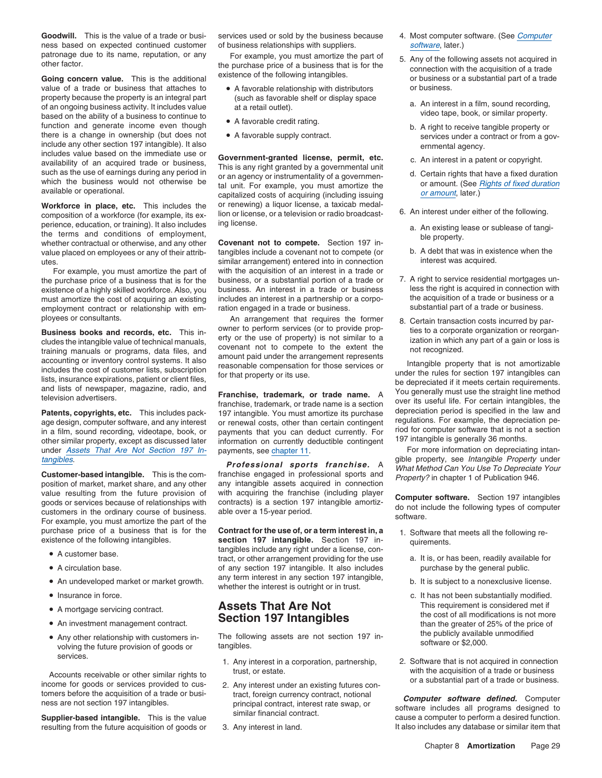Goodwill. This is the value of a trade or busi- services used or sold by the business because 4. Most computer software. (See Computer ness based on expected continued customer of business relationships with suppliers. software, later.)

value of a trade or business that attaches to •property because the property is an integral part (such as favorable shelf or display space a. An interest in a film, sound recording,<br>of an ongoing business activity. It includes value at a retail outlet).<br>based on the ab based on the ability of a business to continue to be a favorable credit rating.<br>
function and generate income even though b. A right to receive tangible property or there is a change in ownership (but does not • A favorable supply contract. Services under a contract or from a govinclude any other section 197 intangible). It also entitled any other section 197 intangible). It also example i<br>includes value based on the immediate use or example and the state of the state of the state of the state of

perience, education, or training). It also includes ing license.<br>
the terms and conditions of employment,<br>
whether contractual or otherwise, and any other<br>
value placed on employees or any of their attrib-<br>
value placed on utes. similar arrangement) entered into in connection interest was acquired.

employment contract or relationship with em- ration engaged in a trade or business.

ployees or consultants.<br> **Business books and records, etc.** This in-<br>
cludes the intangible value of technical manuals,<br>
cludes the intangible value of technical manuals<br>
covenant not to compete to the extent the<br>
includes

under Assets That Are Not Section 197 In-<br>tangibles.<br>tangibles.<br>The state of the chapter 11.<br>The state of the property, see Intangible Property under

value resulting from the future provision of with acquiring the franchise (including player<br>goods or services because of relationships with contracts) is a section 197 intangible amortiz-<br>customers in the ordinary course o

- 
- A circulation base.
- 
- Insurance in force.
- 
- An investment management contract.
- Any other relationship with customers in-<br>volving the future provision of goods or tangibles. services.<br>1. Any interest in a corporation, partnership, 2. Software that is not acquired in connection

Accounts receivable or other similar rights to<br>income for goods or services provided to cus-<br>2. Any interest under an existing futures con-<br>or a substantial part of a trade or business.

resulting from the future acquisition of goods or 3. Any interest in land. It also includes any database or similar item that

patronage due to its name, reputation, or any <br>other factor. the purchase price of a business that is for the the part of the following assets not acquired in<br>Going concern value. This is the additional existence of the fo

- A favorable relationship with distributors or business.
- 
- 

includes value based on the immediate use or<br>availability of an acquired trade or business,<br>such as the use of earnings during any period in<br>which the business would not otherwise be<br>available or operational. This is any r Workforce in place, etc. This includes the or renewing) a liquor license, a taxicab medal-<br>composition of a workforce (for example, its ex-<br>perience, education, or training), It also includes ing license.

value placed on employees or any of their attrib- tangibles include a covenant not to compete (or b. A debt that was in exis<br>similar arrangement) entered into in connection interest was acquired. For example, you must amortize the part of with the acquisition of an interest in a trade or purchase price of a business that is for the business, or a substantial portion of a trade or the purchase price of a business that is for the business, or a substantial portion of a trade or  $\overline{a}$ . A right to service residential mortgages un-<br>existence of a bushly skilled workforce. Also, you business. An inter existence of a highly skilled workforce. Also, you business. An interest in a trade or business less the right is acquired in connection with must amortize the cost of acquiring an existing includes an interest in a partne must amortize the cost of acquiring an existing includes an interest in a partnership or a corpo-<br>employment contract or relationship with em- ration engaged in a trade or business.<br>substantial part of a trade or business.

**Patents, copyrights, etc.** This includes pack-<br>age design, computer software, and any interest or renewal costs, other than certain contingent<br>in a film sound recording videotane book or payments that you can deduct curre in a film, sound recording, videotape, book, or payments that you can deduct currently. For riod for computer software that is not a section payments that is not a section payment of the similar property except as discusse other similar property, except as discussed later information on currently deductible contingent 197 intangible is generally 36 months.<br>under Assets That Are Not Section 197 In- payments, see chapter 11. For more informati

tangibles.<br> **Customer-based intangible.** This is the com-<br> **Professional sports franchise.** A gible property, see Intangible Property under<br>
position of market, market share, and any other any intangible assets acquired in

purchase price of a business that is for the **Contract for the use of, or a term interest in, a**<br>
existence of the following intangibles.<br> **existence of the following intangibles** include any right under a license, con-<br>
t tract, or other arrangement providing for the use a. It is, or has been, readily availat of any section 197 intangible. It also includes purchase by the general public. of any section 197 intangible. It also includes • An undeveloped market or market growth. any term interest in any section 197 intangible, Any term merest in any section 197 mangible,<br>whether the interest is outright or in trust.

The following assets are not section 197 in-<br>tangibles

- 
- 
- 
- 
- -
	-
	-
	-
- -
	-
- 
- 

- -
	-
- c. It has not been substantially modified. • A mortgage servicing contract. **Assets That Are Not** This requirement is considered met if **Archangele and Society 107 Internal place** the cost of all modifications is not more **Section 197 Intangibles** The cost of all modifications is not more **Section 197 Intangibles** *interactions* is not more of
	-

tomers before the acquisition of a trade or busi-<br>
principal contract, interest rate swap, or **Computer software defined.** Computer<br>
Supplier-based intangible. This is the value similar financial contract.<br>
Supplier-based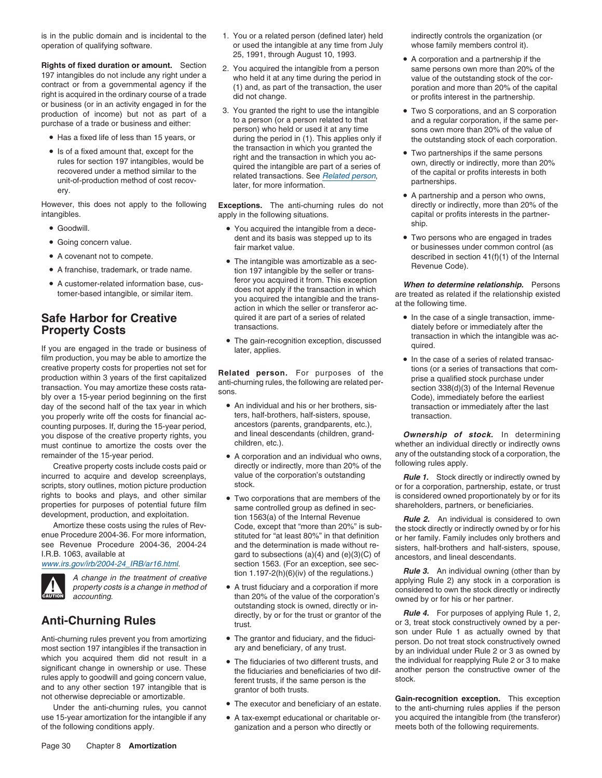operation of qualifying software.  $\qquad \qquad$  or used the intangible at any time from July whose family members control it).

**Rights of fixed duration or amount.** Section<br>
197 intangibles do not include any right under a<br>
right is acquired in the ordinary course of a trade<br>
include any right under a<br>
right is acquired in the ordinary course of a

- Has a fixed life of less than 15 years, or
- is or a fixed amount that, except for the<br>
rules for section 197 intangibles, would be<br>
rules for section 197 intangibles, would be<br>
recovered under a method similar to the<br>
unit-of-production method of cost recov-<br>
later,

However, this does not apply to the following **Exceptions.** The anti-churning rules do not directly or indirectly, more than 20% of the apply in the following situations. Computer of the capital or profits interests in the

- Goodwill.
- 
- A covenant not to compete.
- 
- 

If you are engaged in the trade or business of later, applies. film production, you may be able to amortize the **•** In the case of a series of related transaccreative property costs for properties not set for<br>production within 3 years of the first capitalized<br>transaction. You may amortize these costs rata-<br>bly over a 15-year period beginning on the first<br>bly over a 15-year peri day of the second half of the tax year in which <br>vou properly write off the costs for financial accuration or immediately after the last transaction.<br>the costs for financial accuration or immediately after the last transac you properly write off the costs for financial ac-<br>counting purposes If during the 15-year period ancestors (parents, grandparents, etc.), counting purposes. If, during the 15-year period,<br>vou dispose of the creative property rights you and lineal descendants (children, grandyou dispose of the creative property rights, you and lineal descendants (children, grand- **Ownership of stock.** In determining must continue to amortize the costs over the children, etc.). must continue to amortize the costs over the children, etc.). Whether an individual directly or indirectly owns

incurred to acquire and develop screenplays, value of the corporation's outstanding **Rule 1.** Stock directly or indirectly owned by scripts story outlines motion picture production stock.



which you acquired them did not result in a • The fiduciaries of two different trusts, and rules apply to goodwill and going concern value,<br>and to any other section 197 intangible that is grantor of both trusts.<br>not otherwise depreciable or amortizable.<br>The executor and beneficiary of an estate **Gain-recognition** 

use 15-year amortization for the intangible if any • A tax-exempt educational or charitable or- you acquired the intangible from (the transferor)

- is in the public domain and is incidental to the 1. You or a related person (defined later) held indirectly controls the organization (or 25, 1991, through August 10, 1993.<br>• A corporation and a partnership if the
	-
	- the transaction in which you granted the right and the transaction in which you ac-• Is of a fixed amount that, except for the • • • • • • • • • • • • • • • Two partnerships if the same persons

- ship. You acquired the intangible from a dece-• Going concern value.  $\blacksquare$
- A covenant not to compete.<br>• A franchise, trademark, or trade name.<br>• A franchise, trademark, or trade name.<br>• tion 197 intangible by the seller or transtion 197 intangible by the seller or trans-• A customer-related information base, cus-<br>terms heard intensile argimilar item • A customer-related information base, cus-<br>tomer-based intangible, or similar item.<br>you acquired the intangible and the trans-<br>action in which the seller or transferor ac-<br>action in which the seller or transferor ac-<br>acti **Safe Harbor for Creative** quired it are part of a series of related • In the case of a single transaction, imme-
	-

- 
- 
- rights to books and plays, and other similar the Two corporations that are members of the is considered owned proportionately by or for its<br>properties for purposes of potential future film same controlled group as defined Amortize these costs using the rules of Rev-<br>
enue Procedure 2004-36. For more information,<br>
I.R.B. 1063, available at the technical section 1563. (For an except that "more than 20%" is sub-<br>
I.R.B. 1063, available at gard
	- **CAUTION** accounting. than 20% of the value of the corporation's owned by or for his or her partner.<br>outstanding stock is owned, directly or in-<br>directly, by or for the trust or grantor of the **Rule 4.** For purposes of applying Rule 1, 2, directly, by or for the trust or grantor of the
		-
		-
		-
- of the following conditions apply. The sequence of the following requirements. Ganization and a person who directly or The rest both of the following requirements.

- 
- during the period in (1). This applies only if the outstanding stock of each corporation.
	-
	- A partnership and a person who owns, capital or profits interests in the partner-
- fair market value. The concern value of businesses under common control (as described in section  $41(f)(1)$  of the Internal Revenue Code).

- **Property Costs**<br> **Exercises** transactions.<br> **Exercises** transaction in which the intangible was ac-<br> **Exercises** transaction in which the intangible was ac-<br> **Exercises** transaction in which the intangible was ac-
	-

remainder of the 15-year period. • A corporation and an individual who owns, any of the outstanding stock of a corporation, the Creative property costs include costs paid or directly or indirectly, more than 20% of the fol

scripts, story outlines, motion picture production stock.<br>
rights to books and plays, and other similar a Tup corporations that are mombers of the is considered owned proportionately by or for its • Two corporations that are members of the is considered owned proportionately by or for its

**Anti-Churning Rules** or the trust of grantol of the trust of the trust of state of the trust. The particle of the process of the property, by or for the trust or grantol or the trust. The particle of the process of the pr son under Rule 1 as actually owned by that<br>Anti-churning rules prevent you from amortizing ● The grantor and fiduciary, and the fiduci-<br>most section 197 intangibles if the transaction in ary and beneficiary, of any trust. the individual for reapplying Rule 2 or 3 to make significant change in ownership or use. These the fiduciaries and beneficiaries of two dif-<br>rules apply to goodwill and going concern value, forgot tructe if the came person is the stock

The executor and beneficiary of an estate.<br>Under the anti-churning rules applies if the person<br>Under the anti-churning rules applies if the person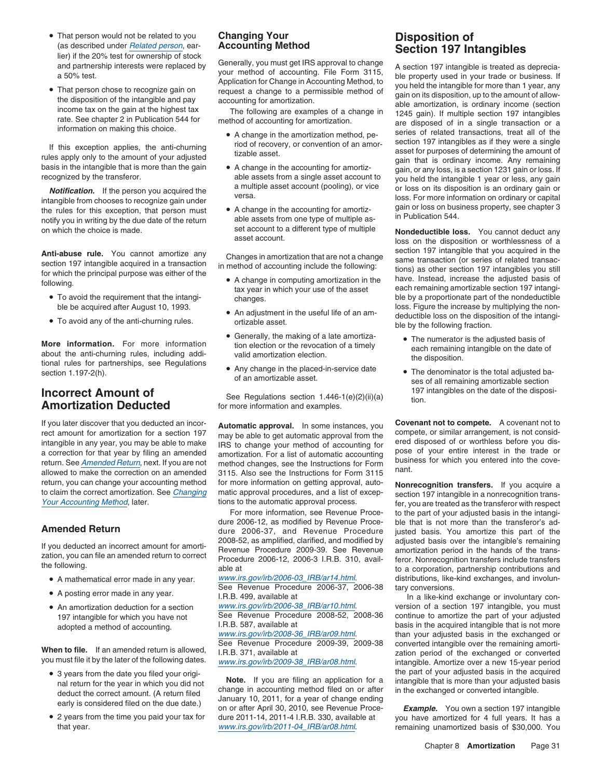- That person would not be related to you • That person would not be related to you<br>
(as described under <u>Related person</u>, ear-<br>
lier) if the 20% test for ownership of stock<br>
and partnership interests were replaced by<br>
a 50% test.<br> **a** 50% test.<br> **a** 50% test.<br> **a**
- 

**Notification.** If the person you acquired the intangible from chooses to recognize gain under<br>
intangible from chooses to recognize gain under<br>
the rules for this exception, that person must<br>
notify you in writing by the

- To avoid the requirement that the intangi-
- $\bullet$  To avoid any of the anti-churning rules.

More information. For more information<br>about the anti-churning rules, including addi-<br>tional rules for partnerships, see Regulations<br>about the anti-churning rules, including addi-<br>tional rules for partnerships, see Regulat tional rules for partnerships, see Regulations<br>section 1.197-2(h). • The denominator is the total adjusted ba-<br>of an amortizable asset. • The denominator is the total adjusted ba-<br>ses of all remaining amortizable section

# **Incorrect Amount of** See Regulations section 1.446-1(e)(2)(ii)(a) 197 intangibles on the date of the disposi-<br>**Amortization Deducted** for more information and examples.

If you later discover that you deducted an incor-<br>rect amount for amortization for a section 197 may be able to get automatic approval. In some instances, you<br>intangible in any year, you may be able to make IRS to change y return, you can change your accounting method for more information on getting approval, auto-<br>to claim the correct amortization. See *Changing* matic approval procedures, and a list of excep-<br>Your Accounting Method, later.

- 
- 
- An amortization deduction for a section

- 
- 2 years from the time you paid your tax for

- 
- 
- 

- A change in computing amortization in the
- 
- Generally, the making of a late amortiza-
- 

For more information, see Revenue Proce- to the part of your adjusted basis in the intangi-<br>dure 2006-12, as modified by Revenue Proce- ble that is not more than the transferor's ad-**Amended Return** dure 2006-37, and Revenue Procedure justed basis. You amortize this part of the

See Revenue Procedure 2006-37, 2006-38 tary conversions.<br>I.R.B. 499, available at a metal in a like-kind I.R.B. 499, available at **In a** like-kind exchange or involuntary con-<br>www.irs.gov/irb/2006-38\_IRB/ar10.html. version of a section 197 intangible, you must

nal return for the year in which you did not<br>deduct the correct amount. (A return filed change in accounting method filed on or after in the exchanged or converted intangible.<br>early is considered filed on the due date.) an dure 2011-14, 2011-4 I.R.B. 330, available at you have amortized for 4 full years. It has a www.irs.gov/irb/2011-04\_IRB/ar08.html. that year. www.irs.gov/irb/2011-04\_IRB/ar08.html. remaining unamortized basis of \$30,000. You

• That person chose to recognize gain on request a change to a permissible method of gain on the disposition of the intangible and pay accounting for amortization.<br>
income tax on the gain at the highest tax<br>
rate. See chap Figure of this exception applies, the anti-churning<br>
If this exception applies, the anti-churning<br>
rules apply only to the amount of your adjusted<br>
basis in the intangible that is more than the gain<br>
recognized by the tran

on which the choice is made. set account to a different type of multiple **Nondeductible loss**. You cannot deduct any<br>loss on the disposition or worthlessness of a **Anti-abuse rule.** You cannot amortize any<br>section 197 intangible that you acquired in the<br>section 197 intangible acquired in a transaction<br>for which the principal purpose was either of the<br>for which the principal purpose for which the principal purpose was either of the<br>
A change in computing amortization in the have. Instead, increase the adjusted basis of<br>
tax year in which your use of the asset each remaining amortizable section 197 int To avoid the requirement that the intangi-<br>
ble by a proportionate part of the nondeductible<br>
ble by a proportionate part of the nondeductible<br>
loss. Figure the increase by multiplying the nonble blanges.<br>• An adjustment in the useful life of an am-<br>eductible loss on the disposition of the intensi-An adjustment in the useful life of an am-<br>ortizable asset. deductible loss on the disposition of the intangi-<br>ble by the following fraction.

- 
- 

Is to the automatic approval process.<br>For more information, see Revenue Proce- to the part of your adjusted basis in the intangible that is not more than the transferor's ad-If you deducted an incorrect amount for amorti-<br>zation, you can file an amended return to correct<br>Procedure 2006-12, 2006-3 I.R.B. 310, avail-<br>the following.<br>the following.<br>the state of the trans-<br>able at the following. • A mathematical error made in any year. www.irs.gov/irb/2006-03\_IRB/ar14.html. distributions, like-kind exchanges, and involun-

www.irs.gov/irb/2006-38\_IRB/ar10.html.<br>See Revenue Procedure 2008-52, 2008-36 continue to amortize the part of your adjusted 197 intangible for which you have not See Revenue Procedure 2008-52, 2008-36 continue to amortize the part of your adjusted<br>Adopted a method of accounting (I.R.B. 587, available at basis in the acquired intangible that is adopted a method of accounting. I.R.B. 587, available at basis in the acquired intangible that is not more<br>www.irs.gov/irb/2008-36\_IRB/ar09.html. than your adjusted basis in the exchanged or<br>See Revenue Procedure 2009-39, When to file. If an amended return is allowed,<br>
you must file it by the later of the following dates.<br>
you must file it by the later of the following dates.<br>
you must file it by the later of the following dates.<br>
you must • 3 years from the date you filed your origi-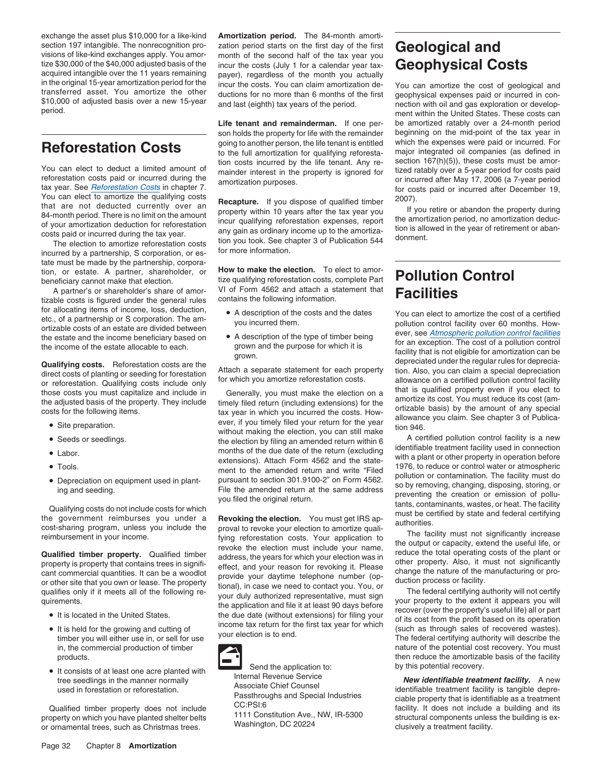exchange the asset plus \$10,000 for a like-kind **Amortization period.** The 84-month amortisection 197 intangible. The nonrecognition pro-<br>visions of like-kind exchanges apply. You amor-<br>tize \$30,000 of the \$40,000 adjusted basis of the<br>incur the costs (July 1 for a calendar year tax-<br>**Geophysical Conditions** tize \$30,000 of the \$40,000 adjusted basis of the incur the costs (July 1 for a calendar year tax-<br>acquired intangible over the 11 years remaining payer), regardless of the month you actually<br>in the original 15-year amorti

reforestation costs paid or incurred during the<br>
You can elect to amortize the qualifying costs<br>
that are not deducted currently over an<br>
Set-month period of year period for costs paid or incurred after December 19,<br>
Set-m

The election to amortize reforestation costs<br>incurred by a partnership, S corporation, or es-<br>for more information. tate must be made by the partnership, corporation, or estate. A partner, shareholder, or **How to make the election.** To elect to amor-

A partner's or shareholder's share of amor-<br>A partner's or shareholder's share of amor-<br>contains the following information. A partner's or shareholder's share of amor-<br>tizable costs is figured under the general rules contains the following information. for allocating items of income, loss, deduction,<br>etc., of a partnership or S corporation. The am-<br> $\frac{1}{2}$  and incurred them For anocaling terms of income, toss, deduction,<br>etc., of a partnership or S corporation. The am-<br>ou incurred them.<br>the estate and the dates provided between the pollution control facility over 60 months. How-<br>the estate an

- 
- Seeds or seedlings.
- 
- Tools.
- 

- 
- 
- 

**Life tenant and remainderman.** If one per- be amortized ratably over a 24-month period son holds the property for life with the remainder beginning on the mid-point of the tax year in going to another person, the life tenant is entitled which the expenses were paid or incurred. For **Reforestation Costs**<br>to the full amortization for qualifying reforesta-<br>tion costs incurred by the life tenant. Any re- section 167(h)(5)), these costs must be amortion costs incurred by the life tenant. Any re-<br>You can elect to deduct a limited amount of<br>reforestation costs paid or incurred during the<br>mortization purposes of the property is ignored for<br>or incurred after May 17, 2006

tion, or estate. A partner, shareholder, or **How to make the election.** To elect to amor-<br>beneficiary cannot make that election. tize qualifying reforestation costs, complete Part **Pollution Control**<br>A partner's or shareho

- 
- 

• Site preparation. exerered the election of the year and the verture of the verture of the verture of the verture of the verture of the verture of the verture of the verture of the verture of the state of the election, yo

• Depreciation on equipment used in plant-<br>
ing and seeding.<br>
ing and seeding.<br>
ing and seeding.<br>
ing and seeding at beameded return at the same address<br>
you infed the amended return at the same address<br>
you infed the orig



Send the application to: by this potential recovery. •

in the original 15-year amortization period for the incur the costs. You can claim amortization de-<br>transferred asset. You amortize the other ductions for no more than 6 months of the first geophysical expenses paid or inc

Find estate and the income beneficiary based on<br>
the estate and the income beneficiary based on<br>
the income beneficiary based on<br> **Qualifying costs**. Reforestation costs are the<br>
direct costs of planting or seeding for for

Seeds or seedlings. The election by filing an amended return within 6 identifiable treatment facility is a new<br>A certifiable treatment facility used in connection before in connection before in connection before months of the due date of the return (excluding with a plant or other property in operation before extensions). Attach Form 4562 and the state-<br>months the state-<br>months the state-<br> $\frac{1976}{1976}$ , to reduce or control wat Tools.<br>
1976, to reduce or control water or atmospheric<br>
1976, to reduce or control water or atmospheric<br>
1976, to reduce or contamination. The facility must do<br>
1976, to reduce or contamination. The facility must do<br>
1976

It is located in the United States.<br>
It is located in the United States.<br>
It is held for the growing and cutting of<br>
It is held for the growing and cutting of<br>
It is held for the growing and cutting of<br>
It is held for the timber you will either use in, or sell for use your election is to end. The federal certifying authority will describe the in, the commercial production of timber nature of the potential cost recovery. You must products.  $\|\cdot\|$   $\|\cdot\|$ 

• It consists of at least one acre planted with<br>tree seedlings in the manner normally<br>used in forestation or reforestation.<br>Qualified timber property does not include<br>property on which you have planted shelter belts<br>or orn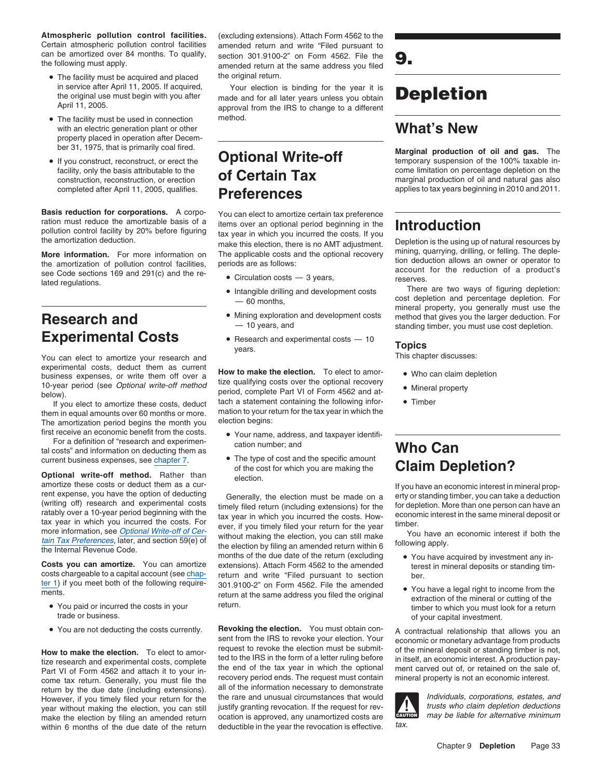**Atmospheric pollution control facilities.** (excluding extensions). Attach Form 4562 to the Certain atmospheric pollution control facilities amended return and write "Filed pursuant to can be amortized over 84 months. To qualify, the following must apply.

- The facility must be acquired and placed the original return.
- The facility must be used in connection method. with an electric generation plant or other **What's New** property placed in operation after Decem-
- If you construct, reconstruct, or erect the

Basis reduction for corporations. A corportional period to amortize certain tax preference<br>ration must reduce the amortizable basis of a<br>pollution control facility by 20% before figuring<br>tax year in which you incurred the

See Code sections 169 and 291(c) and the re-<br>lated regulations.<br>Intereductions.<br>Intereductions.<br>There are two ways of figuring depletion:

You can elect to amortize your research and experimental costs, deduct them as current<br>business expenses, or write them off over a **How to make the election.** To elect to amor-<br>determines expenses, or write them off over a **•** tize qualifying costs over the optional tize qualitying costs over the optional (see *Optional write-off method* error, and costs over the optional recovery • Mineral property

The amortization period begins the month you election begins: first receive an economic benefit from the costs. • Your name, address, and taxpayer identifi-

For a definition of "research and experimen-<br>cation number: and For a definition of "research and experimention cation number; and<br>tal costs" and information on deducting them as<br>current business expenses, see chapter 7.

amortize these costs or deduct them as a cur-<br>
rent expense, you have the option of deducting<br>
(writing off) research and experimental costs<br>
(writing off) research and experimental costs<br>
ratably over a 10-year period beg

ter 1) if you meet both of the following require-<br>301.9100-2" on Form 4562. File the amended

- You paid or incurred the costs in your
- You are not deducting the costs currently.

within 6 months of the due date of the return deductible in the year the revocation is effective.

section 301.9100-2" on Form 4562. File the **9.** amended return at the same address you filed

in service after April 11, 2005. If acquired, Your election is binding for the year it is<br>the original use must begin with you after made and for all later years unless you obtain In service after April 11, 2005. If acquired,<br>the original use must begin with you after made and for all later years unless you obtain **Depletion**<br>April 11, 2005. approval from the IRS to change to a different

# completed after April 11, 2005, qualifies. **Preferences** applies to tax years beginning in 2010 and 2011.

the amortization deduction.<br>
make this election, there is no AMT adjustment. Depletion is the using up of natural resources by<br>
More information. For more information on The applicable costs and the optional recovery minin

- 
- Intangible drilling and development costs
- 
- **Experimental Costs**<br>
You can elect to amortize your research and<br>
You can elect to amortize your research and<br> **Sou can elect to amortize your research and**

To-year period (see *Optional write-off method*<br>below).<br>If you elect to amortize these costs, deduct that a statement containing the following infor-<br>them in equal amounts over 60 months or more. That ion to your return fo

- 
- current business expenses, see chapter 7.<br>
of the cost for which you are making the cost for which you are making the of the cost and the specific amount<br> **Optional write-off method.** Rather than election.<br>
amortize these costs or deduct them as a cur-<br>
election.

tain Tax Preferences, later, and section 59(e) of the election by filing an amended return within 6 the Internal Revenue Code.<br>
the Internal Revenue Code.<br>
The Internal Revenue Code.<br>
The Internal Revenue Code. months of the due date of the return (excluding  $\bullet$  You have acquired by investment any in-<br>extensions). Attach Form 4562 to the amended therest in mineral deposits or standing tim-**Costs you can amortize.** You can amortize extensions). Attach Form 4562 to the amended terest in mineral deposits or standing tim-<br>costs chargeable to a capital account (see chap-<br>return and write "Filed pursuant to secti ments.<br>
• You have a legal right to income from the return at the same address you filed the original extraction of the mineral or cutting of the return.

**Revoking the election.** You must obtain con-<br>sent from the IRS to revoke your election. Your<br>request to revoke the election must be submit-<br>of the mineral deposit or standing timber is not. **How to make the election.** To elect to amor-<br>ted to the IRS in the form of a letter ruling before in itself, an economic interest. A production pay-<br>time reception of a letter ruling before in the form of a letter ruling tize research and experimental costs, complete ted to the IRS in the form of a letter ruling before in itself, an economic interest. A production pay-<br>Part VI of Form 4562 and attach it to your in-<br>part VI of Form 4562 and Part VI of Form 4562 and attach it to your in-<br>come tax return. Generally, you must file the recovery period ends. The request must contain mineral property is not an economic interest. come tax return. Generally, you must file the recovery period ends. The request must contain mineral property is not an economic interest.<br>The return by the due date (including extensions). all of the information necessary However, if you timely filed your return for the the rare and unusual circumstances that would reducividuals, corporations, estates, and vear without making the election. you can still justify granting revocation. If the r year without making the election, you can still justify granting revocation. If the request for rev-<br>make the election by filing an amended return ocation is approved, any unamortized costs are examined may be liable for a make the election by filing an amended return ocation is approved, any unamortized costs are  $\frac{d\mathbf{x} \cdot \mathbf{u}}{dt}$  within 6 months of the due date of the returnation deductible in the vear the revocation is effective tax

ber 31, 1975, that is primarily coal fired. **Marginal production of oil and gas.** The **Optional Write-off the construction of the 100% taxable in**facility, only the basis attributable to the **come come come come come limitation** on percentage depletion on the cone come limitation on percentage depletion on the cone come limitation of cil and patural as also construction, reconstruction, or erection **OF CERTIM TAX** marginal production of oil and natural gas also

**More information.** For more information on The applicable costs and the optional recovery mining, quarrying, drilling, or felling. The deple-<br>the amortization of pollution control facilities, periods are as follows:<br>see

— 60 months, cost depletion and percentage depletion. For mineral property, you generally must use the **Research and** • Mining exploration and development costs method that gives you the larger deduction. For  $-10$  years, and  $-10$  years, and  $\frac{1}{10}$  standing timber, you must use cost depletion. standing timber, you must use cost depletion.

- 
- 
- 

- 
- You paid or incurred the costs in your return.<br>
trade or business.<br>
of your capital investment of your capital investment.

 $\frac{1}{2}$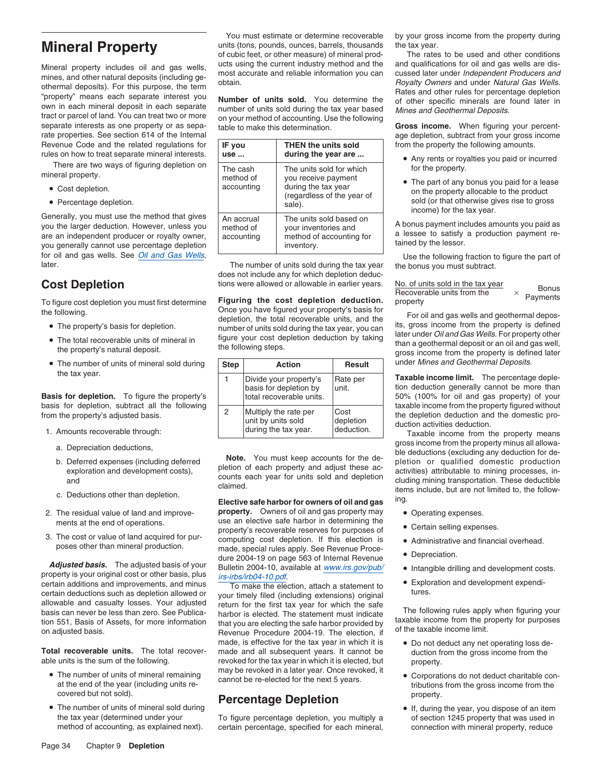Mineral property includes oil and gas wells,<br>
mines, and other natural deposits (including ge-<br>
othermal deposits). For this purpose, the term<br>
"property" means each separate interest you<br>
"property" means each separate in rate properties. See section 614 of the Internal **and School Community and School Community** age depletion, subtract from your gross income Revenue Code and the related regulations for **IF you** THEN the units sold from the property the following amounts.

- Cost depletion.
- Percentage depletion.

for oil and gas wells. See <u>Oil and Gas Wells</u>,<br>Internation of the following fraction to figure the part of

- The property's basis for depletion.
- 
- 

- -
	-
	-
- 
- 

**Adjusted basis.** The adjusted basis of your dure 2004-19 on page 563 of Internal Revenue **Conserversition**.<br>
property is your original cost or other basis, plus *irs-irbs/irb04-10.pdf.* • Intangible drilling and developme certain additions and improvements, and minus<br>certain deductions such as depletion allowed or<br>allowable and casualty losses. Your adjusted return for the first tax year for which the safe<br>basis can never be less than zero.

- 
- The number of units of mineral sold during<br>the tax year (determined under your To figure percentage depletion, you multiply a of section 1245 property that was used in

**Mineral Property** units (tons, pounds, ounces, barrels, thousands the tax year.<br>
of cubic feet, or other measure) of mineral prod-<br>
The rates to be used and other conditions of cubic feet, or other measure) of mineral prod-

|                                                                                                                                                                                                  |                                       |                                                                                           | ago applotion, captital none your groce income                                                                                                                       |  |
|--------------------------------------------------------------------------------------------------------------------------------------------------------------------------------------------------|---------------------------------------|-------------------------------------------------------------------------------------------|----------------------------------------------------------------------------------------------------------------------------------------------------------------------|--|
| Revenue Code and the related regulations for<br>rules on how to treat separate mineral interests.                                                                                                | IF you<br>use                         | THEN the units sold<br>during the year are                                                | from the property the following amounts.<br>• Any rents or royalties you paid or incurred                                                                            |  |
| There are two ways of figuring depletion on<br>mineral property.                                                                                                                                 | The cash<br>method of                 | The units sold for which<br>you receive payment                                           | for the property.                                                                                                                                                    |  |
| • Cost depletion.                                                                                                                                                                                | accounting                            | during the tax year<br>(regardless of the year of                                         | • The part of any bonus you paid for a lease<br>on the property allocable to the product<br>sold (or that otherwise gives rise to gross<br>income) for the tax year. |  |
| • Percentage depletion.                                                                                                                                                                          |                                       | sale).                                                                                    |                                                                                                                                                                      |  |
| Generally, you must use the method that gives<br>you the larger deduction. However, unless you<br>are an independent producer or royalty owner,<br>you generally cannot use percentage depletion | An accrual<br>method of<br>accounting | The units sold based on<br>your inventories and<br>method of accounting for<br>inventory. | A bonus payment includes amounts you paid as<br>a lessee to satisfy a production payment re-<br>tained by the lessor.                                                |  |
| for all and goe walle Can Oil and Can Walle                                                                                                                                                      |                                       |                                                                                           | .                                                                                                                                                                    |  |

The number of units sold during the tax year the bonus you must subtract. does not include any for which depletion deduc-

**Cost Depletion** tions were allowed or allowable in earlier years.<br>To figure cost depletion you must first determine **Figuring the cost depletion deduction.**<br>Once you have figured your property's basis for Once you have figured your property's basis for<br>
For oil and gas wells and geothermal depos-<br>
• The property's basis for depletion, the total recoverable units, and the state is defined<br>
• The property's basis for depletio • The property's basis for depletion.<br>• The total recoverable units of mineral in figure your cost depletion deduction by taking later under Oil and Gas Wells. For property other<br>• The total recoverable units of mineral in

| • The number of units of mineral sold during                                                                              |  | Step<br><b>Action</b>                                                        | <b>Result</b>                   | under Mines and Geothermal Deposits.                                                                                                                                         |
|---------------------------------------------------------------------------------------------------------------------------|--|------------------------------------------------------------------------------|---------------------------------|------------------------------------------------------------------------------------------------------------------------------------------------------------------------------|
| the tax year.<br><b>Basis for depletion.</b> To figure the property's                                                     |  | Divide your property's<br>basis for depletion by<br>total recoverable units. | Rate per<br>lunit.              | <b>Taxable income limit.</b> The percentage deple-<br>tion deduction generally cannot be more than<br>50% (100% for oil and gas property) of your                            |
| basis for depletion, subtract all the following<br>from the property's adjusted basis.<br>1. Amounts recoverable through: |  | Multiply the rate per<br>unit by units sold<br>during the tax year.          | Cost<br>depletion<br>deduction. | taxable income from the property figured without<br>the depletion deduction and the domestic pro-<br>duction activities deduction.<br>Taxable income from the property means |

2. The residual value of land and improve- **property.** Owners of oil and gas property may • Operating expenses. ments at the end of operations. use an elective safe harbor in determining the vertain selling expenses.<br>
– 3. The cost or value of land acquired for pur-<br>property's recoverable reserves for purposes of<br>poses other than mineral production.<br>made, special rules apply. See Revenue Proce-<br>made, special rules apply. See Revenue Proce

basis can never be less than zero. See Publica-<br>tion 551, Basis of Assets, for more information<br>on adjusted basis.<br>On adjusted basis.<br>The electing the safe harbor provided by<br>the taxable income from the property for purpos made, is effective for the tax year in which it is  $\bullet$  Do not deduct any net operating loss de-**Total recoverable units.** The total recover- made and all subsequent years. It cannot be duction from the gross income from the able units is the sum of the following. revoked for the tax year in which it is elected, but revoked for the tax year in which it is elected, but property. may be revoked in a later year. Once revoked, it •

## covered but not sold).<br> **Percentage Depletion**<br>
• If, during<br>
• If, during

the tax year (determined under your To figure percentage depletion, you multiply a of section 1245 property that was used in<br>method of accounting, as explained next). certain percentage, specified for each mineral, connect certain percentage, specified for each mineral, connection with mineral property, reduce

You must estimate or determine recoverable by your gross income from the property during

- 
- The part of any bonus you paid for a lease on the property allocable to the product sold (or that otherwise gives rise to gross

| No. of units sold in the tax year | <b>Bonus</b> |
|-----------------------------------|--------------|
| Recoverable units from the        | Payments     |
| property                          |              |

The total recoverable units of mineral in the following steps. The following steps.<br>the property's natural deposit. the following steps. gross income from the property is defined later

a. Depreciation deductions,<br>
b. Deferred expenses (including deferred<br>
b. Deferred exploration and development costs),<br>
and<br>
c. Deductions other than depletion.<br>
c. Deductions other than depletion.<br>
Elective safe harbor fo

- 
- 
- 
- 
- 
- 

- 
- The number of units of mineral remaining the vector concentral and the next 5 years.<br>
at the end of the year (including units re-<br>
ext 5 years.<br>
at the end of the year (including units re-<br>
ext 5 years.<br>
This income from t
	-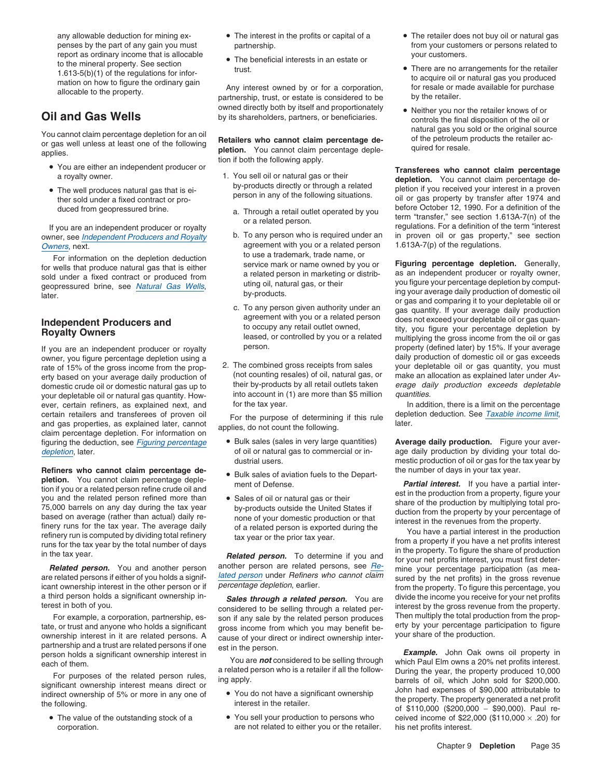report as ordinary income that is allocable<br>to the mineral property. See section<br>turns of the section Find the mineral property. See section<br>
trust.<br>
The beneficial interests in an estate or<br>
1.613-5(b)(1) of the regulations for infor-<br>
mation on how to figure the ordinary gain<br>
allocable to the property.<br>
Any interest own

You cannot claim percentage depletion for an oil<br>or gas well unless at least one of the following<br>**pletion.** You cannot claim percentage deple-<br>applies. which the following apply.<br>applies. which the following apply.

- You are either an independent producer or
- 

owner, see Independent Producers and Royalty b. To any person who is required under an in proven oil or gas propert<br>Quiners, next, next, or a related person 1.613A-7(p) of the regulations.

owner, you figure percentage depletion using a<br>strate of 15% of the gross income from the prop-<br>cate of 15% of the gross income from the prop-<br>and the combined gross receipts from sales and pour depletable oil or gas quant rate of 15% of the gross income from the prop-<br>erty based on your average daily production of (not counting resales) of oil, natural gas, or make an allocation as explained later under Averty based on your average daily production of (not counting resales) of oil, natural gas, or<br>domestic crude oil or domestic natural gas un to their by-products by all retail outlets taken domestic crude oil or domestic natural gas up to their by-products by all retail outlets taken erage daily production exceeds depletable<br>vour depletable oil or patural gas quantity How-<br>into account in (1) are more than \$5 your depletable oil or natural gas quantity. How-<br>ever, certain refiners, as explained next, and for the tax year. In addition, there is a limit on the percentage ever, certain refiners, as explained next, and for the tax year.<br>Certain retailers and transferees of proven oil For the purpose of determining if this rule depletion deduction. See Taxable income limit, certain retailers and transferees of proven oil<br>and gas properties, as explained later, cannot<br>claim percentage depletion. For information on<br>figuring the deduction, see Figuring percentage<br>figuring the deduction, see Figu figuring the deduction, see Figuring percentage

**Refiners who cannot claim percentage de- •** Bulk sales of aviation fuels to the Depart-<br>**pletion.** You cannot claim percentage deple-<br>**•** security Defines the number of days in your basis of a matter of the Depart-**Photon.** You cannot claim percentage deple-<br>
be tion if you can central interest. If you can be a partial interest<br>
tion if you can central interests of our cannot claim percentage deple-<br>
you and the related person refin

ownership interest in it are related persons. A cause of your direct or indirect ownership inter-<br>partnership and a trust are related persons if one est in the person.<br>person holds a significant ownership interest in You a

• The value of the outstanding stock of a

- 
- 

owned directly both by itself and proportionately • Neither you nor the retailer knows of or

- -
- Owners, next.<br>
Consistences are the depletion deduction to use a trademark, trade name, or
	-
	-

- 
- 
- 

considered to be selling through a related per-<br>son if any sale by the related person produces. Then multiply the total production from the prop-For example, a corporation, partnership, es-<br>tate, or trust and anyone who holds a significant<br>gross income from which you may benefit be-<br>erty by your percentage participation to figure tate, or trust and anyone who holds a significant gross income from which you may benefit be-<br>ownership interest in it are related persons. A cause of your direct or indirect ownership inter- your share of the production.

- 
- corporation. are not related to either you or the retailer. his net profits interest.
- any allowable deduction for mining ex- The interest in the profits or capital of a The retailer does not buy oil or natural gas penses by the part of any gain you must partnership.<br>
From your customers or persons related to<br>
your customers.<br>
your customers.
	-
- **Oil and Gas Wells** by its shareholders, partners, or beneficiaries. Controls the final disposition of the oil or

• You are either an independent producer or<br>
a royalty owner.<br>
• Transferees who cannot claim percentage<br>
• The well produces natural gas that is ei-<br>
by-products directly or through a related<br>
the real under a fixed entra The sold under a fixed contract or pro-<br>duced from geopressured brine<br>only a proven person in any of the following situations. The before October 12, 1990. For a definition of the duced from geopressured brine.<br>
If you are an independent producer or royalty<br>
If you are an independent producer or royalty<br>
If you are an independent producers and Royalty<br>
If you are an independent producers and Royalty

For information on the depletion deduction<br>for wells that produce natural gas that is either service mark or name owned by you or<br>sold under a fixed contract or produced from a related person in marketing or distrib-<br>geopr c. To any person given authority under an gas quantity. If your average daily production<br>agreement with you or a related person does not exceed your depletable oil or gas quan-<br>to occupy any retail outlet owned, they wou f If you are an independent producer or royalty person.<br>
property (defined later) by 15%. If your average<br>
owner, you figure percentage depletion using a

depletion, later. **or a state of oil or natural gas to commercial or in-** age daily production by dividing your total dodustrial users. mestic production of oil or gas for the tax year by

*Related person. Related person.* To determine it you and for your net profits interest, you must first deter-<br>**Related person.** You and another person another person are related persons, see  $\frac{Re}{m}$  mine your percenta are related persons if either of you holds a signif-<br>icant ownership interest in the other person or if<br>a third percentage depletion, earlier.<br>a third person holds a significant ownership in-<br>a third person holds a signifi a third person holds a significant ownership in-<br> **Sales through a related person.** You are divide the income you receive for your net profits<br>
considered to be selling through a related per-<br>
interest by the gross revenue

For purposes of the related person rules,<br>significant ownership interest means direct or<br>indirect ownership of 5% or more in any one of<br>the following.<br>the following.<br>the following.<br>the following.<br>the following.<br>the followi • You sell your production to persons who ceived income of \$22,000 (\$110,000  $\times$  .20) for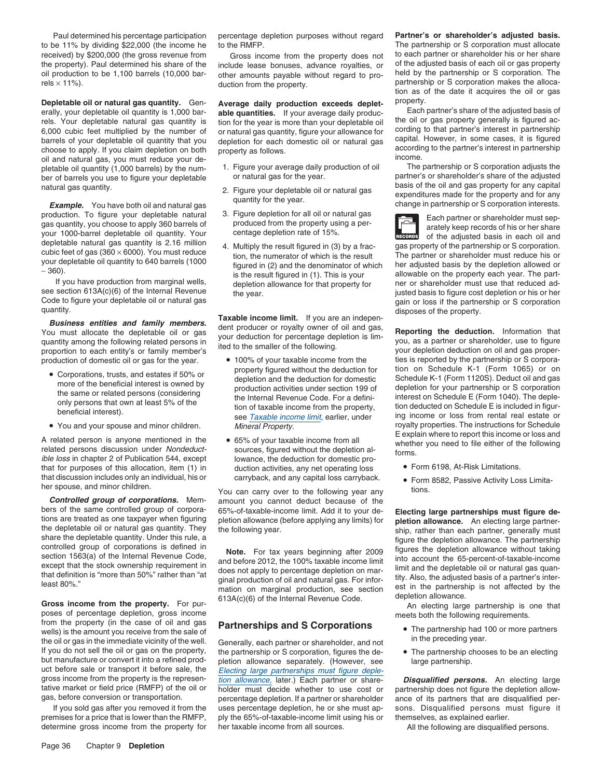to be 11% by dividing \$22,000 (the income he to the RMFP. The partnership or S corporation must allocate oil production to be 1,100 barrels (10,000 bar-<br>
duction from the property<br>
duction from the property<br>
partnership or S corporation makes the alloca-<br>
partnership or S corporation makes the alloca-

**Depletable oil or natural gas quantity.** Gen-<br> **Average daily production exceeds deplet-** property. **Alteration property.** Each partner's share of the adjusted basis of erally, your depletable oil quantity is 1,000 bare able quantities. If your average daily produc-<br>rels. Your depletable natural gas quantity is tion for the year is more than your depletable oil the oil or gas property gen 6,000 cubic feet multiplied by the number of ornatural gas quantity, figure your allowance for cording to that partner's interest in partnership barrels of your depletable oil quantity that you depletion for each domestic choose to apply. If you claim depletion on both property as follows.<br>
oil and natural gas, you must reduce your de-<br>
pletable oil quantity (1.000 barrels) by the num-<br>
1. Figure your average daily production of oil The par pletable oil quantity (1,000 barrels) by the num- 1. Figure your average daily production of oil The partnership or S corporation adjusts the partnership or S corporation adjusts the sequence of the partner's or shareholde

and production. To figure your depletable natural as a quantity, you choose to apply 360 barrels of produced from the property using a per-<br>
your 1000-barrel depletable oil quantity. Your centage depletion rate of 15%.<br>
de

If you have production from marginal wells, depletion allowance for that property for see section  $613A(c)(6)$  of the Internal Revenue

- 
- 

A related person is anyone mentioned in the  $\bullet$  65% of your taxable income from all E explain where to report this income or loss and<br>related persons discussion under *Nondeduct* sources, figured without the depletion althat for purposes of this allocation, item (1) in duction activities, any net operating loss • Form 6198, At-Risk Limitations. that discussion includes only an individual, his or carryback, and any capital loss carryback. • Form 8582, Passive Activity Loss Limita-

mation on marginal production, see section<br> **Gross income from the property.** For pur-<br>
For pur-<br>
For pur-<br>  $\frac{613A(c)(6)$  of the Internal Revenue Code.<br>
An electing large partnership is one that<br>
meets both the following r poses of percentage depletion, gross income<br>from the property (in the case of oil and gas **partnershins and S Cornorations** from the property (in the case of oil and gas **Partnerships and S Corporations** • The partnership had 100 or more partners wells) is the amount you receive from the sale of The partnership had 100 or more partnership of the well.<br>The partners were partners in the preceding year.<br>If you do not sell the oil or gas on the property, the partnership or S corporation, figures the de-<br>If you do not If you do not sell the oil or gas on the property, the partnership or S corporation, figures the de- • The partnership chooses to be an electing but manufacture or convert it into a refined prod- bletion allowance separate but manufacture or convert it into a refined prod-<br>uct before sale or transport it before sale, the Flecting large partnerships must figure depleuct before sale or transport it before sale, the Electing large partnerships must figure deple-<br>gross income from the property is the represen-<br>tion allowance, later.) Each partner or share-

premises for a price that is lower than the RMFP, ply the 65%-of-taxable-income limit using his or themselves, as explained earlier.

- 
- 
- 
- 

quantity.<br> **Business entities and family members.**<br>
You must allocate the depletable oil or gas<br>
quantity among the following related persons in<br>
proportion to each entity's or family member's lied to the smaller of the fo

- 
- 

her spouse, and minor children.<br>
You can carry over to the following year any tions.<br> **Controlled group of corporations.** Mem-<br>
amount you cannot deduct because of the amount you cannot deduct because of the

tion allowance, later.) Each partner or share-<br>**Disqualified persons.** An electing large tative market or field price (RMFP) of the oil or bolder must decide whether to use cost or partnership does not figure the depletion allow-<br>gas, before conversion or transportation. percentage depletion. If a partner or s percentage depletion. If a partner or shareholder ance of its partners that are disqualified per-If you sold gas after you removed it from the uses percentage depletion, he or she must ap- sons. Disqualified persons must figure it determine gross income from the property for her taxable income from all sources. All the following are disqualified persons.

Paul determined his percentage participation percentage depletion purposes without regard **Partner's or shareholder's adjusted basis.** received) by \$200,000 (the gross revenue from Gross income from the property does not to each partner or shareholder his or her share<br>the property). Paul determined his share of the include lease bonuses, advance rovalties include lease bonuses, advance royalties, or of the adjusted basis of each oil or gas property other amounts pavable without regard to pro-<br>held by the partnership or S corporation. The duction from the property. example and the property. The partnership or S corporation makes the alloca-<br>tion as of the date it acquires the oil or gas

depletion for each domestic oil or natural gas<br>according to the partner's interest in partnership<br>according to the partner's interest in partnership

ber of barrels you use to figure your depletable or natural gas for the year.<br>partner's or shareholder's share of the adjusted<br>basis of the oil and gas property for any capital natural gas quantity.<br>
2. Figure your depletable oil or natural gas<br>
quantity for the year.<br>
Frample. You have both oil and natural gas<br>
production. To figure your depletable natural<br>
gas<br>
production. To figure your deplet

your depletable oil quantity to 640 barrels (1000 figured in (2) and the denominator of which her adjusted basis by the depletion allowed or<br>is the result figured in (1). This is your allowable on the property each year. see section 613A(c)(6) of the Internal Revenue the year.<br>Code to figure your depletable oil or natural gas expansion of the year.<br>Code to figure your depletable oil or natural gas Code to figure your depletable oil or natural gas<br>
quantity.<br>
disposes of the property

production of domestic oil or gas for the year.  $\bullet$  100% of your taxable income from the ties is reported by the partnership or S corpora-• Corporations, trusts, and estates if 50% or by property figured without the deduction for tion on Schedule K-1 (Form 1065) or on • depletion and the deduction for domestic Schedule K-1 (Form 1120S). Deduct oil and gas • Corporations, trusts, and estates if 50% or<br>
more of the beneficial interest is owned by<br>
the same or related persons (considering<br>
only persons that own at least 5% of the<br>
beneficial interest).<br>
beneficial interest).<br> • You and your spouse and minor children. Mineral Property. The instructions for Schedule but and your spouse and minor children.

- 
- 

bers of the same controlled group of corpora-<br>tions are treated as one taxpayer when figuring<br>the following year.<br>the following year.<br>the following year that definition allowance. An electing large partner-<br>the depletable

- 
-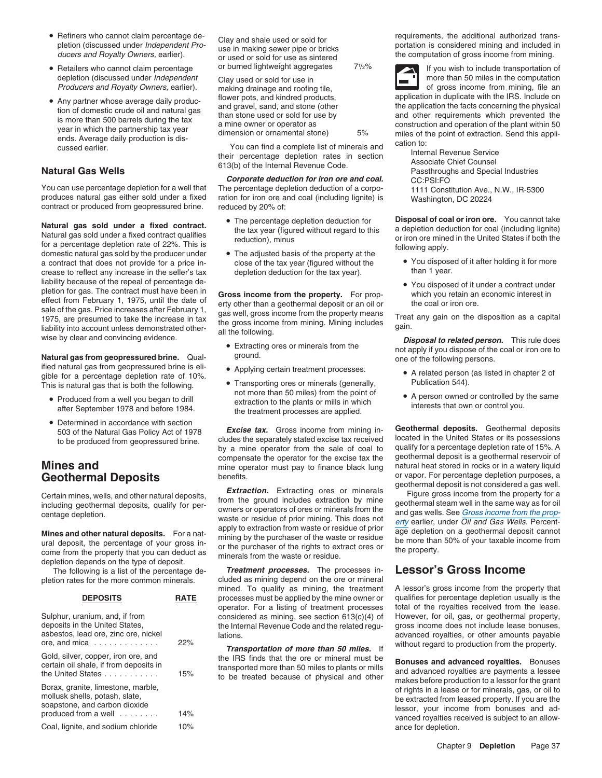- Refiners who cannot claim percentage de-
- Producers and Royalty Owners, earlier).
- Any partner whose average daily production of domestic crude oil and natural gas in of domestic crude oil and natural gas is more than 500 barrels during the application the facts concerning the physical<br>
is more than 50

for a percent a percentage depending apply.<br>For a contract that does not provide for a price in-<br>close of the tax year (figured without the • You disposed of it after holding it for more a contract that does not provide for a price in-<br>
close of the tax year (figured without the • You dispose<br>
than 1 year.<br>
than 1 year. crease to reflect any increase in the seller's tax liability because of the repeal of percentage de-<br>
• You disposed of it under a contract under mability because of the repeat of percentage de-<br>pletion for gas. The contract must have been in<br>effect from February 1, 1975, until the date of erry other than a geothermal deposit or an oil or the coal or iron ore. sale of the gas. Price increases after February 1, and well, gross income from the property means<br>1975, are presumed to take the increase in tax the gross income from the property means<br>Ilability into account unless demons

**Natural gas from geopressured brine.** Qual- ground. The state of the following persons. ified natural gas from geopressured brine is eligible for a percentage depletion rate of 10%.<br>This is natural gas that is both the following **France Community** Construction CHAPTER (assets in production 544).

- 
- Determined in accordance with section

depletion depends on the type of deposit.

| <b>DEPOSITS</b>                                                                                                                                         |     |
|---------------------------------------------------------------------------------------------------------------------------------------------------------|-----|
| Sulphur, uranium, and, if from<br>deposits in the United States,<br>asbestos, lead ore, zinc ore, nickel<br>ore, and mica $\ldots \ldots \ldots \ldots$ | 22% |
| Gold, silver, copper, iron ore, and<br>certain oil shale, if from deposits in<br>the United States                                                      | 15% |
| Borax, granite, limestone, marble,<br>mollusk shells, potash, slate,<br>soapstone, and carbon dioxide<br>produced from a well                           | 14% |
| Coal, lignite, and sodium chloride                                                                                                                      | 10% |

You can use percentage depletion for a well that The percentage depletion deduction of a corpo-<br>
produces natural gas either sold under a fixed ration for iron ore and coal (including lignite) is Washington DC 20224 produces natural gas either sold under a fixed ration for iron ore and coal (including lignite) is Washington, DC 20224 contract or produced from geopressured brine. reduced by 20% of:

- 
- 

- 
- 
- Transporting ores or minerals (generally, Transporting ores or minerals (generally, Publication 1985). This is natural gas that is both the following.<br>Publication 50 miles) from the point of •<br>extraction to the plants or mills in which after September 1978 and before 1984. The treatment processes are applied.

to be produced from geopressured brine. Cludes the separately stated excise tax received<br>by a mine operator from the sale of coal to qualify for a percentage depletion rate of 15%. A<br>compensate the operator for the excise compensate the operator for the excise tax the geothermal deposit is a geothermal reservoir of<br>mine operator must pay to finance black lung a natural heat stored in rocks or in a watery liquid **Mines and** mine operator must pay to finance black lung natural heat stored in rocks or in a watery liquid<br>**Geothermal Denosits** benefits. benefits benefits or vapor. For percentage depletion purposes, a

Certain mines, wells, and other natural deposits,<br>including geothermal deposits, qualify for per-<br>centage depletion.<br>Centage depletion.<br>Centage depletion.<br>Centage depletion.<br>Centage depletion.<br>Centage depletion.<br>Centage de **Mines and other natural deposits.** For a nat-<br>ural deposit, the percentage of your gross in-<br>come from the property that you can deduct as<br>minerals from the waste or residue.<br>The property.

The following is a list of the percentage de- *Treatment processes.* The processes in- **Lessor's Gross Income** pletion rates for the more common minerals. cluded as mining depend on the ore or mineral<br>mined. To qualify as mining, the treatment processes must be applied by the mine owner or qualifies for percentage depletion usually is the operator. For a listing of treatment processes total of the royalties received from the lease. considered as mining, see section 613(c)(4) of However, for oil, gas, or geothermal property, the Internal Revenue Code and the related requision are section by the Internal Revenue Code and the related requision are prope the Internal Revenue Code and the related regulations. and ore, include the core, and original advanced royalties, or other amounts payable

Refiners who cannot claim percentage de-<br>
pletion (discussed under *Independent Pro*-<br>
use in making sewer pipe or bricks<br>
or used or sold for use as sintered<br>
the computation of gross income from mining.<br>
the computation

• Retailers who cannot claim percentage or burned lightweight aggregates  $7\frac{1}{2}\%$  If you wish to include transportation of depletion (discussed under *Independent* Clay used or sold for use in more than 50 miles in the computation *Producers and Royalty Owners*, earlier). The making drainage and roofing tile. • Any partner whose average daily produc-<br>flower pots, and kindred products, application in duplicate with the IRS. Include on<br>flower is and gravel, sand, and stone (other the application the facts concerning the physical

• The percentage depletion deduction for **Disposal of coal or iron ore.** You cannot take **Natural gas sold under a fixed contract.**<br>
Matural gas sold under a fixed contract qualifies<br>
tor a percentage depletion rate of 22%. This is<br>
for a percentage depletion rate of 22%. This is<br>  $\frac{1}{2}$  a depletion deducti

- 
- 

**Extracting ores or minerals from the** not apply if you dispose of the coal or iron ore to<br>
not apply if you dispose of the coal or iron ore to<br>
and the following parameters

- Applying certain treatment processes. A related person (as listed in chapter 2 of
	- A person owned or controlled by the same interests that own or control you.

Excise tax. Gross income from mining in-<br>503 of the Natural Gas Policy Act of 1978 **Excise tax.** Gross income from mining in-<br>to be produced from geopressured brine cludes the separately stated excise tax received located Geothermal Deposits benefits.<br>geothermal deposit is not considered a gas well.

A lessor's gross income from the property that Transportation of more than 50 miles. If without regard to production from the property.

Gold, silver, copper, iron ore, and<br>
certain oil shale, if from deposits in<br>
the United States<br>
the United States<br>
Sonax, granite, limestone, marble,<br>
Borax, granite, limestone, marble,<br>
soapstone, and carbon dioxide<br>
prod ance for depletion.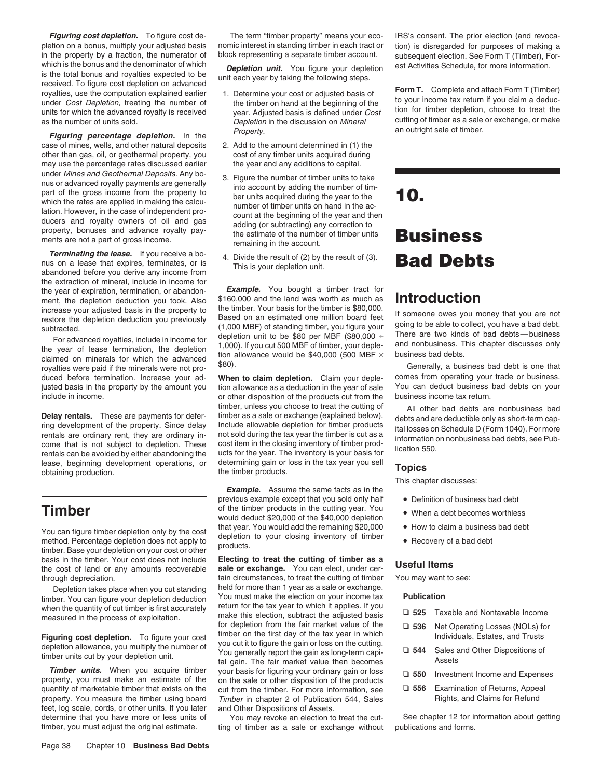pletion on a bonus, multiply your adjusted basis nomic interest in standing timber in each tract or tion) is disregarded for purposes of making a<br>in the property by a fraction, the numerator of block representing a separat in the property by a fraction, the numerator of block representing a separate timber account. subsequent election. See Form T (Timber), For-<br>which is the bonus and the denominator of which **Depletion unit** Nou figure your which is the bonus and the denominator of which **Depletion unit.** You figure your depletion is the total bonus and royalties expected to be is the total bonus and royalties expected to be<br>
in each year by taking the following steps.<br>
Form T. Complete and attach Form T (Timber)<br>
royalties, use the computation explained earlier<br>
under Cost Depletion, treating th

Figuring percentage depletion. In the Property. case of mines, wells, and other natural deposits 2. Add to the amount determined in (1) the other than gas, oil, or geothermal property, you cost of any timber units acquired during may use the percentage rates discussed earlier under *Mines and Geothermal Deposits.* Any bo-<br>
nus or advanced royalty payments are generally<br>
part of the gross income from the property to<br>
which the rates are applied in making the calcu-<br>
lation. However, in the case ments are not a part of gross income.<br>remaining in the account.

**Terminating the lease.** If you receive a bo-<br>nus on a lease that expires, terminates, or is This is your depletion unit. **Bad Debts** abandoned before you derive any income from the extraction of mineral, include in income for the year of expiration, termination, or abandon-<br>**Example.** You bought a timber tract for ment, the depletion deduction you took. Also  $$160,000$  and the land was worth as much as **Introduction**<br>ment, the depletion deduction you took. Also the land was worth as much as **Introduction** 

duced before termination. Increase your ad-<br>
justed basis in the property by the amount you tion allowance as a deduction in the year of sale You can deduct business bad debts on your include in income. or other disposition of the products cut from the business income tax return.

lease, beginning development operations, or determining gain or loss in the tax year you sell **Topics**<br>obtaining production. the timber products.

You can figure timber depletion only by the cost<br>method. Percentage depletion does not apply to<br>timber. Base your depletion on your cost or other products.<br>timber. Base your depletion on your cost or other products.

when the quantity of cut timber is first accurately return for the tax year to which it applies. If you<br>make this election, subtract the adjusted basis

**Timber units.** When you acquire timber your basis for figuring your ordinary gain or loss property, you must make an estimate of the on the sale or other disposition of the products quantity of marketable timber that exists on the cut from the timber. For more information, see property. You measure the timber using board Timber in chapter 2 of Publication 544, Sales feet, log scale, cords, or other units. If you later and Other Dispositions of Assets.

**Figuring cost depletion.** To figure cost de-<br>The term "timber property" means your eco- IRS's consent. The prior election (and revoca-

- 
- 
- adding (or subtracting) any correction to<br>the estimate of the number of timber units **Business**
- 

increase your adjusted basis in the property to<br>restore the depletion deduction you previously<br>(1,000 MBF) of standing timber. Your basis for the timber is \$80,000.<br>(1,000 MBF) of standing timber, you figure your figure y For advanced royalties, include in income for<br>the year of lease termination, the depletion 1,000). If you cut 500 MBF of timber, your deple-<br>claimed on minerals for which the advanced tion allowance would be \$40,000 (500

tion allowance as a deduction in the year of sale timber, unless you choose to treat the cutting of All other bad debts are nonbusiness bad<br>timber as a sale or exchange (explained below). debts and are deductible only as short-term can-**Delay rentals.** These are payments for defer-<br>
ring development of the property. Since delay Include allowable depletion for timber products<br>
rentals are ordinary rent, they are ordinary in-<br>
come that is not subject to d

**Example.** Assume the same facts as in the previous example except that you sold only half • Definition of business bad debt **Timber Timber Timber 1999 1999 1999 1999 1999 1999 1999 1999 1999 1999 1999 1999 1999 1999 1999 1999 1999 1999 1999 1999 1999 1999 1999 1999 1999 1999 1999 1999** would deduct \$20,000 of the \$40,000 depletion<br>that year. You would add the remaining \$20,000

basis in the timber. Your cost does not include **Electing to treat the cutting of timber as a**<br>the cost of land or any amounts recoverable **sale or exchange.** You can elect, under cer-<br>through depreciation. **the cutting of** through depreciation.<br>
Depletion takes place when you cut standing held for more than 1 year as a sale or exchange. Depletion takes place when you cut standing held for more than 1 year as a sale or exchange.<br>her, You can figure your depletion deduction You must make the election on your income tax Four must make the election on your income tax<br>timber. You can figure your depletion deduction<br>when the quantity of cut timber is first accurately return for the tax year to which it applies. If you make this election, subtract the adjusted basis measured in the process of exploitation.<br>
Figuring cost depletion. To figure your cost timber on the first day of the tax year in which<br>
depletion allowance, you multiply th

determine that you have more or less units of You may revoke an election to treat the cut-<br>
See chapter 12 for information about getting<br>
timber, you must adjust the original estimate. Ing of timber as a sale or exchange w ting of timber as a sale or exchange without publications and forms.

as the number of units sold. Depletion cutting of timber as a sale or exchange, or make in the discussion on Mineral as the number of units sold. Depletion in the discussion on Mineral an outright sale of timber.

This chapter discusses:

- 
- 
- 
- 

|            | □ 525 Taxable and Nontaxable Income                                 |
|------------|---------------------------------------------------------------------|
| $\Box$ 536 | Net Operating Losses (NOLs) for<br>Individuals, Estates, and Trusts |
| $\Box$ 544 | Sales and Other Dispositions of<br>Assets                           |
| ⊔ 550      | Investment Income and Expenses                                      |
| 556        | Examination of Returns, Appeal<br>Rights, and Claims for Refund     |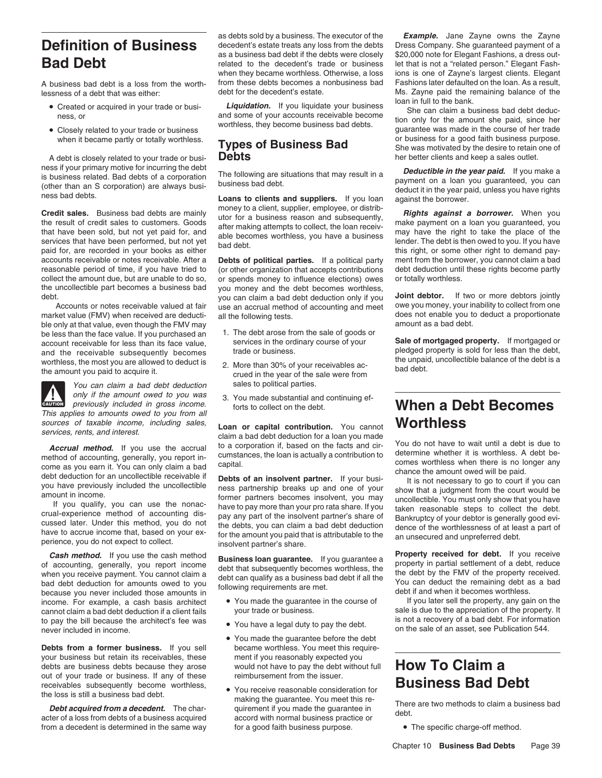lessness of a debt that was either: debt for the decedent's estate. Ms. Zayne paid the remaining balance of the

- 
- 

A debt is closely related to your trade or busi-**Debts** her better clients and keep a sales outlet.

**Credit sales.** Business bad debts are mainly utor for a business reason and subsequently,<br>the result of credit sales to customers. Goods utor for a business reason and subsequently,<br>that have been sold, but not yet paid f accounts receivable or notes receivable. After a **Debts of political parties.** If a political party ment from the borrower, you cannot claim a bad reasonable period of time, if you have tried to (or other organization that the uncollectible part becomes a business bad you money and the debt becomes worthless,<br>Not can claim a bad debt deduction only if you

market value (FMV) when received are deducti- all the following tests. does not enable you to does not enable you to dest.<br>ble only at that value, even though the FMV may ble only at that value, even though the FMV may<br>be less than the face value. If you purchased an  $\frac{1}{2}$ . The debt arose from the sale of goods or be less than the face value. If you purchased an  $1.$  The debt arose from the sale of goods account receivable for less than its face value. Services in the ordinary course of your services in the ordinary course of your **Sale of mortgaged property.** If mortgaged or account receivable for less than its face value, services in the ordinary course of your **Sale of mortgaged property**. If mortgaged or a and the receivable subsequently becomes trade or business.<br>worthless the most you are allowed to deduct is and the recent of the recent the unpaid, uncollectible balance of the debt is a worthless, the most you are allowed to deduct is <br>the amount you paid to acquire it. <br>crued in the year of the sale were from bad debt.



You can claim a bad debt deduction sales to political parties. previously included in gross income.

sources of taxable income, including sales, **Loan or capital contribution.** You cannot **services**, rents, and interest.

**Cash method.** If you use the cash method<br>of accounting, generally, you report income<br>when you receive payment. You cannot claim a<br>bad debt deduction for amounts owed to you<br>because you never included those amounts in<br>beca income. For example, a cash basis architect • You made the guarantee in the course of If you later sell the property, any gain on the connot claim a bad debt deduction if a client fails vour trade or business. cannot claim a bad debt deduction if a client fails your trade or business. Sale is due to the appreciation of the property. It to pay the bill because the architect's fee was vou have a legal duty to pay the debt. In its not a recovery of a bad debt. For information never included in income.

**Debts from a former business.** If you sell became worthless. You meet this requireyour business but retain its receivables, these ment if you reasonably expected you debts are business debts because they arose would not have to pay the debt without full **How To Claim a** out of your trade or business. If any of these reimbursement from the issuer. receivables subsequently become worthless,<br>the loss is still a business bad debt. <br>**Business Bad Debt** 

from a decedent is determined in the same way for a good faith business purpose. • The specific charge-off method.

as a business bad debt if the debts were closely

• Created or acquired in your trade or busi-<br>She can claim a business bad debt deduc-

(or other organization that accepts contributions collect the amount due, but are unable to do so, or spends money to influence elections) owes or totally worthless.<br>the uncollectible part becomes a business bad you money and the debt becomes worthless. you can claim a bad debt deduction only if you<br>Accounts or notes receivable valued at fair use an accrual method of accounting and meet owe you money, your inability to collect from one use an accrual method of accounting and meet owe you money, your inability to collect from one<br>all the following tests

- 
- 
- only if the amount owed to you was 3. You made substantial and continuing ef-<br>previously included in gross income. forts to collect on the debt.

claim a bad debt deduction for a loan you made

**Accrual method.** If you use the accrual to a corporation if, based on the facts and cir-<br>method of accounting, generally, you report in-<br>cumstances, the loan is actually a contribution to determine whether it is worthless

- 
- 
- You made the guarantee before the debt
- There are two methods to claim a business bad debt.<br> **Debt acquired from a decedent.** The char-<br> **Debt acquired from a decedent.** The char-<br>
There are two methods to claim a business bad debt.<br> **Debt acquired from a decede**

as debts sold by a business. The executor of the *Example.* Jane Zayne owns the Zayne **Definition of Business** decedent's estate treats any loss from the debts Dress Company. She guaranteed payment of a<br>as a business bad debt if the debts were closely \$20,000 note for Elegant Fashions, a dress out-**Bad Debt** related to the decedent's trade or business let that is not a "related person." Elegant Fash-<br>when they became worthless. Otherwise, a loss ions is one of Zayne's largest clients. Elegant ions is one of Zayne's largest clients. Elegant A business bad debt is a loss from the worth- from these debts becomes a nonbusiness bad Fashions later defaulted on the loan. As a result, loan in full to the bank.

ness, or and some of your accounts receivable become<br>and some of your accounts receivable become<br>Closelv related to your trade or business<br>Closelv related to your trade or business<br>of the worthless, they become business ba • Closely related to your trade or business wedness, they become business business guarantee was made in the course of her trade when it became partly or totally worthless. These of Duning or Deck or business for a good fa **Types of Business Bad**<br>
She was motivated by the desire to retain one of<br>
She was motivated by the desire to retain one of<br>
Ner better clients and keep a sales outlet.

mess if your primary motive for incurring the debt<br>is business related. Bad debts of a corporation The following are situations that may result in a<br>(other than an S corporation) are always busi-<br>loans to clients and suppl

# Fortical previously included in gross income.<br>This applies to amounts owed to you from all<br>sources of taxable income, including sales, **Leon or conital contribution**. You connot **Worthless**

on the sale of an asset, see Publication 544.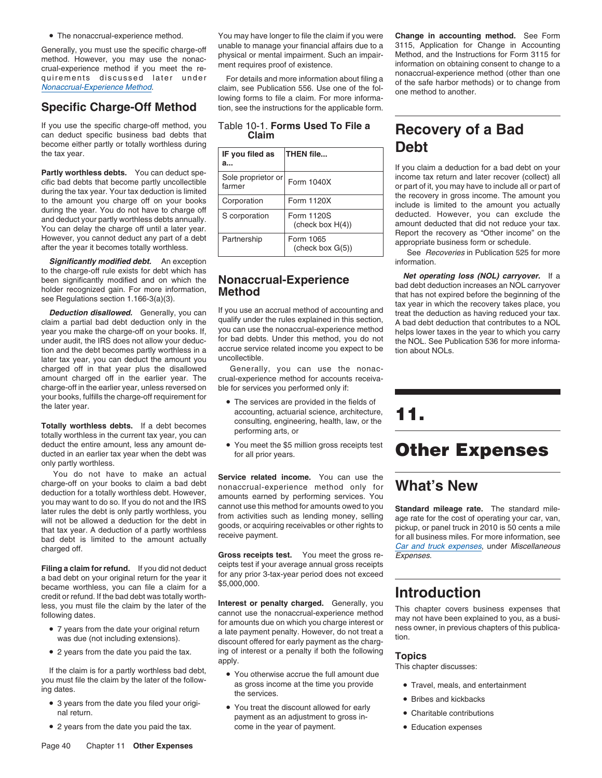• The nonaccrual-experience method.

If you use the specific charge-off method, you can deduct specific business bad debts that become either partly or totally worthless during **Debt** the tax year. **Debt** the tax year.

**Significantly modified debt.** An exception information. **Significantly modified debt.** An exception

year you make the charge-off on your books. If, you can use the nonaccrual-experience method helps lower taxes in the year to which you carry<br>under audit the IBS does not allow your deduction for bad debts. Under this meth under audit, the IRS does not allow your deduc- for bad debts. Under this method, you do not the NOL. See Publication 536 for more information and the debt becomes partly worthless in a accrue service related income you expect to be tion about NOLs.<br>Iater tax year, you can deduct the amount you uncollectible. later tax year, you can deduct the amount you charged off in that year plus the disallowed amount charged off in the earlier year. The crual-experience method for accounts receivacharge-off in the earlier year, unless reversed on ble for services you performed only if: your books, fulfills the charge-off requirement for • The services are provided in the fields of the later year.

deduct the entire amount, less any amount de-<br>ducted in an earlier tax year when the debt was<br>for all prior years. only partly worthless.

You do not have to make an actual **Service related income.** You can use the charge-off on your books to claim a bad debt charge-off on your books to claim a bad debt<br>deduction for a totally worthless debt. However, amounts earned by performing services. You you may want to do so. If you do not and the IRS<br>later rules the debt is only partly worthless, you<br>from activities such as lending money, selling and rate for the cost of operating your car van will not be allowed a deduction for the debt in from activities such as lending money, selling age rate for the cost of operating your car, van,<br>that tax year. A deduction of a partly worthless goods, or acquiring receivab

**Filing a claim for refund.** If you did not deduct ceipts test if your average annual gross receipts a bad debt on your original return for the year it for any prior 3-tax-year period does not exceed became worthless, you became woruness, you can the a claim for a<br>credit or refund. If the bad debt was totally worth-<br>less, you must file the claim by the later of the **Interest or penalty charged.** Generally, you

- 7 years from the date your original return
- 2 years from the date you paid the tax.

- 3 years from the date you filed your origi-<br>• You treat the discount allowed for early
- 2 years from the date you paid the tax. come in the year of payment. • Education expenses

You may have longer to file the claim if you were **Change in accounting method.** See Form

lowing forms to file a claim. For more informa-**Specific Charge-Off Method** tion, see the instructions for the applicable form.

Table 10-1. **Forms Used To File a Recovery of a Bad Claim**

| booding childi panily of totally worthhoud darling                                                                                                                                                   |                                         |                                   |                                                                                                                                         |
|------------------------------------------------------------------------------------------------------------------------------------------------------------------------------------------------------|-----------------------------------------|-----------------------------------|-----------------------------------------------------------------------------------------------------------------------------------------|
| the tax year.                                                                                                                                                                                        | IF you filed as                         | THEN file                         | Debl                                                                                                                                    |
|                                                                                                                                                                                                      | а                                       |                                   | If you claim a deduction for a bad debt on your                                                                                         |
| <b>Partly worthless debts.</b> You can deduct spe-<br>cific bad debts that become partly uncollectible<br>during the tax year. Your tax deduction is limited                                         | Sole proprietor or Form 1040X<br>farmer |                                   | income tax return and later recover (collect) all<br>or part of it, you may have to include all or part of                              |
| to the amount you charge off on your books<br>during the year. You do not have to charge off<br>and deduct your partly worthless debts annually.<br>You can delay the charge off until a later year. | Corporation                             | Form 1120X                        | the recovery in gross income. The amount you<br>include is limited to the amount you actually                                           |
|                                                                                                                                                                                                      | S corporation                           | Form 1120S<br>(check box $H(4)$ ) | deducted. However, you can exclude the<br>amount deducted that did not reduce your tax.<br>Report the recovery as "Other income" on the |
| However, you cannot deduct any part of a debt<br>after the year it becomes totally worthless.                                                                                                        | Partnership                             | Form 1065<br>(check box G(5))     | appropriate business form or schedule.<br>See Recoveries in Publication 525 for more                                                    |

Generally, you can use the nonac-

- Find a performing actuarial science, architecture,<br>
Totally worthless debts. If a debt becomes<br>
totally worthless in the current tax year, you can<br>
totally worthless in the current tax year, you can<br>
totally worthless in t
	- You meet the \$5 million gross receipts test **Other Expenses**

less, you must file the claim by the later of the **Interest or penalty charged.** Generally, you<br>following dates. cannot use the nonaccrual-experience method may not have been explained to you, as a busi-<br>for amounts due on For amounts due on which you charge interest or the prother explained to you, as a busi-<br>7 years from the date your original return a late payment penalty. However, do not treat a<br>discount offered for early payment as the • 2 years from the date you paid the tax. ing of interest or a penalty if both the following<br>If the claim is for a partly worthless bad debt, • You otherwise accrue the full amount due<br>This chapter discusses:

- you must file the claim by the later of the follow-<br>ing dates. As gross income at the time you provide Travel, meals, and entertainment<br>the services.
	- S years from the date you lifed your origh-<br>al return. • Charitable contributions payment as an adjustment to gross in-

Generally, you must use the specific charge-off<br>method. However, you may use the nonac-<br>crual-experience method if you meet the re-<br>quirements discussed later under For details and more information about filing a<br>Monaccrua

to the charge-off rule exists for debt which has<br>been significantly modified and on which the<br>holder recognized gain. For more information,<br>see Regulations section 1.166-3(a)(3).<br>**Deduction disallowed.** Generally, you can

where the specifical state of the amount actually and debt is limited to the amount actually<br>bad debt is limited to the amount actually<br>charged off. **Gross receipts test.** You meet the gross re-<br>**Gross receipts test.** You

- 
- Bribes and kickbacks
- 
-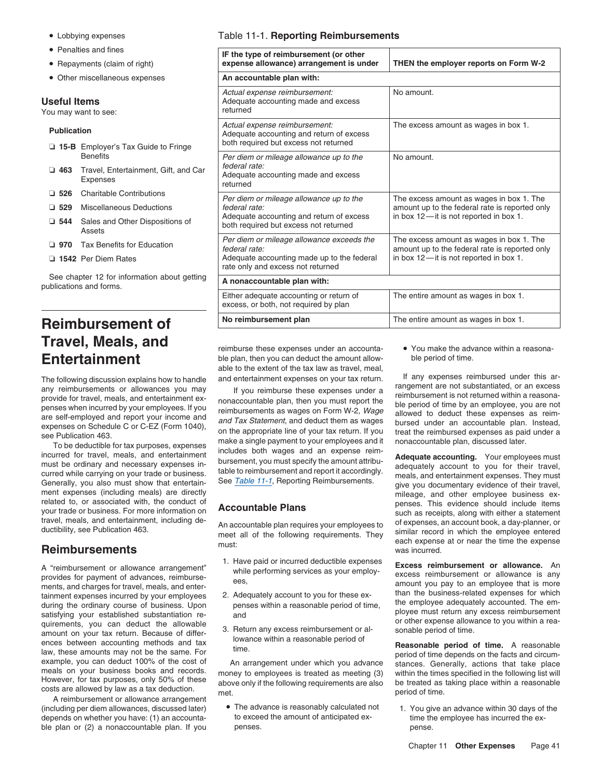- Lobbying expenses
- 
- 
- Other miscellaneous expenses **An accountable plan with: An accountable plan with:**

### **Useful Items**

You may want to see:

# □ 15-B Employer's Tax Guide to Fringe **□ 463** Travel, Entertainment, Gift, and Car Expenses **□ 529** Miscellaneous Deductions **□ 970** Tax Benefits for Education □ 1542 Per Diem Rates

See chapter 12 for information about getting publications and forms.

# **Reimbursement of Travel, Meals, and** reimburse these expenses under an accounta- • You make the advance within a reasona-

curred while carrying on your trade or business. The table to reimbursement and report it accordingly.<br>Generally, you also must show that entertain-<br>ment expenses (including meals) are directly<br>ment expenses (including mea ment expenses (including meals) are directly<br>related to, or associated with, the conduct of the expense of the plane of the plane of the plane of the plane related to, or associated with, the conduct of  $\overline{A}$  **Accountable Plans** penses. This evidence should include items vour trade or business. For more information on  $\overline{A}$  **CCOUNTABLE Plans** your trade or business. For more information on **ACCOUTTADIE PTATIS** such as receipts, along with either a statement<br>travel, meals, and entertainment, including de-<br>on account book a day-planner or

tainment expenses incurred by your employees 2. Adequately account to you for these ex-<br>during the ordinary course of business. Upon penses within a reasonable period of time, the employee adequately accounted. The em-<br>sat quirements, you can deduct the allowable<br>amount on your tax return. Because of differ-<br>ences between accounting methods and tax<br>law, these amounts may not be the same. For<br>example, you can deduct 100% of the cost of<br>exampl

(including per diem allowances, discussed later)  $\bullet$  The advance is reasonably calculated not  $\bullet$  1. You give an advance within 30 days of the depends on whether you have: (1) an accounta- to exceed the amount of anticipated ex- time the employee has incurred the exble plan or (2) a nonaccountable plan. If you penses. The pense pense pense.

### Table 11-1. **Reporting Reimbursements**

| • Penalties and fines<br>• Repayments (claim of right)                |                                                         | IF the type of reimbursement (or other<br>expense allowance) arrangement is under                                  | THEN the employer reports on Form W-2                                                       |  |  |
|-----------------------------------------------------------------------|---------------------------------------------------------|--------------------------------------------------------------------------------------------------------------------|---------------------------------------------------------------------------------------------|--|--|
| • Other miscellaneous expenses                                        |                                                         | An accountable plan with:                                                                                          |                                                                                             |  |  |
| seful Items                                                           | u may want to see:                                      | Actual expense reimbursement:<br>Adequate accounting made and excess<br>returned                                   | No amount.                                                                                  |  |  |
| <b>Publication</b><br><b>15-B</b> Employer's Tax Guide to Fringe      |                                                         | Actual expense reimbursement:<br>Adequate accounting and return of excess<br>both required but excess not returned | The excess amount as wages in box 1.                                                        |  |  |
|                                                                       | <b>Benefits</b>                                         | Per diem or mileage allowance up to the                                                                            | No amount.                                                                                  |  |  |
| $\Box$ 463                                                            | Travel, Entertainment, Gift, and Car<br><b>Expenses</b> | federal rate:<br>Adequate accounting made and excess<br>returned                                                   |                                                                                             |  |  |
| $\Box$ 526                                                            | <b>Charitable Contributions</b>                         | Per diem or mileage allowance up to the                                                                            | The excess amount as wages in box 1. The                                                    |  |  |
| $\Box$ 529                                                            | <b>Miscellaneous Deductions</b>                         | federal rate:                                                                                                      | amount up to the federal rate is reported only<br>in box $12$ —it is not reported in box 1. |  |  |
| ∃ 544                                                                 | Sales and Other Dispositions of<br>Assets               | Adequate accounting and return of excess<br>both required but excess not returned                                  |                                                                                             |  |  |
| $\Box$ 970                                                            | <b>Tax Benefits for Education</b>                       | Per diem or mileage allowance exceeds the<br>federal rate:                                                         | The excess amount as wages in box 1. The<br>amount up to the federal rate is reported only  |  |  |
| 1542 Per Diem Rates                                                   |                                                         | Adequate accounting made up to the federal<br>rate only and excess not returned                                    | in box $12$ —it is not reported in box 1.                                                   |  |  |
| See chapter 12 for information about getting<br>blications and forms. |                                                         | A nonaccountable plan with:                                                                                        |                                                                                             |  |  |
|                                                                       |                                                         | Either adequate accounting or return of<br>excess, or both, not required by plan                                   | The entire amount as wages in box 1.                                                        |  |  |
|                                                                       | 'eimhursement of                                        | No reimbursement plan                                                                                              | The entire amount as wages in box 1.                                                        |  |  |

**Entertainment** ble plan, then you can deduct the amount allow- ble period of time. able to the extent of the tax law as travel, meal,

The following discussion explains how to handle<br>
and entertainment expenses on your tax return. If any expenses reimbursed under this ar-<br>
any reimbursements or allowances you may<br>
provide for travel, meals, and entertain

- 
- 
- 

travel, meals, and entertainment, including de-<br>ductibility, see Publication 463. They similar record in which the employee entered<br>meet all of the following requirements. They similar record in which the employee entered<br>

A "reimbursement or allowance arrangement"<br>provides for payment of advances, reimburse-<br>ments, and charges for travel, meals, and enter-<br>ments, and charges for travel, meals, and enter-<br>ments, and charges for travel, meals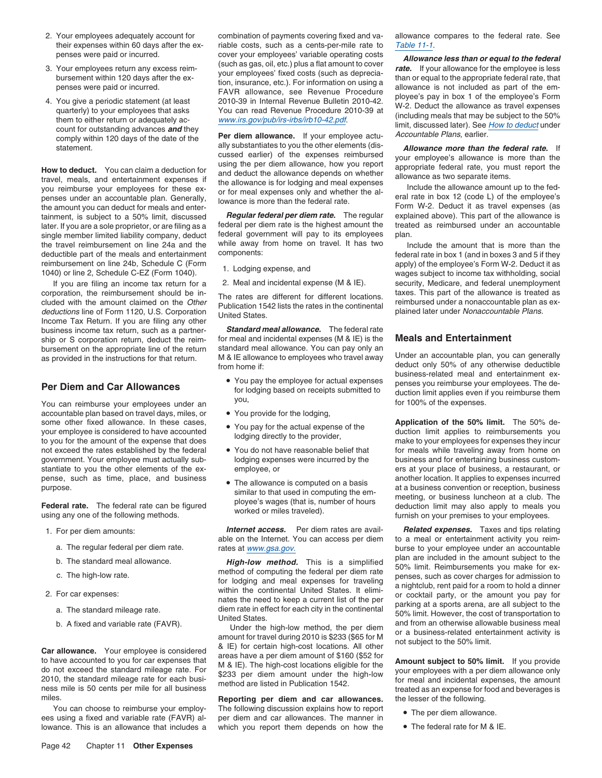- 
- 
- 

penses under an accountable plan. Generally, lowance is more than the federal rate.<br>The amount you can deduct for meals and enter-<br>tainment. is subject to a 50% limit. discussed **Regular federal per diem rate.** The regular tainment, is subject to a 50% limit, discussed **Regular federal per diem rate.** The regular explained above). This part of the allowance is<br>later. If you are a sole proprietor, or are filing as a federal per diem rate is t later. If you are a sole proprietor, or are filing as a federal per diem rate is the highest amount the treate<br>single member limited liability company, deduct federal government will pay to its employees plan. single member limited liability company, deduct federal government will pay to its employees<br>the travel reimbursement on line 24a and the vihile away from home on travel. It has two the travel reimbursement on line 24a and the while away from home on travel. It has two Include the amount that is more than the deductible part of the meals and entertainment components:<br>  $\blacksquare$  components:<br>  $\blacksquare$  federal rate in box 1 (and in boxes 3 and 5 if they

corporation, the reimbursement should be in-<br>cluded with the amount claimed on the *Other* Publication 1542 lists the rates in the continental reimbursed under a nonaccountable plan as ex-<br>*deductions* line of Form 1120, U business income tax return, such as a partner- *Standard meal allowance.* The federal rate ship or S corporation return, deduct the reim-<br>bursement on the appropriate line of the return standard meal allowance. You can pay only an bursement on the appropriate line of the return

You can reimburse your employees under an formulation of the expenses. accountable plan based on travel days, miles, or • You provide for the lodging, some other fixed allowance. In these cases, <br>vour employee is considered to have accounted by the actual expense of the duction limit applies to reimbursements you your employee is considered to have accounted<br>to lodging directly to the provider,<br>make to your employees for expenses they incur not exceed the rates established by the federal • You do not have reasonable belief that for meals while traveling away from home on government. Your employee must actually sub-<br>
lodging expenses were incurred by the business and for entertaining business customstantiate to you the other elements of the ex- employee, or example of pushess, a restaurant, or pense, such as time, place, and business <br>
purpose. another location. It applies to expenses incurred<br>
at a business convention or reception, business

- -
	-
	-
- -
	-

miles. **Reporting per diem and car allowances.** the lesser of the following.

lowance. This is an allowance that includes a which you report them depends on how the

2. Your employees adequately account for combination of payments covering fixed and va- allowance compares to the federal rate. See their expenses within 60 days after the ex-<br>riable costs, such as a cents-per-mile rate to Table 11-1.

Expenses reimbursed<br>
How to deduct. You can claim a deduction for<br>
travel, meals, and entertainment expenses if<br>
you reimburse your employees for these ex-<br>
you reimburse your employees for these ex-<br>
penses under an accou

M & IE allowance to employees who travel away Under an accountable plan, you can generally as provided in the instructions for that return. M & IE allowance to employees who travel away Under an accountable plan, you can g

- You pay the employee for actual expenses
- 
- 
- 
- 

You can choose to reimburse your employ-<br>The following discussion explains how to report<br>ees using a fixed and variable rate (FAVR) al-<br>per diem and car allowances. The manner in<br>and the per diem allowances per diem and car allowances. The manner in the per diem and variable.<br>which you report them depends on how the  $\bullet$  The federal rate for M & IE.

penses were paid or incurred.<br>
3. Your employees return any excess reim-<br>
3. Your employees return any excess reim-<br>
bursement within 120 days after the ex-<br>
bursement within 120 days after the ex-<br>
tion, insurance, etc.).

reimbursement on line 24b, Schedule C (Form apply) of the employee's Form W-2. Deduct it as 1040) or line 2, Schedule C-EZ (Form 1040). and 1040) or line 2, Schedule C-EZ (Form 1040). If you are filing an income tax return for a 2. Meal and incidental expense  $(M & E)$ . security, Medicare, and federal unemployment poration, the reimbursement should be in-<br>poration, the reimbursement should be in-

deduct only 50% of any otherwise deductible business-related meal and entertainment ex- **Per Diem and Car Allowances** The de-<br>for lodging based on receipts submitted to duction limit applies even if you reimburse them<br>for 100% of the expenses

For the section of the server of the server of the server of the server of the server of the server of the server of the server of the server of the server of the server of the server of the server of the server of the ser

1. For per diem amounts: *Internet access.* Per diem rates are avail- *Related expenses.* Taxes and tips relating to a meal or entertainment activity you reima. The regular federal per diem rate. rates at www.gsa.gov.<br>http://www.gsa.gov. burse to your employee under an accountable<br>burse to your employee under an accountable<br>plan are included in the amount subject to the b. The standard meal allowance.<br>
or the high-low method. This is a simplified plan are included in the amount subject to the<br>
or the high-low method of computing the federal per dience in the microsoft computing the dengt

- 
-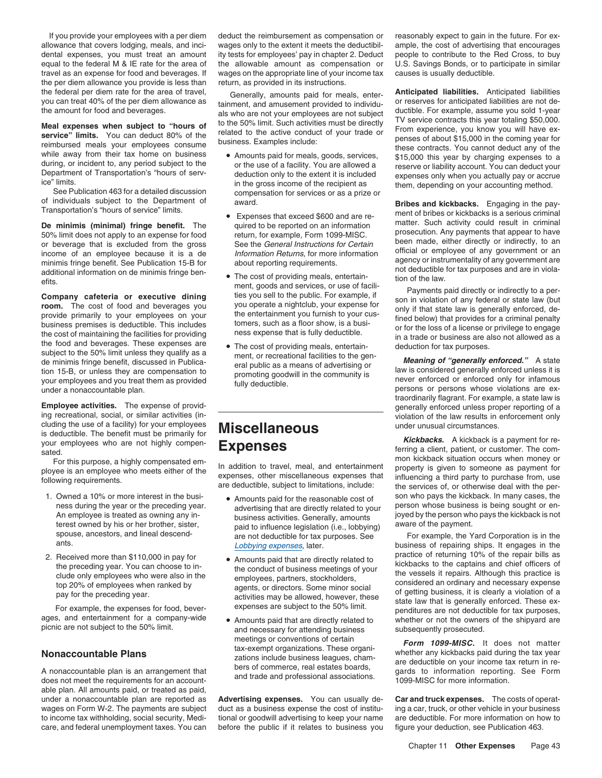allowance that covers lodging, meals, and inci- wages only to the extent it meets the deductibil- ample, the cost of advertising that encourages dental expenses, you must treat an amount ity tests for employees' pay in chapter 2. Deduct people to contribute to the Red Cross, to buy equal to the federal M & IE rate for the area of the allowable amount as compensation or U.S. Savings Bonds, or to participate in similar travel as an expense for food and beverages. If wages on the appropriate line of you travel as an expense for food and beverages. If wages on the appropriate line of your income tax the per diem allowance you provide is less than return, as provided in its instructions. the federal per diem rate for the area of travel, Generally, amounts paid for meals, enter- **Anticipated liabilities.** Anticipated liabilities

income of an employee because it is a de Information Returns, for more information official or employee of any government or an income of an employee because it is a de Information Returns, for more information agency or i minimis fringe benefit. See Publication 15-B for about reporting requirements.<br>additional information on de minimis fringe ben-<br>efits. entertain-<br>efits.

**room.** The cost of food and beverages you<br>provide primarily to your employees on your<br>business premises is deductible. This includes<br>the cost of maintaining the facilities for providing<br>the cost of maintaining the facilit the food and beverages. These expenses are • The cost of providing meals, entertain-Fine cost of providing meals, entertain-<br>
subject to the 50% limit unless they qualify as a<br>
de minimis fringe benefit, discussed in Publica eral public as a means of advertising or<br>
tion 15-B, or unless they are compensat

cluding the use of a facility) for your employees **Miscellaneous** under unusual circumstances.<br>is deductible. The benefit must be primarily for **Miscellaneous** 

- 
- 

ages, and entertainment for a company-wide . Amounts paid that are directly related to

able plan. All amounts paid, or treated as paid, under a nonaccountable plan are reported as **Advertising expenses.** You can usually de- **Car and truck expenses.** The costs of operatwages on Form W-2. The payments are subject duct as a business expense the cost of institu- ing a car, truck, or other vehicle in your business to income tax withholding, social security, Medi- tional or goodwill advertising to keep your name are deductible. For more information on how to care, and federal unemployment taxes. You can before the public if it relates to business you figure your deduction, see Publication 463.

If you provide your employees with a per diem deduct the reimbursement as compensation or reasonably expect to gain in the future. For ex-

- 
- 
- example the cost of providing meals, entertain-<br>
effits.<br> **Company cafeteria or executive dining**<br> **Company cafeteria or executive dining**<br>
ties you sell to the public. For example, if the providing the public of the publi
	-

- Owned a 10% or more interest in the busi-<br>
These during the year or the preceding year.<br>
An employee is treated as owning any in-<br>
An employee is treated as owning any in-<br>
terest owned by his or her brother, sister,<br>
spou
	-
- picnic are not subject to the 50% limit. And necessary for attending business subsequently prosecuted.

Neal expenses the per diement and any server the amount for food and beverages.<br>
Meal expenses when subject to "hours of sals who are not your employees are not subject durividu-<br>
Meal expenses when subject to "hours of th

of individuals subject to the Department of award.<br>
Transportation's "hours of service" limits.<br> **De minimis (minimal) fringe benefit.** The quired to be reported on an information and the pay-<br>
Fransportation's "hours of s

traordinarily flagrant. For example, a state law is **Employee activities.** The expense of provid-<br>
ing recreational, social, or similar activities (in-<br>
ing recreational, social, or similar activities (in-<br>
ing recreational social, or similar activities (in-<br>
in the law res violation of the law results in enforcement only<br> **Miscellaneous**<br> **Miscellaneous** 

vour employees who are not highly compen-<br>sated.<br>For this purpose a bighly compensated em-<br>For this purpose a bighly compensated em-<br>For this purpose a bighly compensated em-<br>For this purpose a bighly compensated em-For this purpose, a highly compensated em-<br>ployee is an employee who meets either of the expenses, other miscellaneous expenses that influencing a third party to purchase from, use<br>following requirements. are deductible, s 1. Owned a 10% or more interest in the busi-<br>
• Amounts paid for the reasonable cost of son who pays the kickback. In many cases, the

ants. **Lobbying expenses**, later. **business of repairing ships. It engages in the** 2. Received more than \$110,000 in pay for **•** Amounts paid that are directly related to *practice of returning 10% of the repair bills as* the preceding vear. You can choose to in-Freceived interesting year. You can choose to in-<br>the preceding year. You can choose to in-<br>the conduct of business meetings of your<br>the vessels it repairs. Although this practice is<br>top 20% of employees who were also in t whether or not the owners of the shipyard are

**Nonaccountable Plans**<br>**A** nonaccountable plan is an arrangement that<br>does not matter and trade and professional associations.<br>A nonaccountable plan is an arrangement that<br>does not meet the requirements for an account-<br>doe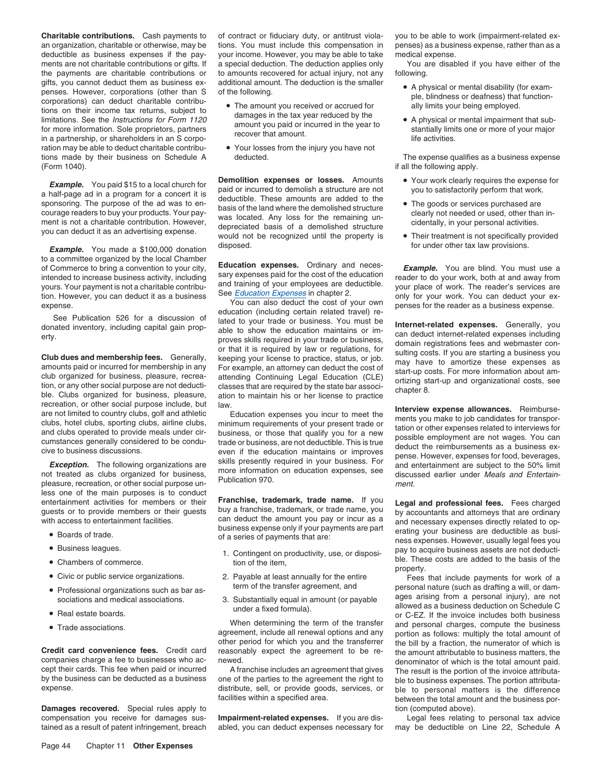**Charitable contributions.** Cash payments to of contract or fiduciary duty, or antitrust viola- you to be able to work (impairment-related exan organization, charitable or otherwise, may be tions. You must include this compensation in penses) as a business expense, rather than as a deductible as business expenses if the pay- your income. However, you may be able to take medical expense. ments are not charitable contributions or gifts. If a special deduction. The deduction applies only You are disabled if you have either of the the payments are charitable contributions or to amounts recovered for actual in gifts, you cannot deduct them as business ex- additional amount. The deduction is the smaller <br>
penses. However. corporations (other than S of the following. penses. However, corporations (other than S of the following.<br>
corporations contribu-<br>
tions on their income tax returns, subject to<br>  $\begin{array}{ccc}\n\text{The amount you received or accrued for} & \text{allly limits your being employed.}\n\end{array}$ be The amount you received or accrued for ally limits your being employed.<br>
See the *Instructions for Form 1120*<br>
for more information. Sole proprietors, partners<br>
for more information. Sole proprietors, partners<br>
in a par ration may be able to deduct charitable contribu- • Your losses from the injury you have not tions made by their business on Schedule A deducted. The expense qualifies as a business expense (Form 1040). **if all the following apply. if all the following apply.** 

**Example.** You made a \$100,000 donation disposed. The same of the same other tax law provisions. to a committee organized by the local Chamber<br>of Commerce to bring a convention to your city, **Education expenses.** Ordinary and neces-<br>intended to increase business activity including sary expenses paid for the cost of th

less one of the main purposes is to conduct

- 
- Business leagues.
- 
- Civic or public service organizations.
- 
- 
- 

**Damages recovered.** Special rules apply to tion (computed above). compensation you receive for damages sus- **Impairment-related expenses.** If you are dis- Legal fees relating to personal tax advice

to amounts recovered for actual injury, not any following.

- 
- 

**Example.** You paid \$15 to a local church for<br>a half-page ad in a program for a concert it is<br>sponsoring. The purpose of the ad was to en-<br>courage readers to buy your products. Your pay-<br>ment is not a charitable contributi

intended to increase business activity, including<br>
yours. Your payment is not a charitable contribu-<br>
ion and taiming of your sease deductible.<br>
wor place of work. The reader's services are<br>
to con. However, you can deduct

entertainment activities for members or their **Franchise, trademark, trade name.** If you **Legal and professional fees.** Fees charged guests or to provide members or their guests buy a franchise, trademark, or trade name, you by accountants and attorneys that are ordinary<br>with access to entertainment facilities. exameled with a amount you pay or incur as th access to entertainment facilities.<br>• Boards of trade. The access of a series of payments that are:<br>• Boards of trade. The series of payments that are:<br>• Poards of trade. The series of payments that are:

- Chambers of commerce.<br>
property.<br>
Civic or public service organizations. 
2. Payable at least annually for the entire Fees
	-
	-

tained as a result of patent infringement, breach abled, you can deduct expenses necessary for may be deductible on Line 22, Schedule A

- 
- 

- 
- 
- 

mecreation, or other social purpose include, but<br>are not limited to country clubs, golf and athletic and athletic Education expenses you incur to meet the<br>and clubs operated to provide meals under cir-<br>business, or those t

ness expenses. However, usually legal fees you 1. Contingent on productivity, use, or disposi-<br>ble. These costs are added to the basis of the<br>intervention of the item,

Payable at least annually for the entire Fees that include payments for work of a<br>term of the transfer agreement, and personal nature (such as drafting a will, or dam-• Professional organizations such as bar as-<br>• Professional organizations such as bar as-<br>• • Professional organizations such as bar as-<br>sociations and medical associations. The sociation of the sociation of the sociation of the sociations and medical associations.<br>• Real estate boards and medical associations an ■ Real estate boards. or C-EZ. If the invoice includes both business<br>The invoice includes both business or C-EZ. If the invoice includes both business • Trade associations. <br>• Trade associations. <br>• Trade associations. <br>• Trade associations. agreement, include all renewal options and any portion as follows: multiply the total amount of other period for which you and the transferrer the bill by a fraction, the numerator of which is other period for which you and the transferrer the bill by a fraction, the numerator of which is<br>Credit card reasonably expect the agreement to be re- the amount attributable to business matters, the companies charge a fee to businesses who ac-<br>cept their cards. This fee when paid or incurred A franchise includes an agreement that gives The result is the portion of the invoice attributacept their cards. This fee when paid or incurred A franchise includes an agreement that gives The result is the portion of the invoice attributa-<br>by the business can be deducted as a business one of the parties to the agre by the business can be deducted as a business one of the parties to the agreement the right to ble to business expenses. The portion attributa-<br>expense. distribute, sell, or provide goods, services, or ble to personal matt distribute, sell, or provide goods, services, or ble to personal matters is the difference facilities within a specified area. between the total amount and the business por-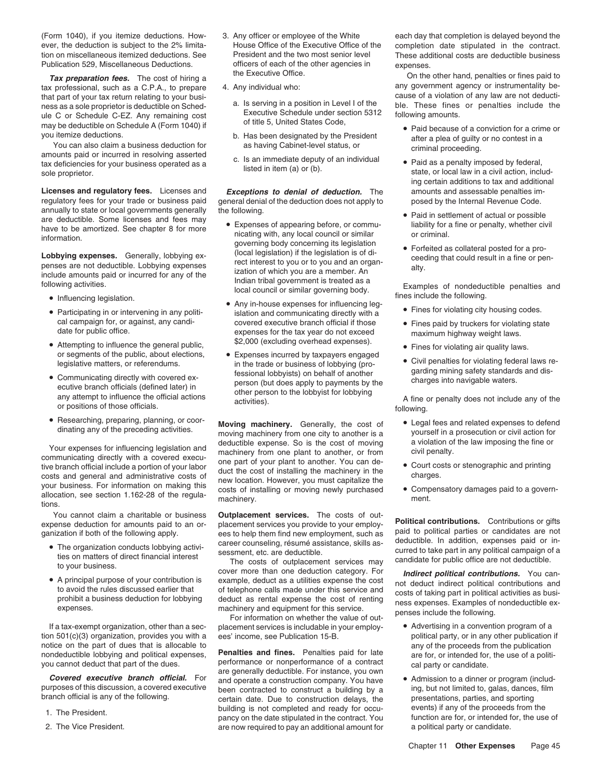that part of your tax return relating to your busi-<br>noss as a sole proprietor is deductible on Sched-<br>a. Is serving in a position in Level I of the ule C or Schedule C-EZ. Any remaining cost Executive Schedule under section 5312 forms of the 5312 following amounts. may be deductible on Schedule A (Form 1040) if you itemize deductions.

you itemize deductions.<br>
You can also claim a business deduction for<br>
amounts paid or incurred in resolving asserted<br>
the President contest in a criminal proceeding.<br>
C. Is an immediate deputy of an individual<br>
the Paid as amounts paid of incurred in resolving asserted as a c. Is an immediate deputy of an individual **a** Paid as a penalty imposed by federal, sole proprietor. Sole proprietor. Sole proprietor. Sole proprietor.

**Licenses and regulatory fees.** Licenses and *Exceptions to denial of deduction.* The amounts and assessable penalties imregulatory fees for your trade or business paid general denial of the deduction does not apply to posed by the Internal Revenue Code. annually to state or local governments generally the following.<br>
The following the state of the computation of actual or possible and determined the computation of actual or possible are deductible. Some licenses and fees may • Expenses of appearing before, or commu-<br>have to be amortized. See chapter 8 for more • Expenses of appearing before, or commu- liability for a fine or penalty, whether civil

- Influencing legislation.
- Participating in or intervening in any politi-
- Attempting to influence the general public, \$2,000 (excluding overhead expenses). Fines for violating air quality laws. or segments of the public, about elections, • Expenses incurred by taxpayers engaged
- Communicating directly with covered ex-<br>
ecutive branch officials (defined later) in<br>
any attempt to influence the official actions<br>
or positions of those officials.<br>
or positions of those officials.<br>
or positions of tho
- Researching, preparing, planning, or coor-

tions.

- The organization conducts lobbying activi-<br>ties on matters of direct financial interest<br>to your business.<br>to your business.<br>to your business.<br>to your business.<br>to your business.<br>to your business.<br>to your business.<br>to you
- A principal purpose of your contribution is

tion 501(c)(3) organization, provides you with a ees' income, see Publication 15-B.

- 
- 
- Publication 529, Miscellaneous Deductions. officers of each of the other agencies in expenses.<br>The other contract of the Executive Office.
	- -
		-
		-

- and the expenses of appearing before, or commu-<br>have to be amortized. See chapter 8 for more<br>information. governing body concerning its legislation<br>governing body concerning its legislation<br>governing its legislation **Lobbying expenses.** Generally, lobbying ex-<br>
include anounts paid or incurred for any of the<br>
following activities.<br>
Include amounts paid or incurred for any of the<br>
following activities.<br> **a**<br> **b** Indian tribal governmen
	- Any in-house expenses for influencing leg-<br>interval communicating directly with a very fines for violating city housing codes. Participating in or intervening in any politi-<br>
	cal campaign for, or against, any candi-<br>
	covered executive branch official if those covered executive branch official if those • Fines paid by truckers for violating state Fines paid by truckers for violating state<br>date for public office. expenses for the tax year do not exceed<br>• Attempting to influence the general public \$2,000 (excluding overhead expenses).
	- Civil penalties for violating directly with covered ex-<br>
	Communicating directly with covered ex-<br>
	Fessional lobbyists) on behalf of another and the garding mining safety standards and dis-<br>
	person (but does apply to paymen

Vour expenses for influencing legislation and<br>
communicating directly with a covered execu-<br>
tive branch official include a portion of your labor<br>
duct the cost of installing the machinery in the<br>
scots and general and adm

You cannot claim a charitable or business **Outplacement services.** The costs of out-<br>expense deduction for amounts paid to an or-<br>placement services you provide to your employexpense deduction for amounts paid to an or-<br>ganization if both of the following apply. ees to help them find new employment, such as<br>Fine organization conducts lobbying activi-<br>Fine organization conducts lobbying activi-<br>

If a tax-exempt organization, other than a sec-<br>
on 501(c)(3) organization, provides you with a ees' income, see Publication 15-B.<br>
political party, or in any other publication if

notice on the part of dues that is allocable to<br>nondeductible lobbying and political expenses,<br>you cannot deduct that part of the dues.<br>**Covered executive branch official.** For and operate a construction company. You have<br> **Covered executive branch official.** For and operate a construction company. You have <br>purposes of this discussion, a covered executive been contracted to construct a building by a ing, but not limited to, galas, dances, f certain date. Due to construction delays, the expresentations, parties, and sporting<br>building is not completed and ready for occu-exports) if any of the proceeds from the building is not completed and ready for occu-<br>
pancy on the date stipulated in the contract. You function are for, or intended for, the use of<br>
2. The Vice President. <br>
2. The Vice President. <br>
2. The Vice President. are now required to pay an additional amount for

(Form 1040), if you itemize deductions. How- 3. Any officer or employee of the White each day that completion is delayed beyond the ever, the deduction is subject to the 2% limita-<br>  $\frac{1}{100}$  House Office of the Executive Office of the completion date stipulated in the contract.<br>
These additional costs are deductible business These additional costs are deductible business.

*Tax preparation fees.* The cost of hiring a the Executive Office. The Security of the other hand, penalties or fines paid to the other hand, penalties or fines paid to the other hand, penalties or fines paid to the other tax professional, such as a C.P.A., to prepare 4. Any individual who: any government agency or instrumentality be-<br>that part of your tax return relating to your business as a sole proprietor is deductible on Sched-<br>ule C or Schedule C-EZ. Any remaining cost<br>Executive Schedule under section 5312 following amounts.

- Paid because of a conviction for a crime or
- ing certain additions to tax and additional
- 
- 

- 
- 
- 
- Civil penalties for violating federal laws re-

- Researching, preparing, planning, or coor-<br>dinating any of the preceding activities.<br>dinating any of the preceding activities.<br>deductible expense. So is the cost of moving a violation of the law imposing the fine or
	-
	-

• A principal purpose of your contribution is example, deduct as a utilities expense the cost to avoid the rules discussed earlier that of telephone calls made under this service and costs of taking part in political activ

- 
-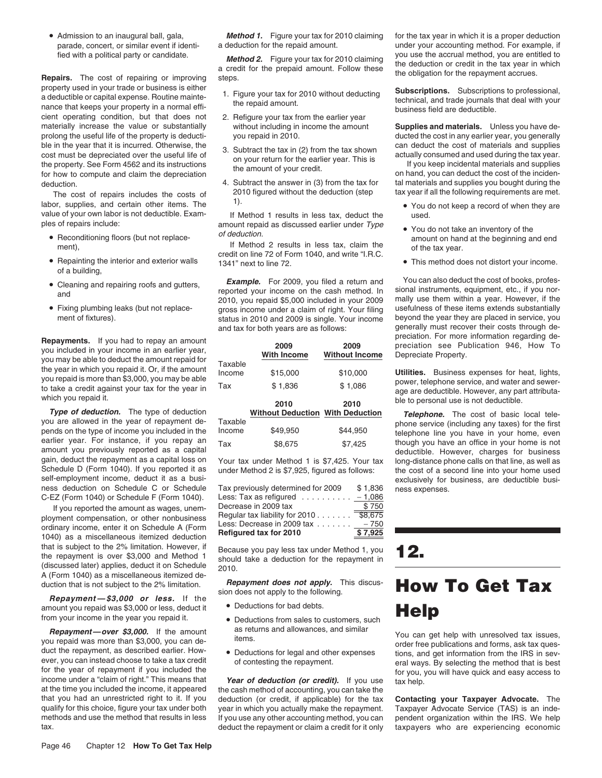• Admission to an inaugural ball, gala,

property used in your trade or business is either a deductible or capital expense. Routine mainte-<br>a deductible or capital expense. Routine mainte-<br>nance that keeps your property in a normal effi-<br>the repaid amount.<br>busine cient operating condition, but that does not 2. Refigure your tax from the earlier year materially increase the value or substantially without including in income the amount **Supplies and materials.** Unless you have deprolong the useful life of the property is deducti- you repaid in 2010. ducted the cost in any earlier year, you generally ble in the year that it is incurred. Otherwise, the setul life of the tax in (2) from the tax shown cost must be depreciated over the useful life of the property. See Form 4562 and its instructions the amount of your retur deduction. **4. Subtract the answer in (3) from the tax for** tal materials and supplies you bought during the

The cost of repairs includes the costs of 2010 figured without the deduction (step tax year if all the following requirements are met.<br>
labor, supplies, and certain other items. The <sup>1)</sup><br>
value of your own labor is not ded value of your own labor is not deductible. Exam-<br>  $\frac{1}{2}$  If Method 1 results in less tax, deduct the used.<br>
amount repaid as discussed earlier under *Type* 

- Reconditioning floors (but not replace-
- Repainting the interior and exterior walls of a building,
- 
- Fixing plumbing leaks (but not replace-

you are allowed in the year of repayment de-<br>
pends on the type of income you included in the Income \$49,950 \$44,950 telephone line you have in your home, even<br>
pervise though you have an office in your home is not<br>
see FI earlier year. For instance, if you repay an  $\tau_{\text{ax}}$  \$8,675 \$7,425 though you have an office in your home is not amount you previously reported as a capital amount you previously reported as a capital<br>gain, deduct the repayment as a capital loss on export for the under Method 1 is \$7.425. Your tax dong-distance phone calls on that line as well as gain, deduct the repayment as a capital loss on Your tax under Method 1 is \$7,425. Your tax long-distance phone calls on that line, as well as capital as well as vertext of a second line into your home used Schedule D (Form 1040). If you reported it as under Method 2 is \$7,925, figured as follows: the cost of a second line into your home used self-employment income, deduct it as a business deduction on Schedule C or Schedule Tax previously determined for 2009 \$ 1,836 ness expenses. C-EZ (Form 1040) or Schedule F (Form 1040).

If you reported the amount as wages, unem-<br>ployment compensation, or other nonbusiness<br>ordinary income, enter it on Schedule A (Form<br>1040) as a miscellaneous itemized deduction that is subject to the 2% limitation. However, if that is subject to the 2% limitation. However, it<br>the repayment is over \$3,000 and Method 1 should take a deduction for the repayment in (discussed later) applies, deduct it on Schedule 2010. A (Form 1040) as a miscellaneous itemized de-

*Repayment—\$3,000 or less.* If the from your income in the year you repaid it. amount you repaid was \$3,000 or less, deduct it

**Repayment—over \$3,000.** If the amount as returns and allowances, and similar<br>you repaid was more than \$3,000, you can de-<br>duct the repayment, as described earlier. How-<br>duct the repayment, as described earlier. How-<br>e Ded duct the repayment, as described earlier. How-<br>ever, you can instead choose to take a tax credit<br>for the year of repayment if you included the<br>income under a "claim of right." This means that<br>at the time you included the i that you had an unrestricted right to it. If you deduction (or credit, if applicable) for the tax **Contacting your Taxpayer Advocate.** The qualify for this choice, figure your tax under both year in which you actually make the repayment. Taxpayer Advocate Service (TAS) is an indemethods and use the method that results in less If you use any other accounting method, you can pendent organization within the IRS. We help

fied with a political party or candidate.<br> **Method 2.** Figure your tax for 2010 claiming<br>
a credit for the prepaid amount. Follow these<br>
He obligation for the repayment accrues.<br>
He cost of repairing or improving steps.

- 
- 
- 
- 

amount repaid as discussed earlier under  $Type$   $\bullet$  You do not take an inventory of the of deduction.

ment), If Method 2 results in less tax, claim the of the tax year.<br>credit on line 72 of Form 1040, and write "I.R.C. 1341" next to line 72. • This method does not distort your income.

repaining the repaining of the same reported your income on the cash method. In sional instruments, equipment, etc., if you nor-<br>2010, you repaid \$5,000 included in your 2009 mally use them within a year. However, if the<br>F Fixing plumbing leaks (but not replace- gross income under a claim of right. Your filing usefulness of these items extends substantially<br>ment of fixtures). status in 2010 and 2009 is single. Your income beyond the year they are placed in service, you<br>and tax for both years are as follows: generally must recover their costs through de-

| <b>Repayments.</b> If you had to repay an amount<br>you included in your income in an earlier year,<br>you may be able to deduct the amount repaid for | Taxable           | 2009<br>With Income                     | 2009<br><b>Without Income</b> | preciation. For more information regarding de-<br>preciation see Publication 946, How To<br>Depreciate Property. |
|--------------------------------------------------------------------------------------------------------------------------------------------------------|-------------------|-----------------------------------------|-------------------------------|------------------------------------------------------------------------------------------------------------------|
| the year in which you repaid it. Or, if the amount<br>you repaid is more than \$3,000, you may be able                                                 | Income            | \$15,000                                | \$10,000                      | <b>Utilities.</b> Business expenses for heat, lights,                                                            |
| to take a credit against your tax for the year in                                                                                                      | Tax               | \$1.836                                 | \$1.086                       | power, telephone service, and water and sewer-<br>age are deductible. However, any part attributa-               |
| which you repaid it.                                                                                                                                   |                   | 2010                                    | 2010                          | ble to personal use is not deductible.                                                                           |
| <b>Type of deduction.</b> The type of deduction                                                                                                        |                   | <b>Without Deduction With Deduction</b> |                               | Telephone. The cost of basic local tele-                                                                         |
| you are allowed in the year of repayment de-<br>pends on the type of income you included in the                                                        | Taxable<br>Income | \$49.950                                | \$44.950                      | phone service (including any taxes) for the first<br>tolonhone line you house in your home, oven                 |

| Refigured tax for 2010                                  | \$7,925 |
|---------------------------------------------------------|---------|
| Less: Decrease in 2009 tax $\ldots \ldots -750$         |         |
| Reqular tax liability for 2010 $\ldots \ldots$ $$8.675$ |         |
| Decrease in 2009 tax                                    | \$750   |
| Less: Tax as refigured $\ldots \ldots \ldots -1,086$    |         |
| Tax previously determined for 2009                      | \$1.836 |
|                                                         |         |

duction that is not subject to the 2% limitation. **Repayment does not apply.** This discus-<br>sion does not apply to the following.

- Deductions for bad debts.
- Deductions for bad debts.<br>• Deductions from sales to customers, such **Help**
- 

Method 1. Figure your tax for 2010 claiming for the tax year in which it is a proper deduction parade, concert, or similar event if identi- a deduction for the repaid amount. The standard value of your accounting method. For example, if

- 
- $R$  amount on hand at the beginning and end<br>If Method 2 results in less tax, claim the  $R$  of the tax year
	-

• Cleaning and repairing roofs and gutters, **Example.** For 2009, you filed a return and You can also deduct the cost of books, profes-<br>reported your income on the cash method. In sional instruments, equipment, etc., if you and tax for both years are as follows: generally must recover their costs through de-

exclusively for business, are deductible busi-

# **How To Get Tax**

tax. deduct the repayment or claim a credit for it only taxpayers who are experiencing economic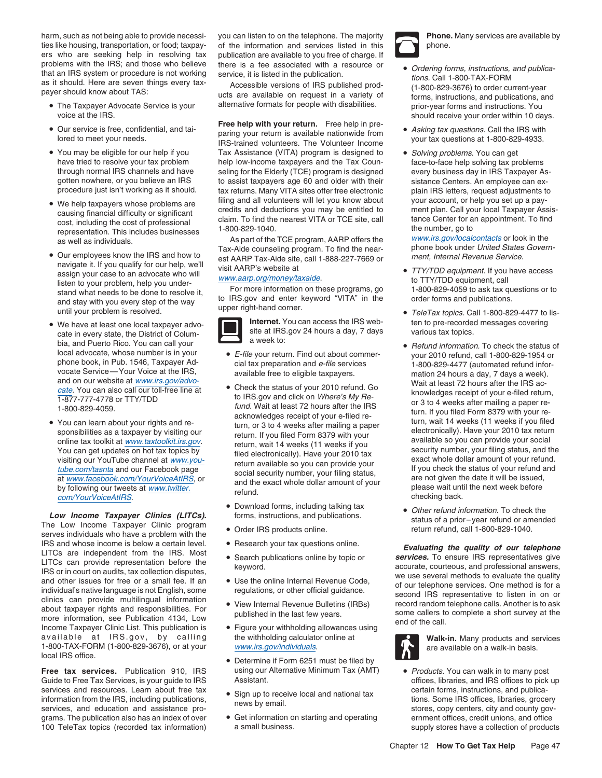harm, such as not being able to provide necessi-you can listen to on the telephone. The majority **Phone. Many services are available by** ties like housing, transportation, or food; taxpay- of the information and services listed in this ers who are seeking help in resolving tax publication are available to you free of charge. If problems with the IRS; and those who believe there is a fee associated with a resource or problems with the IRS; and those who believe there is a fee associated with a resource or  $\bullet$  Ordering forms, instructions, and publication.

- The Taxpayer Advocate Service is your alternative formats for people with disabilities. prior-year forms and instructions. You
- 
- You may be eligible for our help if you
- representation. This includes businesses and the Dubble 1000-829-1040.<br>As part of the TCE program, AARP offers the www.irs.gov/localcontacts or look in the<br>Tax-Aide counseling program. To find the near- phone book under Un
- Our employees know the IRS and how to est AARP Tax-Aide site, call 1-888-227-7669 or ment, Internal Revenue Service.<br>
navigate it. If you qualify for our help, we'll visit AARP's website at TTY/TDD equipment. If you have assign your case to an advocate who will<br>listen to your problem, help you under-<br>stand what needs to be done to resolve it,<br>and stay with you every step of the way<br>until your problem is resolved. The way the way the way th
- We have a taxpayer advocal taxpayer and the District of Colum-<br>bia, and Puerto Rico. You can call your **a** week to: **bia, and Puerto Rico.** You can call your
- You can learn about your rights and re-

serves individuals who have a problem with the IRS and whose income is below a certain level. • Research your tax questions online.<br>
LITCs are independent from the IRS. Most • Search publications online by topic or *Services*. To ensure IRS representatives give<br>
LITC LITCs can provide representation before the<br>
IRS or in court on audits, tax collection disputes,<br>
and other issues for free or a small fee. If an<br>
individual's native language is not English, some<br>
clinics can provide mult about taxpayer rights and responsibilities. For<br>
about taxpayer rights and responsibilities. For<br>
Income Taxpayer Clinic List. This publication 4134, Low<br>
Income Taxpayer Clinic List. This publication is<br>  $\bullet$  Figure your available at IRS.gov, by calling the withholding calculator online at **Walk-in.** Many products and services 1-800-TAX-FORM (1-800-829-3676), or at your www.irs.gov/individuals. The same available on a walk-in basis. local IRS office.

**Free tax services.** Publication 910, IRS using our Alternative Minimum Tax (AMT) . Products. You can walk in to many post Guide to Free Tax Services, is your guide to IRS Assistant. The Mustafant offices, libraries, and IRS offices to pick up services and resources. Learn about free tax <br>information from the IRS, including publications,<br>may by small the local and national tax<br>tions. Some IRS offices, libraries, grocery enormation from the free, including publications,<br>services, and education and assistance pro-<br>stores, copy centers, city and county govgrams. The publication also has an index of over <br>
• Get information on starting and operating ernment offices, credit unions, and office

**Free help with your return.** Free help in pre- •Our service is free, confidential, and tai-<br>lored to meet your needs.<br>IRS-trained volunteers. The Volunteer Income<br>IRS-trained volunteers. The Volunteer Income Tax Assistance (VITA) program is designed to • Solving problems. You can get have tried to resolve your tax problem help low-income taxpayers and the Tax Coun-<br>
through normal IRS channels and have seling for the Elderly (TCE) program is designed every business day in IRS Taxpayer A seling for the Elderly (TCE) program is designed every business day in IRS Taxpayer Asgotten nowhere, or you believe an IRS to assist taxpayers age 60 and older with their sistance Centers. An employee can ex-<br>procedure just isn't working as it should. tax returns. Many VITA sites offer free electronic plai tax returns. Many VITA sites offer free electronic plain IRS letters, request adjustments to • We help taxpayers whose problems are filing and all volunteers will let you know about your account, or help you set up a pay-<br>causing financial difficulty or significant credits and deductions you may be entitled to men • We help taxpayers whose problems are the ming and an volumeers will be you how about count, or help you set up a pay-<br>causing financial difficulty or significant credits and deductions you may be entitled to count, or he

■ Tax-Aide counseling program. To find the near- phone book under United States<br>Our employees know the IRS and how to est AARP Tax-Aide site call 1-888-227-7669 or *ment. Internal Revenue Service* 



- 
- cate. You can also call our toll-free line at<br>
to IRS.gov and click on *Where's My Re* the status of your 2010 refund. Go<br>
to IRS.gov and click on *Where's My Re* state in the model of your e-filed return,<br>
tend. Wait at l
	- Download forms, including talking tax •
	-
	-
	-
	-
	-
	-
	- Determine if Form 6251 must be filed by
	-
	-

- Frequency and the state is a recursion of the publication.<br>
that an IRS system or procedure is not working<br>
as it should. Here are seven things every tax-<br>
payer should know about TAS: the state available on request in a v voice at the IRS. should receive your order within 10 days.
	-
	-

- 
- TeleTax topics. Call 1-800-829-4477 to lis-• We have at least one local taxpayer advo-<br> **Internet.** You can access the IRS web-<br>
The ten to pre-recorded messages covering
- Refund information. To check the status of local advocate, whose number is in your<br>
phone book, in Pub. 1546, Taxpayer Adelection and *e-file* your return. Find out about commer-<br>
your 2010 refund, call 1-800-829-1954 or<br>
vocate Service — Your Voice at the IRS,<br>
an • You can learn about your rights and return, or 3 to 4 weeks after mailing a paper<br>
sponsibilities as a taxpayer by visiting our<br>
online tax toolkit at <u>www.taxtoolkit.irs.gov</u><br>
You can get updates on hot tax topics by<br>
v
- **Commoditions, including tanting tax**<br> **Come** *Low Income Taxpayer Clinics (LITCs).***<br>
The Low Income Taxpayer Clinics program instructions, and publications.<br>
The Low Income Taxpayer Clinics program instructions, and public**



100 TeleTax topics (recorded tax information) a small business. The supply stores have a collection of products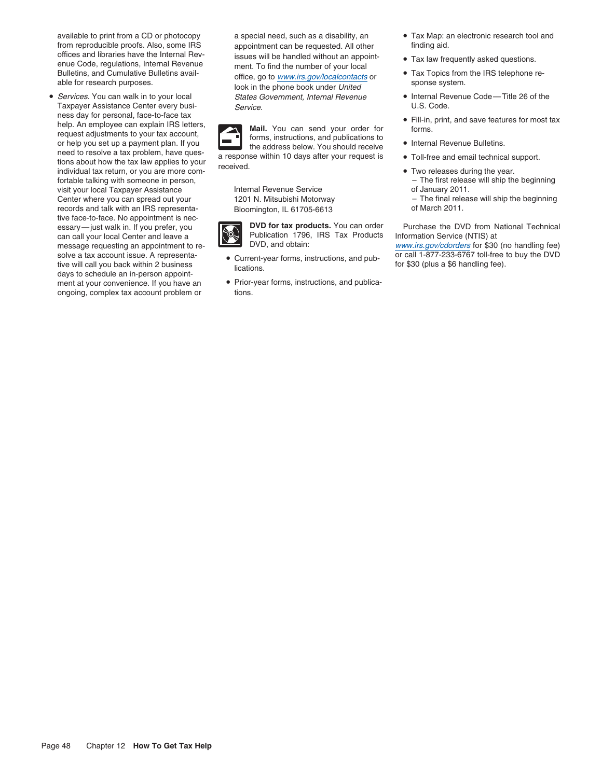available to print from a CD or photocopy a special need, such as a disability, an • Tax Map: an electronic research tool and from reproducible proofs. Also, some IRS appointment can be requested. All other finding aid.<br>
offices and libraries have the Internal Rev-<br>
issues will be handled without an appointoffices and libraries have the Internal Rev-<br>
enue Code, regulations, Internal Revenue<br>
ment To find the number of your local<br>
only local<br>
only and the number of your local<br>
only local<br>
only law frequently asked questions.

• Services. You can walk in to your local Taxpayer Assistance Center every busi-<br>
Service Center over the Service Code. ness day for personal, face-to-face tax<br>help. An employee can explain IRS letters, **1990 Moil Vou can eard your ardar for the state of the state of the state** Fill-in, print, and save features for most tax<br>
help. An employee can explain IRS letters,<br>
or help you set up a payment plan. If you<br>
need to resolve a tax problem, have ques-<br>
tions about how the tax law applies to your<br> visit your local Taxpayer Assistance Center where you can spread out your 1201 N. Mitsubishi Motorway – The final release will ship the beginning records and talk with an IRS representa- Bloomington, IL 61705-6613 of March 2011. tive face-to-face. No appointment is neccan call your local Center and leave a Publication 1796 Publication 1796 five will call you back within 2 business<br>days to schedule an in-person appoint-<br>ment at your convenience. If you have an  $\bullet$  Prior-year forms, instructions, and publicament at your convenience. If you have an ongoing, complex tax account problem or tions.

ence and included without and appoint-<br>
ence Code, regulations, Internal Revenue<br>
Bulletins, and Cumulative Bulletins avail-<br>
able for research purposes.<br>
look in the phone book under United<br>
look in the phone book under U States Government, Internal Revenue • Internal Revenue Code—Title 26 of the



- 
- 
- 
- 
- 
- 
- 
- 
- 
- fortable talking with someone in person,<br>  $\begin{array}{ccc}\n\text{internal Revenue Service} & \text{interreal} \\
\text{internal Revenue Service} & \text{interreal} \\
\end{array}$ 
	-

essary—just walk in. If you prefer, you **DVD for tax products.** You can order Purchase the DVD from National Technical<br>can call your local Center and leave a Publication 1796, IRS Tax Products Information Service (NTIS) at

message requesting an appointment to re-<br>DVD, and obtain: www.irs.gov/cdorders for \$30 (no handling fee) solve a tax account issue. A representa-<br>tive will call you back within 2 business<br>liestises in the street of the same for \$30 (plus a \$6 handling fee).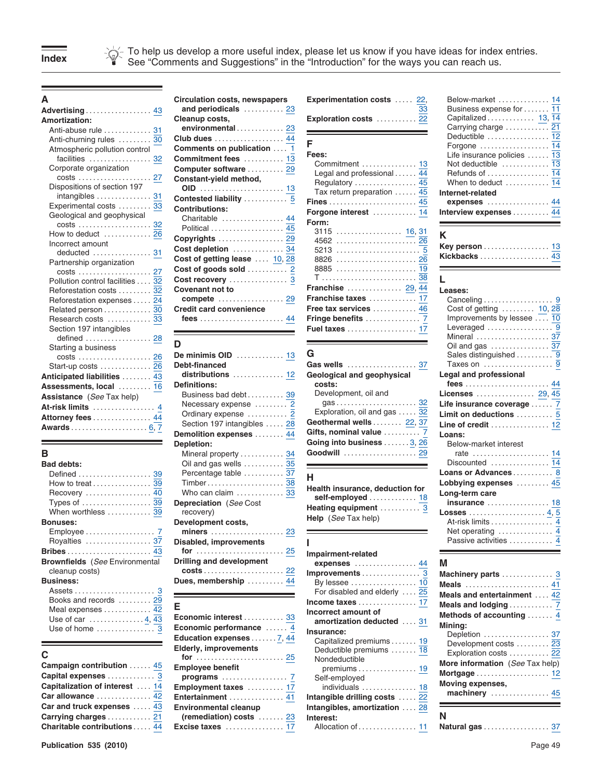To help us develop a more useful index, please let us know if you have ideas for index entries.<br> **Index** See "Comments and Suggestions" in the "Introduction" for the ways you can reach us.

| Advertising <u>4</u>                                                              |
|-----------------------------------------------------------------------------------|
| <b>Amortization:</b>                                                              |
|                                                                                   |
|                                                                                   |
| Atmospheric pollution control                                                     |
| facilities  3                                                                     |
| Corporate organization                                                            |
|                                                                                   |
| Dispositions of section 197                                                       |
|                                                                                   |
|                                                                                   |
| Geological and geophysical                                                        |
|                                                                                   |
|                                                                                   |
| Incorrect amount                                                                  |
| deducted  3                                                                       |
| Partnership organization                                                          |
| Pollution control facilities $\frac{3}{3}$                                        |
|                                                                                   |
| Reforestation costs<br>Reforestation expenses<br>Related person<br>Research costs |
|                                                                                   |
| Research costs …………. <u>3</u>                                                     |
| Section 197 intangibles                                                           |
| defined  2                                                                        |
| Starting a business                                                               |
|                                                                                   |
| Start-up costs <mark>2</mark>                                                     |
| Anticipated liabilities <u>4</u>                                                  |
| Assessments, local ………. <u>1</u>                                                  |
| <b>Assistance</b> (See Tax help)                                                  |
| At-risk limits                                                                    |
| Attorney fees 4                                                                   |
|                                                                                   |

| <b>Bad debts:</b>                     |
|---------------------------------------|
| Defined  39                           |
| How to treat  39                      |
| Recovery  40                          |
| Types of  39                          |
| When worthless  39                    |
| <b>Bonuses:</b>                       |
|                                       |
| Royalties  37                         |
| <b>Bribes</b> 43                      |
| <b>Brownfields</b> (See Environmental |
| cleanup costs)                        |
| <b>Business:</b>                      |
|                                       |
| Books and records  29                 |
| Meal expenses  42                     |
| Use of car 4, 43                      |
|                                       |
| Use of home  3                        |

| Campaign contribution      |
|----------------------------|
| Capital expenses           |
| Capitalization of interest |
| Car allowance              |
| Car and truck expenses     |
| Carrying charges           |
| Charitable contributions   |

|                                                    | Circulation costs, newspapers         | <b>Experimentation costs</b><br>22,  | Below-market  14                        |
|----------------------------------------------------|---------------------------------------|--------------------------------------|-----------------------------------------|
| Advertising 43                                     | and periodicals  23                   | 33                                   | Business expense for  11                |
| <b>Amortization:</b>                               | Cleanup costs,                        | Exploration costs  22                | Capitalized  13, 14                     |
| Anti-abuse rule  31                                | environmental 23                      |                                      | Carrying charge  21                     |
|                                                    | Anti-churning rules  30 Club dues  44 |                                      | Deductible $\ldots, \ldots, \ldots, 12$ |
| Atmospheric pollution control                      | Comments on publication  1            |                                      |                                         |
| facilities $\ldots \ldots \ldots \ldots \ldots$ 32 | Commitment fees  13                   | Fees:                                | Life insurance policies  13             |
| Corporate organization                             | Computer software  29                 | Commitment  13                       | Not deductible  13                      |
|                                                    | Constant-yield method,                | Legal and professional $\ldots$ . 44 | Refunds of  14                          |
| Dispositions of section 197                        |                                       |                                      | When to deduct  14                      |
| intangibles  31                                    |                                       | Tax return preparation $\ldots$ .45  | Internet-related                        |
| Experimental costs  33                             | Contested liability  5                |                                      | expenses  44                            |
| Geological and geophysical                         | <b>Contributions:</b>                 | Forgone interest  14                 | Interview expenses  44                  |
|                                                    | Charitable  44                        | Form:                                |                                         |
| How to deduct $\ldots \ldots \ldots 26$            | Political  45                         | 3115 <u>16, 31</u>                   | K                                       |
| Incorrect amount                                   | Copyrights  29                        |                                      |                                         |
| deducted $\ldots$ 31                               |                                       |                                      | Key person  13                          |
| Partnership organization                           |                                       |                                      | Kickbacks  43                           |
| 27                                                 |                                       |                                      |                                         |
| Pollution control facilities  32                   |                                       |                                      |                                         |
| Reforestation costs  32                            | <b>Covenant not to</b>                | <b>Franchise</b> 29, 44              | Leases:                                 |
| Reforestation expenses  24                         |                                       | Franchise taxes  17                  |                                         |
| Related person  30                                 | <b>Credit card convenience</b>        | Free tax services  46                | Cost of getting  10, 28                 |
| Research costs  33                                 |                                       |                                      | Improvements by lessee  10              |
|                                                    |                                       |                                      | $1$ overaged                            |

÷

| <u>Ulurling a bubliced</u><br>Start-up costs  26<br>Anticipated liabilities  43<br>Assessments, local  16<br><b>Assistance</b> (See Tax help)<br>At-risk limits  4<br>Attorney fees  44<br>Awards 6, 7 | Debt-financed<br><b>Definitions:</b><br>Business bad debt 39<br>Necessary expense  2<br>Ordinary expense  2<br>Section 197 intangibles  28                                                       | G<br>Gas wells  37<br>Geological and geophysical<br>costs:<br>Development, oil and<br>Exploration, oil and gas  32<br>Geothermal wells 22, 37 | Sales distinguished<br>Taxes on $\dots\dots\dots$<br>Legal and professional<br>fees<br>Licenses<br>Life insurance coverag<br>Limit on deductions<br>Line of credit $\ldots$ |
|--------------------------------------------------------------------------------------------------------------------------------------------------------------------------------------------------------|--------------------------------------------------------------------------------------------------------------------------------------------------------------------------------------------------|-----------------------------------------------------------------------------------------------------------------------------------------------|-----------------------------------------------------------------------------------------------------------------------------------------------------------------------------|
| в<br><b>Bad debts:</b>                                                                                                                                                                                 | Demolition expenses  44<br>Depletion:<br>Mineral property  34<br>Oil and gas wells  35                                                                                                           | Gifts, nominal value  7<br>Going into business  3, 26<br>Goodwill  29                                                                         | Loans:<br>Below-market interest<br>rate $\dots\dots\dots\dots\dots$<br>$Discounted$                                                                                         |
| Defined  39<br>How to treat $\ldots \ldots \ldots \ldots 39$<br>Types of $\dots\dots\dots\dots\dots \frac{39}{39}$<br>When worthless  39<br><b>Bonuses:</b>                                            | Percentage table  37<br>Who can claim $\ldots \ldots \ldots \frac{33}{33}$<br><b>Depreciation</b> (See Cost<br>recovery)<br>Development costs,<br>miners $\ldots \ldots \ldots \ldots \ldots 23$ | н<br>Health insurance, deduction for<br>self-employed  18<br>Heating equipment  3<br>Help (See Tax help)                                      | Loans or Advances<br>Lobbying expenses<br>Long-term care<br>$insurance$<br>$Losses$<br>At-risk limits<br>Net operating $\dots\dots$                                         |
| Royalties  37<br><b>Brownfields</b> (See Environmental<br>cleanup costs)                                                                                                                               | <b>Disabled, improvements</b><br>Drilling and development                                                                                                                                        | Impairment-related<br>expenses $\dots\dots\dots\dots\dots$ 44                                                                                 | Passive activities<br>м<br>Machinery parts                                                                                                                                  |
| <b>Business:</b>                                                                                                                                                                                       | Dues. membership $\ldots$ ,  44                                                                                                                                                                  | By loccoo                                                                                                                                     | $\mathbf{B} \mathbf{A}$ and $\mathbf{A} \mathbf{A}$                                                                                                                         |

| Economic interest  33        |  |
|------------------------------|--|
| Economic performance  4      |  |
| Education expenses 7, 44     |  |
| <b>Elderly, improvements</b> |  |
| for  25                      |  |
| <b>Employee benefit</b>      |  |
| programs <u>7</u>            |  |
| Employment taxes  17         |  |
| Entertainment  41            |  |
| <b>Environmental cleanup</b> |  |
| (remediation) costs  23      |  |
| Excise taxes  17             |  |
|                              |  |

| <b>Experimentation costs</b> 2 |  |  |
|--------------------------------|--|--|
| Exploration costs  2           |  |  |

| facilities $\ldots \ldots \ldots \ldots \ldots$ 32 | Commitment fees  13            | <b>rees:</b>                                | Life insurance policies $\ldots$ 13       |
|----------------------------------------------------|--------------------------------|---------------------------------------------|-------------------------------------------|
|                                                    |                                | Commitment  13                              | Not deductible  13                        |
| Corporate organization                             | Computer software  29          | Legal and professional $\overline{44}$      | Refunds of $\dots\dots\dots\dots\dots$ 14 |
|                                                    | Constant-yield method,         |                                             | When to deduct  14                        |
| Dispositions of section 197                        |                                | Tax return preparation $\ldots$ . 45        |                                           |
| intangibles  31                                    | Contested liability  5         |                                             | Internet-related                          |
| Experimental costs  33                             | <b>Contributions:</b>          |                                             |                                           |
| Geological and geophysical                         |                                | Forgone interest  14                        | Interview expenses  44                    |
|                                                    | Charitable  44                 | Form:                                       |                                           |
| How to deduct  26                                  | Political  45                  |                                             |                                           |
|                                                    | Copyrights  29                 |                                             | K                                         |
| Incorrect amount                                   | Cost depletion  34             |                                             | Key person  13                            |
|                                                    | Cost of getting lease  10, 28  |                                             |                                           |
| Partnership organization                           |                                |                                             |                                           |
|                                                    | Cost of goods sold $\ldots$ 2  |                                             |                                           |
| Pollution control facilities  32                   |                                |                                             |                                           |
| Reforestation costs  32                            | Covenant not to                | <b>Franchise</b> 29, 44                     | Leases:                                   |
| Reforestation expenses  24                         |                                | Franchise taxes  17                         |                                           |
| Related person  30                                 | <b>Credit card convenience</b> | Free tax services $\ldots \ldots \ldots$ 46 | Cost of getting $\ldots$ 10, 28           |
| Research costs  33                                 |                                |                                             | Improvements by lessee  10                |
| Section 197 intangibles                            |                                | <b>Fuel taxes</b> 17                        |                                           |
| 98<br>dafinad                                      |                                |                                             | Mineral <b>Mineral</b>                    |

| Debt-financed                                            | Gas wells $\ldots \ldots \ldots \ldots \ldots 37$       | Taxes on                    |
|----------------------------------------------------------|---------------------------------------------------------|-----------------------------|
|                                                          | Geological and geophysical                              | Legal and professiona       |
| <b>Definitions:</b>                                      | costs:                                                  | fees                        |
| Business bad debt 39                                     | Development, oil and                                    | Licenses                    |
| Necessary expense  2                                     |                                                         | Life insurance coverad      |
| Ordinary expense  2                                      | Exploration, oil and gas  32                            | Limit on deductions         |
| Section 197 intangibles  28                              | Geothermal wells  22, 37                                | Line of credit              |
| Demolition expenses  44                                  | Gifts, nominal value  7                                 | Loans:                      |
| <b>Depletion:</b>                                        | Going into business  3, 26                              | Below-market interest       |
| Mineral property  34                                     | Goodwill $\ldots \ldots \ldots \ldots \ldots \ldots 29$ | rate $\dots\dots\dots\dots$ |
| $\bigcap$ is and ase walle $\bigcap$ $\bigcap$ $\bigcap$ |                                                         | Discounted                  |

| Health insurance, deduction for |                      |  |  |  |  |
|---------------------------------|----------------------|--|--|--|--|
|                                 | self-employed  18    |  |  |  |  |
|                                 | Heating equipment  3 |  |  |  |  |
|                                 | Help (See Tax help)  |  |  |  |  |

| <b>Brownfields</b> (See Environmental<br>cleanup costs)<br><b>Business:</b><br>Assets $\dots\dots\dots\dots\dots\dots\dots$ 3<br>Books and records  29<br>Meal expenses  42<br>Use of car $\ldots$ 4, 43<br>Use of home  3 | Drilling and development<br>Dues, membership  44<br>Economic interest  33<br>Economic performance $\dots \dots \frac{4}{5}$<br>Education expenses 7, 44         | Impairment-related<br>expenses $\dots\dots\dots\dots\dots$ . 44<br>By lessee $\dots\dots\dots\dots\dots\dots$ 10<br>For disabled and elderly  25<br>Incorrect amount of<br>amortization deducted  31<br>Insurance:<br>Capitalized premiums 19 | M<br>Machinery parts  3<br>Meals  41<br>Meals and entertainment  42<br>Meals and lodging  7<br>Methods of accounting  4<br>Minina:<br>Depletion  37 |
|----------------------------------------------------------------------------------------------------------------------------------------------------------------------------------------------------------------------------|-----------------------------------------------------------------------------------------------------------------------------------------------------------------|-----------------------------------------------------------------------------------------------------------------------------------------------------------------------------------------------------------------------------------------------|-----------------------------------------------------------------------------------------------------------------------------------------------------|
| Campaign contribution  45<br>Capital expenses 3<br>Capitalization of interest  14<br>$Car$ allowance $\ldots \ldots \ldots \ldots 42$<br>Car and truck expenses  43<br>Carrying charges  21                                | <b>Elderly, improvements</b><br><b>Employee benefit</b><br>Employment taxes  17<br>Entertainment  41<br><b>Environmental cleanup</b><br>(remediation) costs  23 | Deductible premiums  18<br>Nondeductible<br>premiums $\dots \dots \dots \dots \dots$ 19<br>Self-employed<br>individuals  18<br>Intangible drilling costs  22<br>28<br>Intangibles, amortization<br>Interest:                                  | Development costs  23<br>Exploration costs  22<br>More information (See Tax help)<br>Mortgage  12<br>Moving expenses,<br>machinery  45              |
| <b>Charitable contributions</b> 44                                                                                                                                                                                         |                                                                                                                                                                 | Allocation of  11                                                                                                                                                                                                                             | Natural gas  37                                                                                                                                     |

| <b>Key person</b> 13 |  |  |  |  |  |  |  |  |  |  |
|----------------------|--|--|--|--|--|--|--|--|--|--|
| Kickbacks  43        |  |  |  |  |  |  |  |  |  |  |

| Reforestation costs  32                 | Covenant not to                                | Franchise $\ldots \ldots \ldots \ldots 29,44$ | Leases:                    |
|-----------------------------------------|------------------------------------------------|-----------------------------------------------|----------------------------|
| Reforestation expenses 24               |                                                | Franchise taxes  17                           |                            |
| Related person  30                      | <b>Credit card convenience</b>                 | Free tax services  46                         | Cost of getting  10, 28    |
| Research costs  33                      |                                                |                                               | Improvements by lessee  10 |
| Section 197 intangibles                 |                                                | Fuel taxes  17                                | Leveraged  9               |
|                                         |                                                |                                               | Mineral  37                |
| Starting a business                     |                                                |                                               |                            |
|                                         | De minimis OID  13                             |                                               | Sales distinguished  9     |
| Start-up costs  26                      | Debt-financed                                  | Gas wells  37                                 | Taxes on  9                |
| Anticipated liabilities  43             | $distributions \ldots \ldots \ldots \ldots 12$ | Geological and geophysical                    | Legal and professional     |
| Assessments, local  16                  | <b>Definitions:</b>                            | costs:                                        |                            |
| <b>Assistance</b> (See Tax help)        | Business bad debt 39                           | Development, oil and                          | Licenses  29, 45           |
| At-risk limits  4                       | Necessary expense  2                           |                                               | Life insurance coverage  7 |
| Attorney fees 44                        | Ordinary expense  2                            | Exploration, oil and gas  32                  | Limit on deductions  5     |
| Awards 6, 7                             | Section 197 intangibles  28                    | Geothermal wells 22, 37                       | Line of credit  12         |
|                                         | Demolition expenses  44                        | Gifts, nominal value  7                       | Loans:                     |
|                                         | Depletion:                                     | Going into business  3, 26                    | Below-market interest      |
| В                                       | Mineral property  34                           | Goodwill  29                                  | rate  14                   |
| <b>Bad debts:</b>                       | Oil and gas wells $\dots \dots \dots 35$       | <b>Contract Contract Contract Contract</b>    | Discounted  14             |
|                                         | Percentage table  37                           |                                               | Loans or Advances 8        |
| How to treat $\ldots$ 39                |                                                | н                                             | Lobbying expenses  45      |
|                                         | Who can claim  33                              | Health insurance, deduction for               | Long-term care             |
| Types of $\dots\dots\dots\dots\dots 39$ | <b>Depreciation</b> (See Cost                  | self-employed  18                             | <b>insurance</b> 18        |
| When worthless  39                      | recovery)                                      | Heating equipment  3                          |                            |
| <b>Bonuses:</b>                         | Development costs,                             | <b>Help</b> ( <i>See</i> Tax help)            | At-risk limits  4          |
|                                         | miners $\ldots \ldots \ldots \ldots \ldots 23$ |                                               | Net operating  4           |
|                                         |                                                |                                               | Passive activities  4      |
|                                         |                                                |                                               |                            |

| Machinery parts  3<br>Meals  41<br>Meals and entertainment  42<br>Meals and lodging 7<br>Methods of accounting  4 |
|-------------------------------------------------------------------------------------------------------------------|
| Minina:<br>Depletion  37<br>Development costs  23<br>Exploration costs  22                                        |
| More information (See Tax help)<br><b>Moving expenses,</b><br>machinery  45                                       |
| N<br>Natural saa<br>רמ                                                                                            |